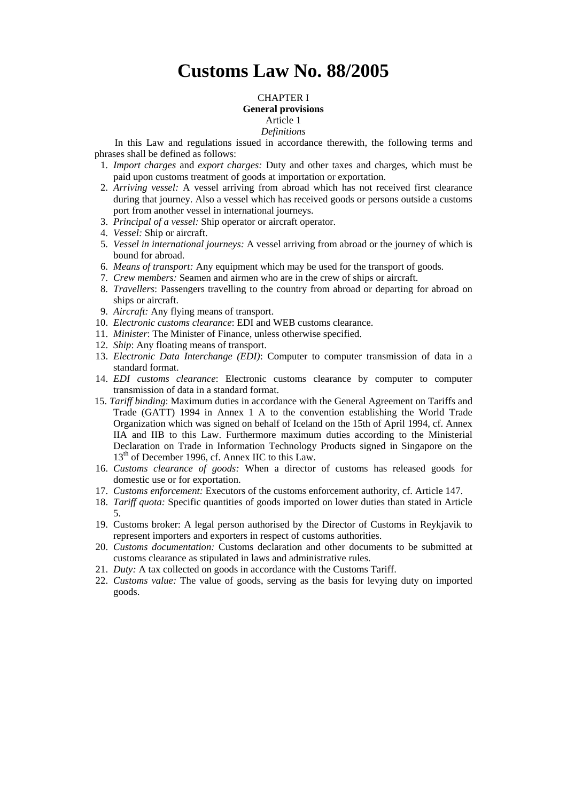# **Customs Law No. 88/2005**

### CHAPTER I

# **General provisions**

# Article 1

### *Definitions*

In this Law and regulations issued in accordance therewith, the following terms and phrases shall be defined as follows:

- 1. *Import charges* and *export charges:* Duty and other taxes and charges, which must be paid upon customs treatment of goods at importation or exportation.
- 2. *Arriving vessel:* A vessel arriving from abroad which has not received first clearance during that journey. Also a vessel which has received goods or persons outside a customs port from another vessel in international journeys.
- 3. *Principal of a vessel:* Ship operator or aircraft operator.
- 4. *Vessel:* Ship or aircraft.
- 5. *Vessel in international journeys:* A vessel arriving from abroad or the journey of which is bound for abroad.
- 6. *Means of transport:* Any equipment which may be used for the transport of goods.
- 7. *Crew members:* Seamen and airmen who are in the crew of ships or aircraft.
- 8. *Travellers*: Passengers travelling to the country from abroad or departing for abroad on ships or aircraft.
- 9. *Aircraft:* Any flying means of transport.
- 10. *Electronic customs clearance*: EDI and WEB customs clearance.
- 11. *Minister*: The Minister of Finance, unless otherwise specified.
- 12. *Ship*: Any floating means of transport.
- 13. *Electronic Data Interchange (EDI)*: Computer to computer transmission of data in a standard format.
- 14. *EDI customs clearance*: Electronic customs clearance by computer to computer transmission of data in a standard format.
- 15. *Tariff binding*: Maximum duties in accordance with the General Agreement on Tariffs and Trade (GATT) 1994 in Annex 1 A to the convention establishing the World Trade Organization which was signed on behalf of Iceland on the 15th of April 1994, cf. Annex IIA and IIB to this Law. Furthermore maximum duties according to the Ministerial Declaration on Trade in Information Technology Products signed in Singapore on the 13<sup>th</sup> of December 1996, cf. Annex IIC to this Law.
- 16. *Customs clearance of goods:* When a director of customs has released goods for domestic use or for exportation.
- 17. *Customs enforcement:* Executors of the customs enforcement authority, cf. Article 147.
- 18. *Tariff quota:* Specific quantities of goods imported on lower duties than stated in Article 5.
- 19. Customs broker: A legal person authorised by the Director of Customs in Reykjavik to represent importers and exporters in respect of customs authorities.
- 20. *Customs documentation:* Customs declaration and other documents to be submitted at customs clearance as stipulated in laws and administrative rules.
- 21. *Duty:* A tax collected on goods in accordance with the Customs Tariff.
- 22. *Customs value:* The value of goods, serving as the basis for levying duty on imported goods.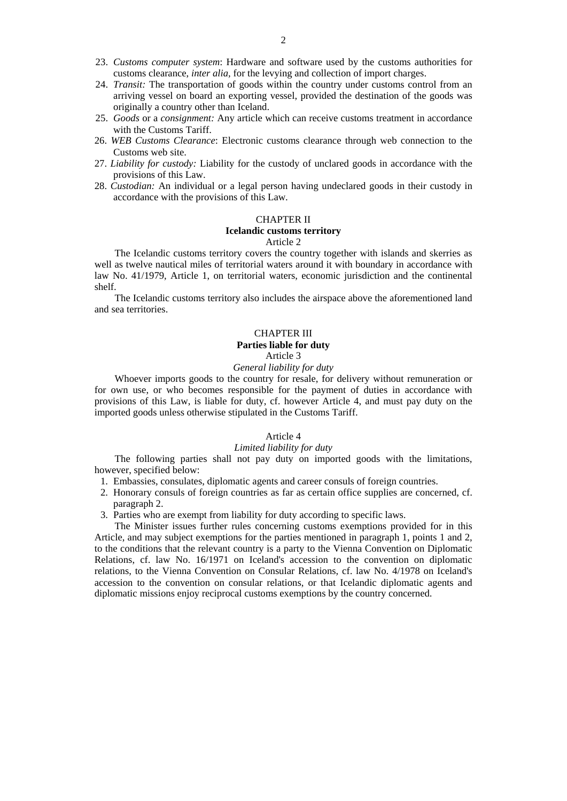- 23. *Customs computer system*: Hardware and software used by the customs authorities for customs clearance, *inter alia,* for the levying and collection of import charges.
- 24. *Transit:* The transportation of goods within the country under customs control from an arriving vessel on board an exporting vessel, provided the destination of the goods was originally a country other than Iceland.
- 25. *Goods* or a *consignment:* Any article which can receive customs treatment in accordance with the Customs Tariff.
- 26. *WEB Customs Clearance*: Electronic customs clearance through web connection to the Customs web site.
- 27. *Liability for custody:* Liability for the custody of unclared goods in accordance with the provisions of this Law.
- 28. *Custodian:* An individual or a legal person having undeclared goods in their custody in accordance with the provisions of this Law.

### CHAPTER II

### **Icelandic customs territory**

### Article 2

The Icelandic customs territory covers the country together with islands and skerries as well as twelve nautical miles of territorial waters around it with boundary in accordance with law No. 41/1979, Article 1, on territorial waters, economic jurisdiction and the continental shelf.

The Icelandic customs territory also includes the airspace above the aforementioned land and sea territories.

### CHAPTER III **Parties liable for duty**

#### Article 3

# *General liability for duty*

Whoever imports goods to the country for resale, for delivery without remuneration or for own use, or who becomes responsible for the payment of duties in accordance with provisions of this Law, is liable for duty, cf. however Article 4, and must pay duty on the imported goods unless otherwise stipulated in the Customs Tariff.

# Article 4

# *Limited liability for duty*

The following parties shall not pay duty on imported goods with the limitations, however, specified below:

- 1. Embassies, consulates, diplomatic agents and career consuls of foreign countries.
- 2. Honorary consuls of foreign countries as far as certain office supplies are concerned, cf. paragraph 2.
- 3. Parties who are exempt from liability for duty according to specific laws.

The Minister issues further rules concerning customs exemptions provided for in this Article, and may subject exemptions for the parties mentioned in paragraph 1, points 1 and 2, to the conditions that the relevant country is a party to the Vienna Convention on Diplomatic Relations, cf. law No. 16/1971 on Iceland's accession to the convention on diplomatic relations, to the Vienna Convention on Consular Relations, cf. law No. 4/1978 on Iceland's accession to the convention on consular relations, or that Icelandic diplomatic agents and diplomatic missions enjoy reciprocal customs exemptions by the country concerned.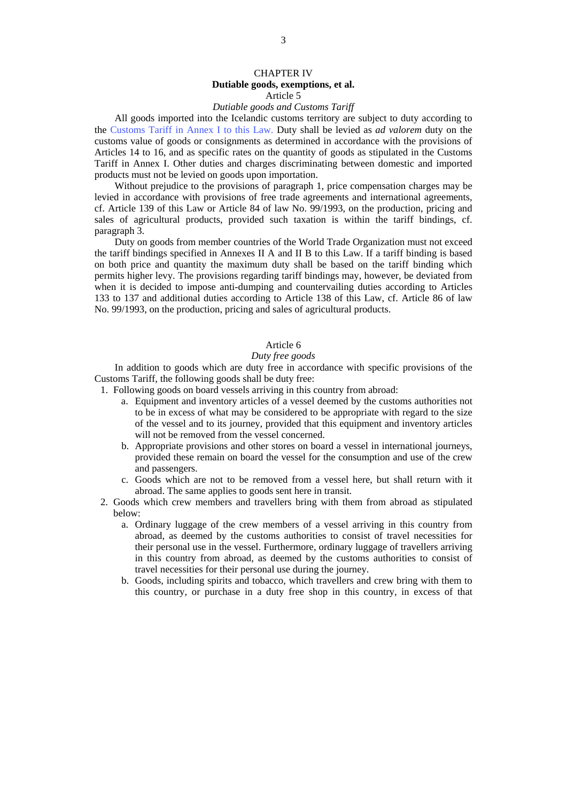### CHAPTER IV **Dutiable goods, exemptions, et al.**  Article 5

#### *Dutiable goods and Customs Tariff*

All goods imported into the Icelandic customs territory are subject to duty according to the [Customs Tariff in Annex I](http://www.tollur.is/displayer.asp?cat_id=645) to this Law. Duty shall be levied as *ad valorem* duty on the customs value of goods or consignments as determined in accordance with the provisions of Articles 14 to 16, and as specific rates on the quantity of goods as stipulated in the Customs Tariff in Annex I. Other duties and charges discriminating between domestic and imported products must not be levied on goods upon importation.

Without prejudice to the provisions of paragraph 1, price compensation charges may be levied in accordance with provisions of free trade agreements and international agreements, cf. Article 139 of this Law or Article 84 of law No. 99/1993, on the production, pricing and sales of agricultural products, provided such taxation is within the tariff bindings, cf. paragraph 3.

Duty on goods from member countries of the World Trade Organization must not exceed the tariff bindings specified in Annexes II A and II B to this Law. If a tariff binding is based on both price and quantity the maximum duty shall be based on the tariff binding which permits higher levy. The provisions regarding tariff bindings may, however, be deviated from when it is decided to impose anti-dumping and countervailing duties according to Articles 133 to 137 and additional duties according to Article 138 of this Law, cf. Article 86 of law No. 99/1993, on the production, pricing and sales of agricultural products.

# Article 6

### *Duty free goods*

In addition to goods which are duty free in accordance with specific provisions of the Customs Tariff, the following goods shall be duty free:

1. Following goods on board vessels arriving in this country from abroad:

- a. Equipment and inventory articles of a vessel deemed by the customs authorities not to be in excess of what may be considered to be appropriate with regard to the size of the vessel and to its journey, provided that this equipment and inventory articles will not be removed from the vessel concerned.
- b. Appropriate provisions and other stores on board a vessel in international journeys, provided these remain on board the vessel for the consumption and use of the crew and passengers.
- c. Goods which are not to be removed from a vessel here, but shall return with it abroad. The same applies to goods sent here in transit.
- 2. Goods which crew members and travellers bring with them from abroad as stipulated below:
	- a. Ordinary luggage of the crew members of a vessel arriving in this country from abroad, as deemed by the customs authorities to consist of travel necessities for their personal use in the vessel. Furthermore, ordinary luggage of travellers arriving in this country from abroad, as deemed by the customs authorities to consist of travel necessities for their personal use during the journey.
	- b. Goods, including spirits and tobacco, which travellers and crew bring with them to this country, or purchase in a duty free shop in this country, in excess of that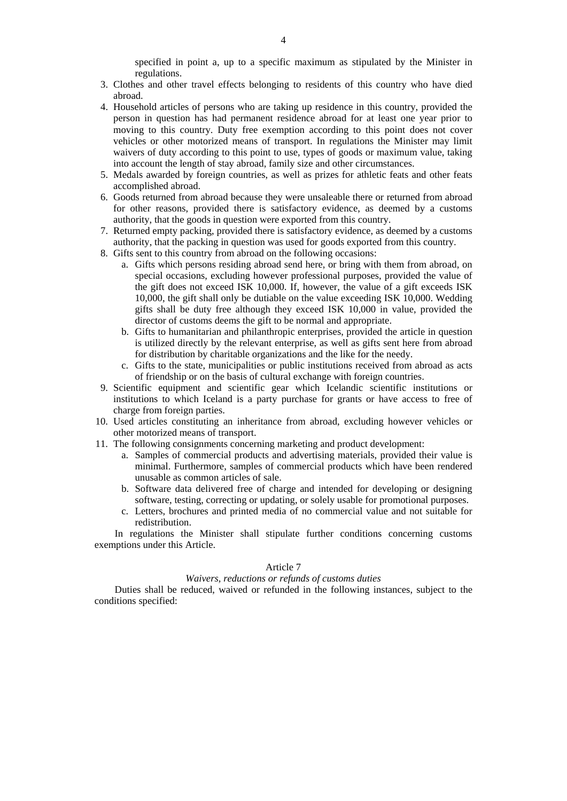specified in point a, up to a specific maximum as stipulated by the Minister in regulations.

- 3. Clothes and other travel effects belonging to residents of this country who have died abroad.
- 4. Household articles of persons who are taking up residence in this country, provided the person in question has had permanent residence abroad for at least one year prior to moving to this country. Duty free exemption according to this point does not cover vehicles or other motorized means of transport. In regulations the Minister may limit waivers of duty according to this point to use, types of goods or maximum value, taking into account the length of stay abroad, family size and other circumstances.
- 5. Medals awarded by foreign countries, as well as prizes for athletic feats and other feats accomplished abroad.
- 6. Goods returned from abroad because they were unsaleable there or returned from abroad for other reasons, provided there is satisfactory evidence, as deemed by a customs authority, that the goods in question were exported from this country.
- 7. Returned empty packing, provided there is satisfactory evidence, as deemed by a customs authority, that the packing in question was used for goods exported from this country.
- 8. Gifts sent to this country from abroad on the following occasions:
	- a. Gifts which persons residing abroad send here, or bring with them from abroad, on special occasions, excluding however professional purposes, provided the value of the gift does not exceed ISK 10,000. If, however, the value of a gift exceeds ISK 10,000, the gift shall only be dutiable on the value exceeding ISK 10,000. Wedding gifts shall be duty free although they exceed ISK 10,000 in value, provided the director of customs deems the gift to be normal and appropriate.
	- b. Gifts to humanitarian and philanthropic enterprises, provided the article in question is utilized directly by the relevant enterprise, as well as gifts sent here from abroad for distribution by charitable organizations and the like for the needy.
	- c. Gifts to the state, municipalities or public institutions received from abroad as acts of friendship or on the basis of cultural exchange with foreign countries.
- 9. Scientific equipment and scientific gear which Icelandic scientific institutions or institutions to which Iceland is a party purchase for grants or have access to free of charge from foreign parties.
- 10. Used articles constituting an inheritance from abroad, excluding however vehicles or other motorized means of transport.
- 11. The following consignments concerning marketing and product development:
	- a. Samples of commercial products and advertising materials, provided their value is minimal. Furthermore, samples of commercial products which have been rendered unusable as common articles of sale.
	- b. Software data delivered free of charge and intended for developing or designing software, testing, correcting or updating, or solely usable for promotional purposes.
	- c. Letters, brochures and printed media of no commercial value and not suitable for redistribution.

In regulations the Minister shall stipulate further conditions concerning customs exemptions under this Article.

### Article 7

### *Waivers, reductions or refunds of customs duties*

Duties shall be reduced, waived or refunded in the following instances, subject to the conditions specified: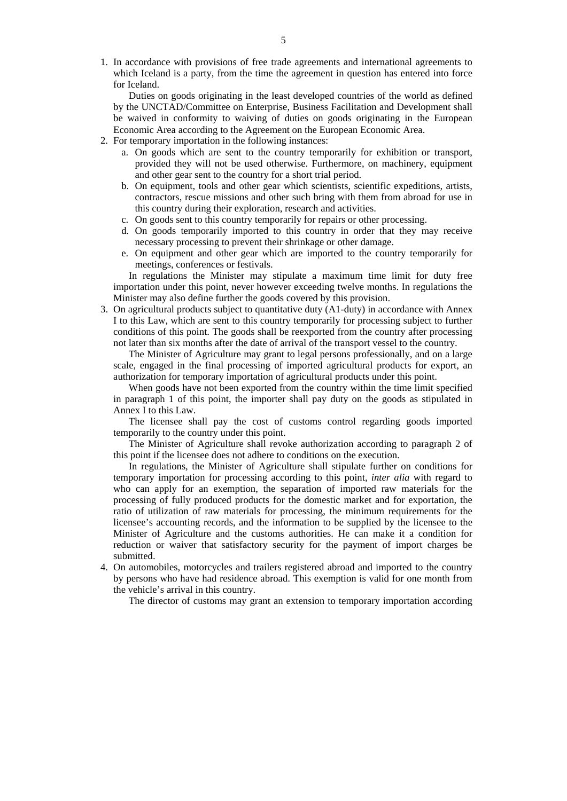1. In accordance with provisions of free trade agreements and international agreements to which Iceland is a party, from the time the agreement in question has entered into force for Iceland.

 Duties on goods originating in the least developed countries of the world as defined by the UNCTAD/Committee on Enterprise, Business Facilitation and Development shall be waived in conformity to waiving of duties on goods originating in the European Economic Area according to the Agreement on the European Economic Area.

- 2. For temporary importation in the following instances:
	- a. On goods which are sent to the country temporarily for exhibition or transport, provided they will not be used otherwise. Furthermore, on machinery, equipment and other gear sent to the country for a short trial period.
	- b. On equipment, tools and other gear which scientists, scientific expeditions, artists, contractors, rescue missions and other such bring with them from abroad for use in this country during their exploration, research and activities.
	- c. On goods sent to this country temporarily for repairs or other processing.
	- d. On goods temporarily imported to this country in order that they may receive necessary processing to prevent their shrinkage or other damage.
	- e. On equipment and other gear which are imported to the country temporarily for meetings, conferences or festivals.

 In regulations the Minister may stipulate a maximum time limit for duty free importation under this point, never however exceeding twelve months. In regulations the Minister may also define further the goods covered by this provision.

 3. On agricultural products subject to quantitative duty (A1-duty) in accordance with Annex I to this Law, which are sent to this country temporarily for processing subject to further conditions of this point. The goods shall be reexported from the country after processing not later than six months after the date of arrival of the transport vessel to the country.

 The Minister of Agriculture may grant to legal persons professionally, and on a large scale, engaged in the final processing of imported agricultural products for export, an authorization for temporary importation of agricultural products under this point.

 When goods have not been exported from the country within the time limit specified in paragraph 1 of this point, the importer shall pay duty on the goods as stipulated in Annex I to this Law.

 The licensee shall pay the cost of customs control regarding goods imported temporarily to the country under this point.

 The Minister of Agriculture shall revoke authorization according to paragraph 2 of this point if the licensee does not adhere to conditions on the execution.

 In regulations, the Minister of Agriculture shall stipulate further on conditions for temporary importation for processing according to this point, *inter alia* with regard to who can apply for an exemption, the separation of imported raw materials for the processing of fully produced products for the domestic market and for exportation, the ratio of utilization of raw materials for processing, the minimum requirements for the licensee's accounting records, and the information to be supplied by the licensee to the Minister of Agriculture and the customs authorities. He can make it a condition for reduction or waiver that satisfactory security for the payment of import charges be submitted.

 4. On automobiles, motorcycles and trailers registered abroad and imported to the country by persons who have had residence abroad. This exemption is valid for one month from the vehicle's arrival in this country.

The director of customs may grant an extension to temporary importation according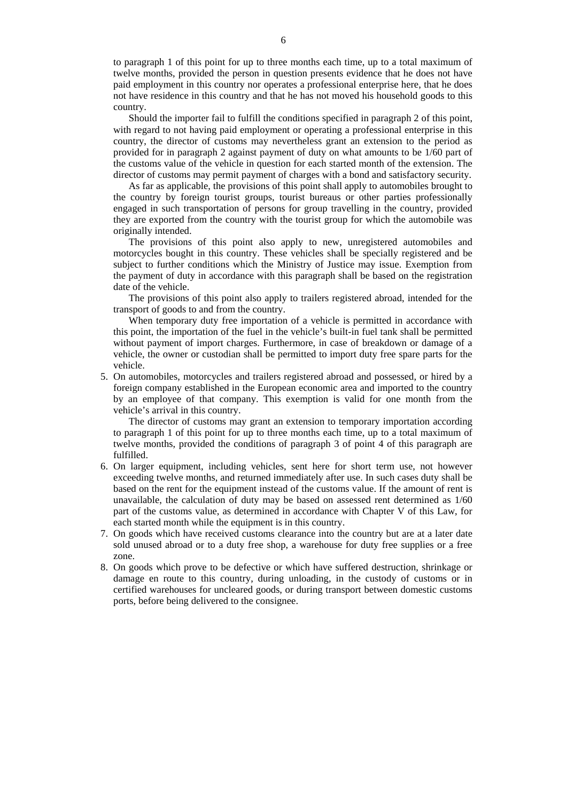to paragraph 1 of this point for up to three months each time, up to a total maximum of twelve months, provided the person in question presents evidence that he does not have paid employment in this country nor operates a professional enterprise here, that he does not have residence in this country and that he has not moved his household goods to this country.

 Should the importer fail to fulfill the conditions specified in paragraph 2 of this point, with regard to not having paid employment or operating a professional enterprise in this country, the director of customs may nevertheless grant an extension to the period as provided for in paragraph 2 against payment of duty on what amounts to be 1/60 part of the customs value of the vehicle in question for each started month of the extension. The director of customs may permit payment of charges with a bond and satisfactory security.

 As far as applicable, the provisions of this point shall apply to automobiles brought to the country by foreign tourist groups, tourist bureaus or other parties professionally engaged in such transportation of persons for group travelling in the country, provided they are exported from the country with the tourist group for which the automobile was originally intended.

 The provisions of this point also apply to new, unregistered automobiles and motorcycles bought in this country. These vehicles shall be specially registered and be subject to further conditions which the Ministry of Justice may issue. Exemption from the payment of duty in accordance with this paragraph shall be based on the registration date of the vehicle.

 The provisions of this point also apply to trailers registered abroad, intended for the transport of goods to and from the country.

 When temporary duty free importation of a vehicle is permitted in accordance with this point, the importation of the fuel in the vehicle's built-in fuel tank shall be permitted without payment of import charges. Furthermore, in case of breakdown or damage of a vehicle, the owner or custodian shall be permitted to import duty free spare parts for the vehicle.

 5. On automobiles, motorcycles and trailers registered abroad and possessed, or hired by a foreign company established in the European economic area and imported to the country by an employee of that company. This exemption is valid for one month from the vehicle's arrival in this country.

 The director of customs may grant an extension to temporary importation according to paragraph 1 of this point for up to three months each time, up to a total maximum of twelve months, provided the conditions of paragraph 3 of point 4 of this paragraph are fulfilled.

- 6. On larger equipment, including vehicles, sent here for short term use, not however exceeding twelve months, and returned immediately after use. In such cases duty shall be based on the rent for the equipment instead of the customs value. If the amount of rent is unavailable, the calculation of duty may be based on assessed rent determined as 1/60 part of the customs value, as determined in accordance with Chapter V of this Law, for each started month while the equipment is in this country.
- 7. On goods which have received customs clearance into the country but are at a later date sold unused abroad or to a duty free shop, a warehouse for duty free supplies or a free zone.
- 8. On goods which prove to be defective or which have suffered destruction, shrinkage or damage en route to this country, during unloading, in the custody of customs or in certified warehouses for uncleared goods, or during transport between domestic customs ports, before being delivered to the consignee.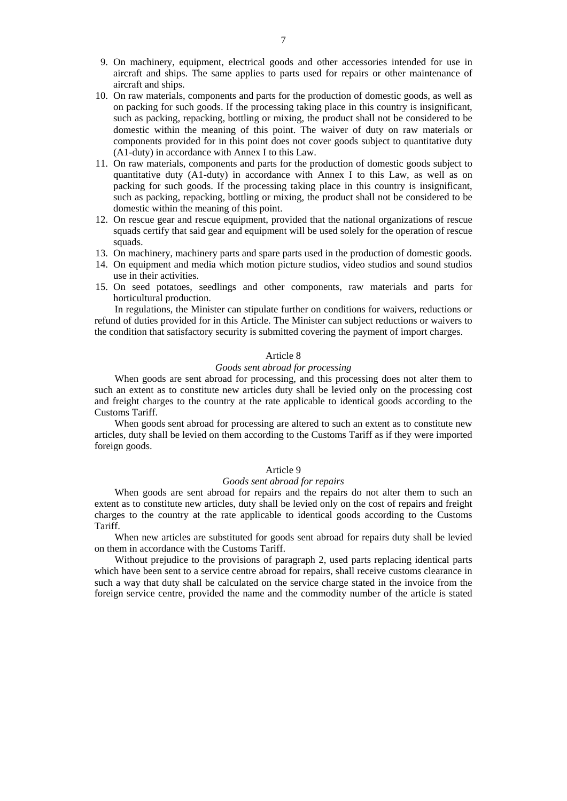- 9. On machinery, equipment, electrical goods and other accessories intended for use in aircraft and ships. The same applies to parts used for repairs or other maintenance of aircraft and ships.
- 10. On raw materials, components and parts for the production of domestic goods, as well as on packing for such goods. If the processing taking place in this country is insignificant, such as packing, repacking, bottling or mixing, the product shall not be considered to be domestic within the meaning of this point. The waiver of duty on raw materials or components provided for in this point does not cover goods subject to quantitative duty (A1-duty) in accordance with Annex I to this Law.
- 11. On raw materials, components and parts for the production of domestic goods subject to quantitative duty (A1-duty) in accordance with Annex I to this Law, as well as on packing for such goods. If the processing taking place in this country is insignificant, such as packing, repacking, bottling or mixing, the product shall not be considered to be domestic within the meaning of this point.
- 12. On rescue gear and rescue equipment, provided that the national organizations of rescue squads certify that said gear and equipment will be used solely for the operation of rescue squads.
- 13. On machinery, machinery parts and spare parts used in the production of domestic goods.
- 14. On equipment and media which motion picture studios, video studios and sound studios use in their activities.
- 15. On seed potatoes, seedlings and other components, raw materials and parts for horticultural production.

In regulations, the Minister can stipulate further on conditions for waivers, reductions or refund of duties provided for in this Article. The Minister can subject reductions or waivers to the condition that satisfactory security is submitted covering the payment of import charges.

### Article 8

# *Goods sent abroad for processing*

When goods are sent abroad for processing, and this processing does not alter them to such an extent as to constitute new articles duty shall be levied only on the processing cost and freight charges to the country at the rate applicable to identical goods according to the Customs Tariff.

When goods sent abroad for processing are altered to such an extent as to constitute new articles, duty shall be levied on them according to the Customs Tariff as if they were imported foreign goods.

# Article 9

# *Goods sent abroad for repairs*

When goods are sent abroad for repairs and the repairs do not alter them to such an extent as to constitute new articles, duty shall be levied only on the cost of repairs and freight charges to the country at the rate applicable to identical goods according to the Customs Tariff.

When new articles are substituted for goods sent abroad for repairs duty shall be levied on them in accordance with the Customs Tariff.

Without prejudice to the provisions of paragraph 2, used parts replacing identical parts which have been sent to a service centre abroad for repairs, shall receive customs clearance in such a way that duty shall be calculated on the service charge stated in the invoice from the foreign service centre, provided the name and the commodity number of the article is stated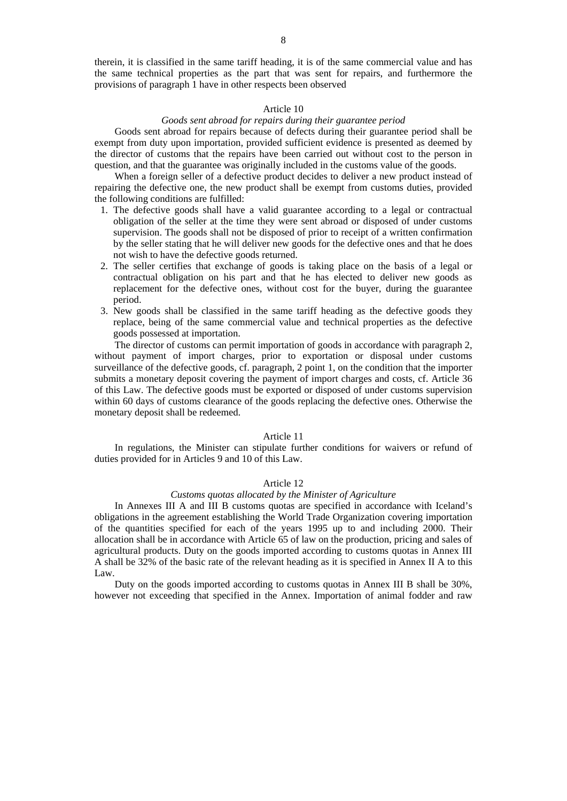therein, it is classified in the same tariff heading, it is of the same commercial value and has the same technical properties as the part that was sent for repairs, and furthermore the provisions of paragraph 1 have in other respects been observed

### Article 10

# *Goods sent abroad for repairs during their guarantee period*

Goods sent abroad for repairs because of defects during their guarantee period shall be exempt from duty upon importation, provided sufficient evidence is presented as deemed by the director of customs that the repairs have been carried out without cost to the person in question, and that the guarantee was originally included in the customs value of the goods.

When a foreign seller of a defective product decides to deliver a new product instead of repairing the defective one, the new product shall be exempt from customs duties, provided the following conditions are fulfilled:

- 1. The defective goods shall have a valid guarantee according to a legal or contractual obligation of the seller at the time they were sent abroad or disposed of under customs supervision. The goods shall not be disposed of prior to receipt of a written confirmation by the seller stating that he will deliver new goods for the defective ones and that he does not wish to have the defective goods returned.
- 2. The seller certifies that exchange of goods is taking place on the basis of a legal or contractual obligation on his part and that he has elected to deliver new goods as replacement for the defective ones, without cost for the buyer, during the guarantee period.
- 3. New goods shall be classified in the same tariff heading as the defective goods they replace, being of the same commercial value and technical properties as the defective goods possessed at importation.

The director of customs can permit importation of goods in accordance with paragraph 2, without payment of import charges, prior to exportation or disposal under customs surveillance of the defective goods, cf. paragraph, 2 point 1, on the condition that the importer submits a monetary deposit covering the payment of import charges and costs, cf. Article 36 of this Law. The defective goods must be exported or disposed of under customs supervision within 60 days of customs clearance of the goods replacing the defective ones. Otherwise the monetary deposit shall be redeemed.

### Article 11

In regulations, the Minister can stipulate further conditions for waivers or refund of duties provided for in Articles 9 and 10 of this Law.

### Article 12

# *Customs quotas allocated by the Minister of Agriculture*

In Annexes III A and III B customs quotas are specified in accordance with Iceland's obligations in the agreement establishing the World Trade Organization covering importation of the quantities specified for each of the years 1995 up to and including 2000. Their allocation shall be in accordance with Article 65 of law on the production, pricing and sales of agricultural products. Duty on the goods imported according to customs quotas in Annex III A shall be 32% of the basic rate of the relevant heading as it is specified in Annex II A to this Law.

Duty on the goods imported according to customs quotas in Annex III B shall be 30%, however not exceeding that specified in the Annex. Importation of animal fodder and raw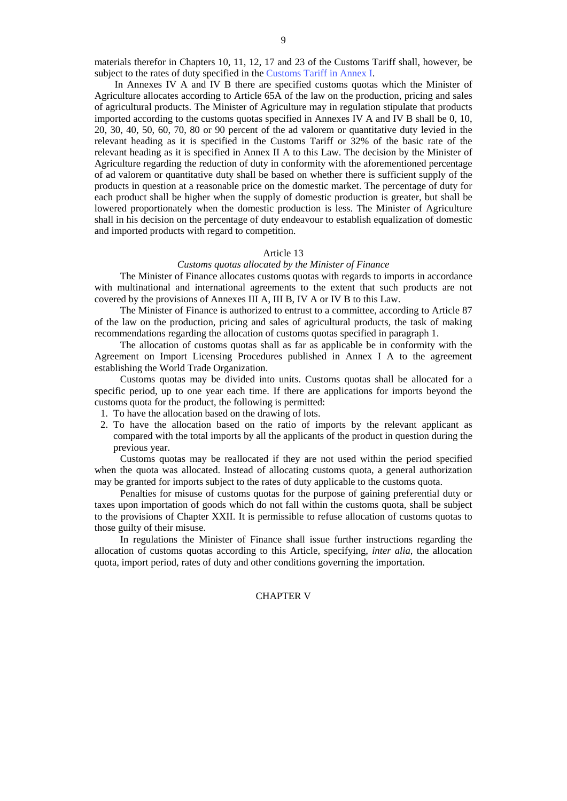materials therefor in Chapters 10, 11, 12, 17 and 23 of the Customs Tariff shall, however, be subject to the rates of duty specified in the [Customs Tariff in Annex I](http://www.tollur.is/displayer.asp?cat_id=645).

In Annexes IV A and IV B there are specified customs quotas which the Minister of Agriculture allocates according to Article 65A of the law on the production, pricing and sales of agricultural products. The Minister of Agriculture may in regulation stipulate that products imported according to the customs quotas specified in Annexes IV A and IV B shall be 0, 10, 20, 30, 40, 50, 60, 70, 80 or 90 percent of the ad valorem or quantitative duty levied in the relevant heading as it is specified in the Customs Tariff or 32% of the basic rate of the relevant heading as it is specified in Annex II A to this Law. The decision by the Minister of Agriculture regarding the reduction of duty in conformity with the aforementioned percentage of ad valorem or quantitative duty shall be based on whether there is sufficient supply of the products in question at a reasonable price on the domestic market. The percentage of duty for each product shall be higher when the supply of domestic production is greater, but shall be lowered proportionately when the domestic production is less. The Minister of Agriculture shall in his decision on the percentage of duty endeavour to establish equalization of domestic and imported products with regard to competition.

### Article 13

# *Customs quotas allocated by the Minister of Finance*

The Minister of Finance allocates customs quotas with regards to imports in accordance with multinational and international agreements to the extent that such products are not covered by the provisions of Annexes III A, III B, IV A or IV B to this Law.

The Minister of Finance is authorized to entrust to a committee, according to Article 87 of the law on the production, pricing and sales of agricultural products, the task of making recommendations regarding the allocation of customs quotas specified in paragraph 1.

The allocation of customs quotas shall as far as applicable be in conformity with the Agreement on Import Licensing Procedures published in Annex I A to the agreement establishing the World Trade Organization.

Customs quotas may be divided into units. Customs quotas shall be allocated for a specific period, up to one year each time. If there are applications for imports beyond the customs quota for the product, the following is permitted:

- 1. To have the allocation based on the drawing of lots.
- 2. To have the allocation based on the ratio of imports by the relevant applicant as compared with the total imports by all the applicants of the product in question during the previous year.

Customs quotas may be reallocated if they are not used within the period specified when the quota was allocated. Instead of allocating customs quota, a general authorization may be granted for imports subject to the rates of duty applicable to the customs quota.

Penalties for misuse of customs quotas for the purpose of gaining preferential duty or taxes upon importation of goods which do not fall within the customs quota, shall be subject to the provisions of Chapter XXII. It is permissible to refuse allocation of customs quotas to those guilty of their misuse.

In regulations the Minister of Finance shall issue further instructions regarding the allocation of customs quotas according to this Article, specifying, *inter alia*, the allocation quota, import period, rates of duty and other conditions governing the importation.

# CHAPTER V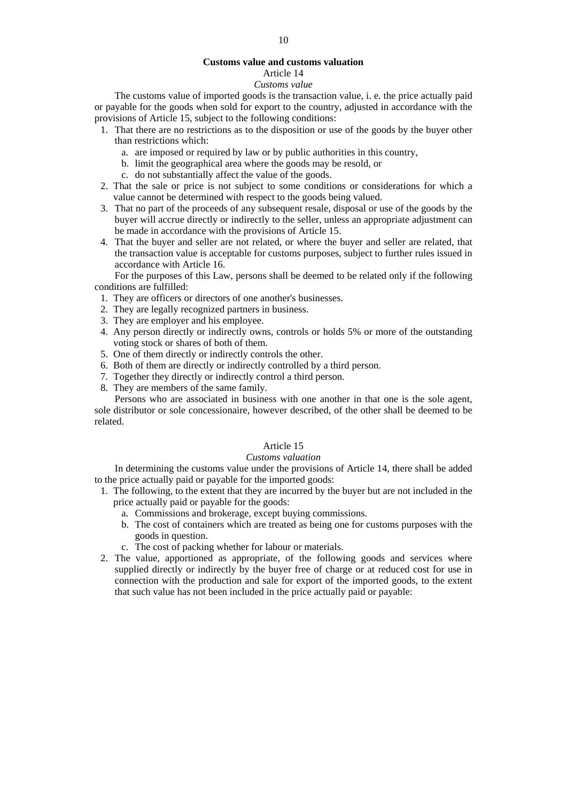# **Customs value and customs valuation**

# Article 14

# *Customs value*

The customs value of imported goods is the transaction value, i. e. the price actually paid or payable for the goods when sold for export to the country, adjusted in accordance with the provisions of Article 15, subject to the following conditions:

- 1. That there are no restrictions as to the disposition or use of the goods by the buyer other than restrictions which:
	- a. are imposed or required by law or by public authorities in this country,
	- b. limit the geographical area where the goods may be resold, or
	- c. do not substantially affect the value of the goods.
- 2. That the sale or price is not subject to some conditions or considerations for which a value cannot be determined with respect to the goods being valued.
- 3. That no part of the proceeds of any subsequent resale, disposal or use of the goods by the buyer will accrue directly or indirectly to the seller, unless an appropriate adjustment can be made in accordance with the provisions of Article 15.
- 4. That the buyer and seller are not related, or where the buyer and seller are related, that the transaction value is acceptable for customs purposes, subject to further rules issued in accordance with Article 16.

For the purposes of this Law, persons shall be deemed to be related only if the following conditions are fulfilled:

- 1. They are officers or directors of one another's businesses.
- 2. They are legally recognized partners in business.
- 3. They are employer and his employee.
- 4. Any person directly or indirectly owns, controls or holds 5% or more of the outstanding voting stock or shares of both of them.
- 5. One of them directly or indirectly controls the other.
- 6. Both of them are directly or indirectly controlled by a third person.
- 7. Together they directly or indirectly control a third person.
- 8. They are members of the same family.

Persons who are associated in business with one another in that one is the sole agent, sole distributor or sole concessionaire, however described, of the other shall be deemed to be related.

# Article 15

### *Customs valuation*

In determining the customs value under the provisions of Article 14, there shall be added to the price actually paid or payable for the imported goods:

- 1. The following, to the extent that they are incurred by the buyer but are not included in the price actually paid or payable for the goods:
	- a. Commissions and brokerage, except buying commissions.
	- b. The cost of containers which are treated as being one for customs purposes with the goods in question.
	- c. The cost of packing whether for labour or materials.
- 2. The value, apportioned as appropriate, of the following goods and services where supplied directly or indirectly by the buyer free of charge or at reduced cost for use in connection with the production and sale for export of the imported goods, to the extent that such value has not been included in the price actually paid or payable: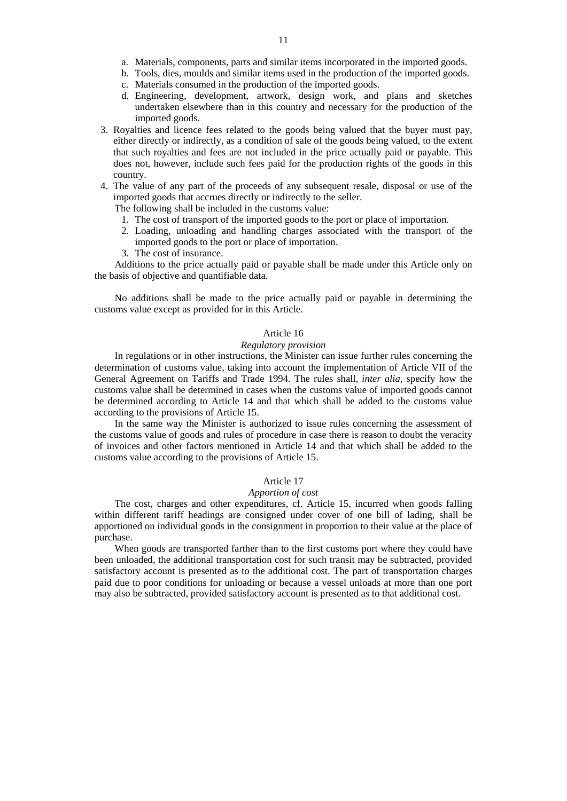- a. Materials, components, parts and similar items incorporated in the imported goods.
- b. Tools, dies, moulds and similar items used in the production of the imported goods.
- c. Materials consumed in the production of the imported goods.
- d. Engineering, development, artwork, design work, and plans and sketches undertaken elsewhere than in this country and necessary for the production of the imported goods.
- 3. Royalties and licence fees related to the goods being valued that the buyer must pay, either directly or indirectly, as a condition of sale of the goods being valued, to the extent that such royalties and fees are not included in the price actually paid or payable. This does not, however, include such fees paid for the production rights of the goods in this country.
- 4. The value of any part of the proceeds of any subsequent resale, disposal or use of the imported goods that accrues directly or indirectly to the seller.

The following shall be included in the customs value:

- 1. The cost of transport of the imported goods to the port or place of importation.
- 2. Loading, unloading and handling charges associated with the transport of the imported goods to the port or place of importation.
- 3. The cost of insurance.

Additions to the price actually paid or payable shall be made under this Article only on the basis of objective and quantifiable data.

No additions shall be made to the price actually paid or payable in determining the customs value except as provided for in this Article.

### Article 16

#### *Regulatory provision*

In regulations or in other instructions, the Minister can issue further rules concerning the determination of customs value, taking into account the implementation of Article VII of the General Agreement on Tariffs and Trade 1994. The rules shall, *inter alia*, specify how the customs value shall be determined in cases when the customs value of imported goods cannot be determined according to Article 14 and that which shall be added to the customs value according to the provisions of Article 15.

In the same way the Minister is authorized to issue rules concerning the assessment of the customs value of goods and rules of procedure in case there is reason to doubt the veracity of invoices and other factors mentioned in Article 14 and that which shall be added to the customs value according to the provisions of Article 15.

# Article 17

#### *Apportion of cost*

The cost, charges and other expenditures, cf. Article 15, incurred when goods falling within different tariff headings are consigned under cover of one bill of lading, shall be apportioned on individual goods in the consignment in proportion to their value at the place of purchase.

When goods are transported farther than to the first customs port where they could have been unloaded, the additional transportation cost for such transit may be subtracted, provided satisfactory account is presented as to the additional cost. The part of transportation charges paid due to poor conditions for unloading or because a vessel unloads at more than one port may also be subtracted, provided satisfactory account is presented as to that additional cost.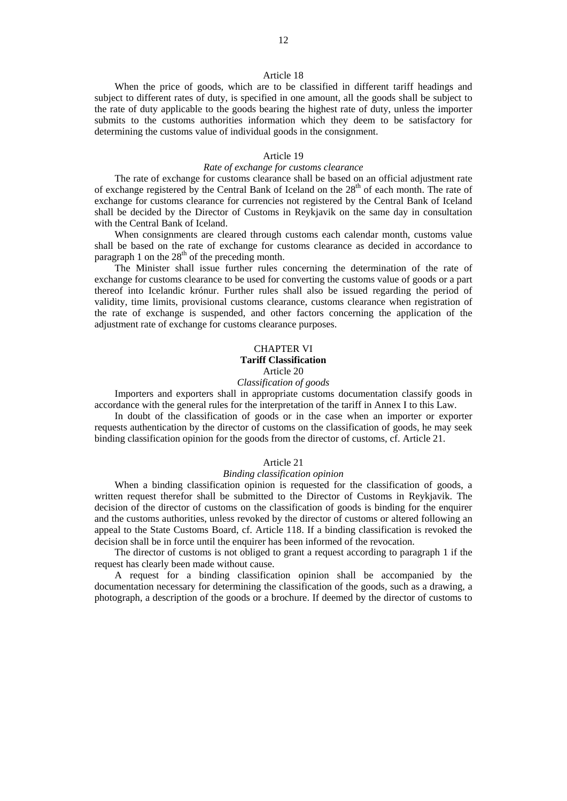### Article 18

When the price of goods, which are to be classified in different tariff headings and subject to different rates of duty, is specified in one amount, all the goods shall be subject to the rate of duty applicable to the goods bearing the highest rate of duty, unless the importer submits to the customs authorities information which they deem to be satisfactory for determining the customs value of individual goods in the consignment.

# Article 19

### *Rate of exchange for customs clearance*

The rate of exchange for customs clearance shall be based on an official adjustment rate of exchange registered by the Central Bank of Iceland on the  $28<sup>th</sup>$  of each month. The rate of exchange for customs clearance for currencies not registered by the Central Bank of Iceland shall be decided by the Director of Customs in Reykjavik on the same day in consultation with the Central Bank of Iceland.

When consignments are cleared through customs each calendar month, customs value shall be based on the rate of exchange for customs clearance as decided in accordance to paragraph 1 on the  $28<sup>th</sup>$  of the preceding month.

The Minister shall issue further rules concerning the determination of the rate of exchange for customs clearance to be used for converting the customs value of goods or a part thereof into Icelandic krónur. Further rules shall also be issued regarding the period of validity, time limits, provisional customs clearance, customs clearance when registration of the rate of exchange is suspended, and other factors concerning the application of the adjustment rate of exchange for customs clearance purposes.

# CHAPTER VI

# **Tariff Classification**

Article 20

# *Classification of goods*

Importers and exporters shall in appropriate customs documentation classify goods in accordance with the general rules for the interpretation of the tariff in Annex I to this Law.

In doubt of the classification of goods or in the case when an importer or exporter requests authentication by the director of customs on the classification of goods, he may seek binding classification opinion for the goods from the director of customs, cf. Article 21.

### Article 21

### *Binding classification opinion*

When a binding classification opinion is requested for the classification of goods, a written request therefor shall be submitted to the Director of Customs in Reykjavik. The decision of the director of customs on the classification of goods is binding for the enquirer and the customs authorities, unless revoked by the director of customs or altered following an appeal to the State Customs Board, cf. Article 118. If a binding classification is revoked the decision shall be in force until the enquirer has been informed of the revocation.

The director of customs is not obliged to grant a request according to paragraph 1 if the request has clearly been made without cause.

A request for a binding classification opinion shall be accompanied by the documentation necessary for determining the classification of the goods, such as a drawing, a photograph, a description of the goods or a brochure. If deemed by the director of customs to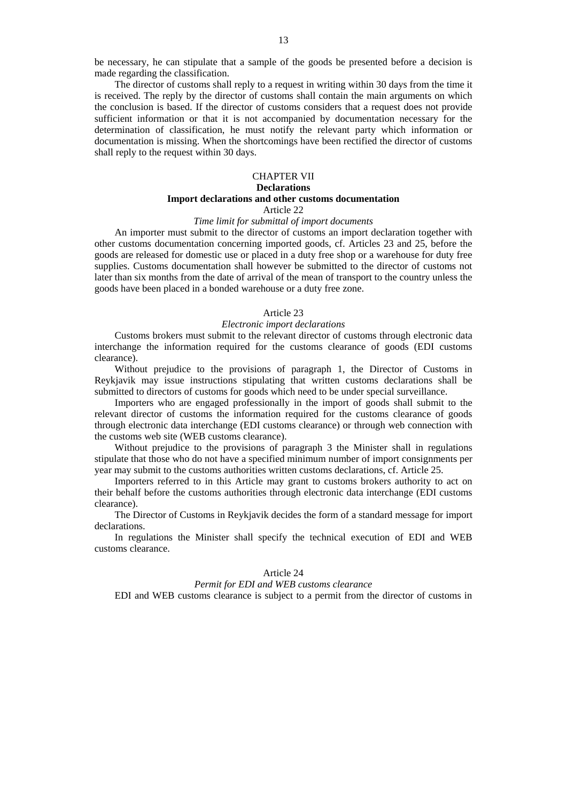be necessary, he can stipulate that a sample of the goods be presented before a decision is made regarding the classification.

The director of customs shall reply to a request in writing within 30 days from the time it is received. The reply by the director of customs shall contain the main arguments on which the conclusion is based. If the director of customs considers that a request does not provide sufficient information or that it is not accompanied by documentation necessary for the determination of classification, he must notify the relevant party which information or documentation is missing. When the shortcomings have been rectified the director of customs shall reply to the request within 30 days.

# CHAPTER VII **Declarations Import declarations and other customs documentation**

Article 22

### *Time limit for submittal of import documents*

An importer must submit to the director of customs an import declaration together with other customs documentation concerning imported goods, cf. Articles 23 and 25, before the goods are released for domestic use or placed in a duty free shop or a warehouse for duty free supplies. Customs documentation shall however be submitted to the director of customs not later than six months from the date of arrival of the mean of transport to the country unless the goods have been placed in a bonded warehouse or a duty free zone.

### Article 23

## *Electronic import declarations*

Customs brokers must submit to the relevant director of customs through electronic data interchange the information required for the customs clearance of goods (EDI customs clearance).

Without prejudice to the provisions of paragraph 1, the Director of Customs in Reykjavik may issue instructions stipulating that written customs declarations shall be submitted to directors of customs for goods which need to be under special surveillance.

Importers who are engaged professionally in the import of goods shall submit to the relevant director of customs the information required for the customs clearance of goods through electronic data interchange (EDI customs clearance) or through web connection with the customs web site (WEB customs clearance).

Without prejudice to the provisions of paragraph 3 the Minister shall in regulations stipulate that those who do not have a specified minimum number of import consignments per year may submit to the customs authorities written customs declarations, cf. Article 25.

Importers referred to in this Article may grant to customs brokers authority to act on their behalf before the customs authorities through electronic data interchange (EDI customs clearance).

The Director of Customs in Reykjavik decides the form of a standard message for import declarations.

In regulations the Minister shall specify the technical execution of EDI and WEB customs clearance.

### Article 24

### *Permit for EDI and WEB customs clearance*

EDI and WEB customs clearance is subject to a permit from the director of customs in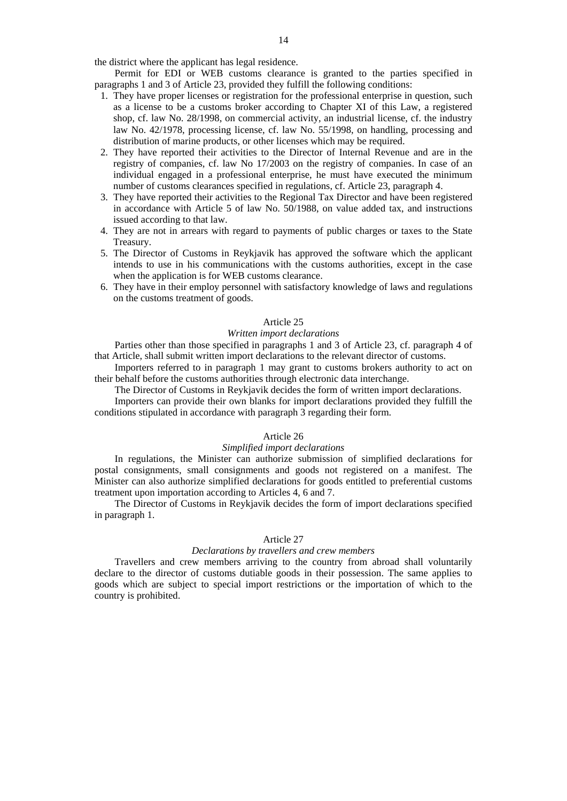the district where the applicant has legal residence.

Permit for EDI or WEB customs clearance is granted to the parties specified in paragraphs 1 and 3 of Article 23, provided they fulfill the following conditions:

- 1. They have proper licenses or registration for the professional enterprise in question, such as a license to be a customs broker according to Chapter XI of this Law, a registered shop, cf. law No. 28/1998, on commercial activity, an industrial license, cf. the industry law No. 42/1978, processing license, cf. law No. 55/1998, on handling, processing and distribution of marine products, or other licenses which may be required.
- 2. They have reported their activities to the Director of Internal Revenue and are in the registry of companies, cf. law No 17/2003 on the registry of companies. In case of an individual engaged in a professional enterprise, he must have executed the minimum number of customs clearances specified in regulations, cf. Article 23, paragraph 4.
- 3. They have reported their activities to the Regional Tax Director and have been registered in accordance with Article 5 of law No. 50/1988, on value added tax, and instructions issued according to that law.
- 4. They are not in arrears with regard to payments of public charges or taxes to the State Treasury.
- 5. The Director of Customs in Reykjavik has approved the software which the applicant intends to use in his communications with the customs authorities, except in the case when the application is for WEB customs clearance.
- 6. They have in their employ personnel with satisfactory knowledge of laws and regulations on the customs treatment of goods.

### Article 25

### *Written import declarations*

Parties other than those specified in paragraphs 1 and 3 of Article 23, cf. paragraph 4 of that Article, shall submit written import declarations to the relevant director of customs.

Importers referred to in paragraph 1 may grant to customs brokers authority to act on their behalf before the customs authorities through electronic data interchange.

The Director of Customs in Reykjavik decides the form of written import declarations.

Importers can provide their own blanks for import declarations provided they fulfill the conditions stipulated in accordance with paragraph 3 regarding their form.

## Article 26

# *Simplified import declarations*

In regulations, the Minister can authorize submission of simplified declarations for postal consignments, small consignments and goods not registered on a manifest. The Minister can also authorize simplified declarations for goods entitled to preferential customs treatment upon importation according to Articles 4, 6 and 7.

The Director of Customs in Reykjavik decides the form of import declarations specified in paragraph 1.

# Article 27

### *Declarations by travellers and crew members*

Travellers and crew members arriving to the country from abroad shall voluntarily declare to the director of customs dutiable goods in their possession. The same applies to goods which are subject to special import restrictions or the importation of which to the country is prohibited.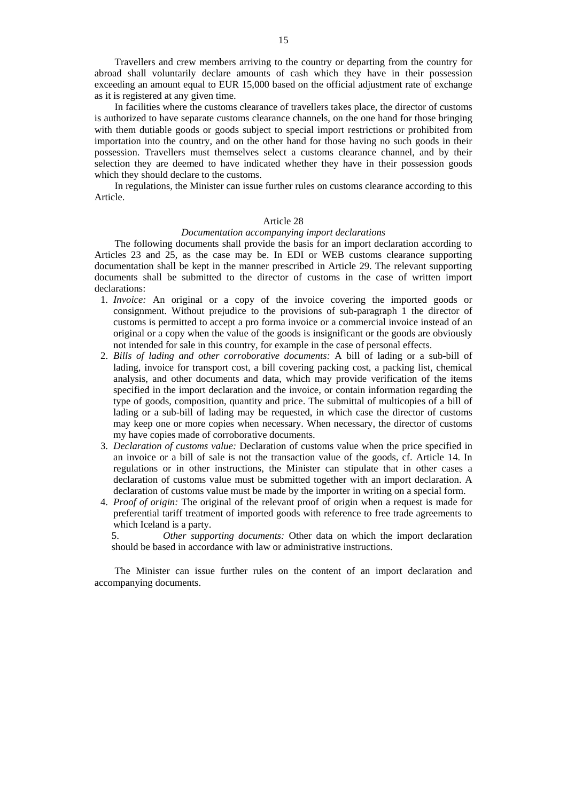Travellers and crew members arriving to the country or departing from the country for abroad shall voluntarily declare amounts of cash which they have in their possession exceeding an amount equal to EUR 15,000 based on the official adjustment rate of exchange as it is registered at any given time.

In facilities where the customs clearance of travellers takes place, the director of customs is authorized to have separate customs clearance channels, on the one hand for those bringing with them dutiable goods or goods subject to special import restrictions or prohibited from importation into the country, and on the other hand for those having no such goods in their possession. Travellers must themselves select a customs clearance channel, and by their selection they are deemed to have indicated whether they have in their possession goods which they should declare to the customs.

In regulations, the Minister can issue further rules on customs clearance according to this Article.

### Article 28

# *Documentation accompanying import declarations*

The following documents shall provide the basis for an import declaration according to Articles 23 and 25, as the case may be. In EDI or WEB customs clearance supporting documentation shall be kept in the manner prescribed in Article 29. The relevant supporting documents shall be submitted to the director of customs in the case of written import declarations:

- 1. *Invoice:* An original or a copy of the invoice covering the imported goods or consignment. Without prejudice to the provisions of sub-paragraph 1 the director of customs is permitted to accept a pro forma invoice or a commercial invoice instead of an original or a copy when the value of the goods is insignificant or the goods are obviously not intended for sale in this country, for example in the case of personal effects.
- 2. *Bills of lading and other corroborative documents:* A bill of lading or a sub-bill of lading, invoice for transport cost, a bill covering packing cost, a packing list, chemical analysis, and other documents and data, which may provide verification of the items specified in the import declaration and the invoice, or contain information regarding the type of goods, composition, quantity and price. The submittal of multicopies of a bill of lading or a sub-bill of lading may be requested, in which case the director of customs may keep one or more copies when necessary. When necessary, the director of customs my have copies made of corroborative documents.
- 3. *Declaration of customs value:* Declaration of customs value when the price specified in an invoice or a bill of sale is not the transaction value of the goods, cf. Article 14. In regulations or in other instructions, the Minister can stipulate that in other cases a declaration of customs value must be submitted together with an import declaration. A declaration of customs value must be made by the importer in writing on a special form.
- 4. *Proof of origin:* The original of the relevant proof of origin when a request is made for preferential tariff treatment of imported goods with reference to free trade agreements to which Iceland is a party.

 5. *Other supporting documents:* Other data on which the import declaration should be based in accordance with law or administrative instructions.

The Minister can issue further rules on the content of an import declaration and accompanying documents.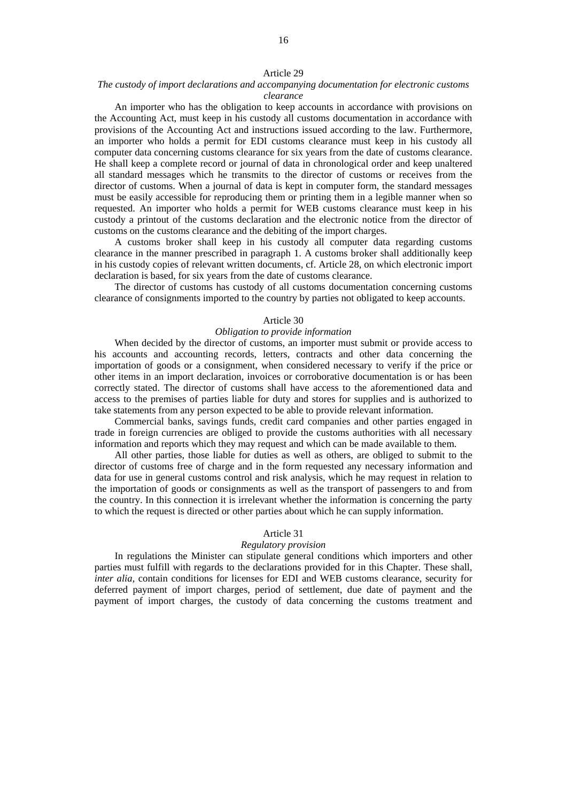# 16

### Article 29

### *The custody of import declarations and accompanying documentation for electronic customs clearance*

An importer who has the obligation to keep accounts in accordance with provisions on the Accounting Act, must keep in his custody all customs documentation in accordance with provisions of the Accounting Act and instructions issued according to the law. Furthermore, an importer who holds a permit for EDI customs clearance must keep in his custody all computer data concerning customs clearance for six years from the date of customs clearance. He shall keep a complete record or journal of data in chronological order and keep unaltered all standard messages which he transmits to the director of customs or receives from the director of customs. When a journal of data is kept in computer form, the standard messages must be easily accessible for reproducing them or printing them in a legible manner when so requested. An importer who holds a permit for WEB customs clearance must keep in his custody a printout of the customs declaration and the electronic notice from the director of customs on the customs clearance and the debiting of the import charges.

A customs broker shall keep in his custody all computer data regarding customs clearance in the manner prescribed in paragraph 1. A customs broker shall additionally keep in his custody copies of relevant written documents, cf. Article 28, on which electronic import declaration is based, for six years from the date of customs clearance.

The director of customs has custody of all customs documentation concerning customs clearance of consignments imported to the country by parties not obligated to keep accounts.

# Article 30

# *Obligation to provide information*

When decided by the director of customs, an importer must submit or provide access to his accounts and accounting records, letters, contracts and other data concerning the importation of goods or a consignment, when considered necessary to verify if the price or other items in an import declaration, invoices or corroborative documentation is or has been correctly stated. The director of customs shall have access to the aforementioned data and access to the premises of parties liable for duty and stores for supplies and is authorized to take statements from any person expected to be able to provide relevant information.

Commercial banks, savings funds, credit card companies and other parties engaged in trade in foreign currencies are obliged to provide the customs authorities with all necessary information and reports which they may request and which can be made available to them.

All other parties, those liable for duties as well as others, are obliged to submit to the director of customs free of charge and in the form requested any necessary information and data for use in general customs control and risk analysis, which he may request in relation to the importation of goods or consignments as well as the transport of passengers to and from the country. In this connection it is irrelevant whether the information is concerning the party to which the request is directed or other parties about which he can supply information.

#### Article 31

# *Regulatory provision*

In regulations the Minister can stipulate general conditions which importers and other parties must fulfill with regards to the declarations provided for in this Chapter. These shall, *inter alia*, contain conditions for licenses for EDI and WEB customs clearance, security for deferred payment of import charges, period of settlement, due date of payment and the payment of import charges, the custody of data concerning the customs treatment and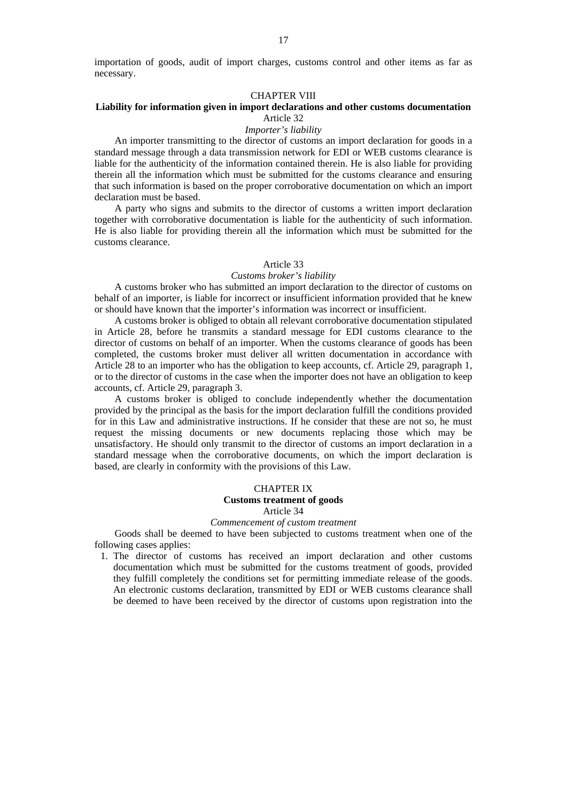importation of goods, audit of import charges, customs control and other items as far as necessary.

## CHAPTER VIII

# **Liability for information given in import declarations and other customs documentation**  Article 32

### *Importer's liability*

An importer transmitting to the director of customs an import declaration for goods in a standard message through a data transmission network for EDI or WEB customs clearance is liable for the authenticity of the information contained therein. He is also liable for providing therein all the information which must be submitted for the customs clearance and ensuring that such information is based on the proper corroborative documentation on which an import declaration must be based.

A party who signs and submits to the director of customs a written import declaration together with corroborative documentation is liable for the authenticity of such information. He is also liable for providing therein all the information which must be submitted for the customs clearance.

### Article 33

#### *Customs broker's liability*

A customs broker who has submitted an import declaration to the director of customs on behalf of an importer, is liable for incorrect or insufficient information provided that he knew or should have known that the importer's information was incorrect or insufficient.

A customs broker is obliged to obtain all relevant corroborative documentation stipulated in Article 28, before he transmits a standard message for EDI customs clearance to the director of customs on behalf of an importer. When the customs clearance of goods has been completed, the customs broker must deliver all written documentation in accordance with Article 28 to an importer who has the obligation to keep accounts, cf. Article 29, paragraph 1, or to the director of customs in the case when the importer does not have an obligation to keep accounts, cf. Article 29, paragraph 3.

A customs broker is obliged to conclude independently whether the documentation provided by the principal as the basis for the import declaration fulfill the conditions provided for in this Law and administrative instructions. If he consider that these are not so, he must request the missing documents or new documents replacing those which may be unsatisfactory. He should only transmit to the director of customs an import declaration in a standard message when the corroborative documents, on which the import declaration is based, are clearly in conformity with the provisions of this Law.

### CHAPTER IX

### **Customs treatment of goods**

### Article 34

### *Commencement of custom treatment*

Goods shall be deemed to have been subjected to customs treatment when one of the following cases applies:

 1. The director of customs has received an import declaration and other customs documentation which must be submitted for the customs treatment of goods, provided they fulfill completely the conditions set for permitting immediate release of the goods. An electronic customs declaration, transmitted by EDI or WEB customs clearance shall be deemed to have been received by the director of customs upon registration into the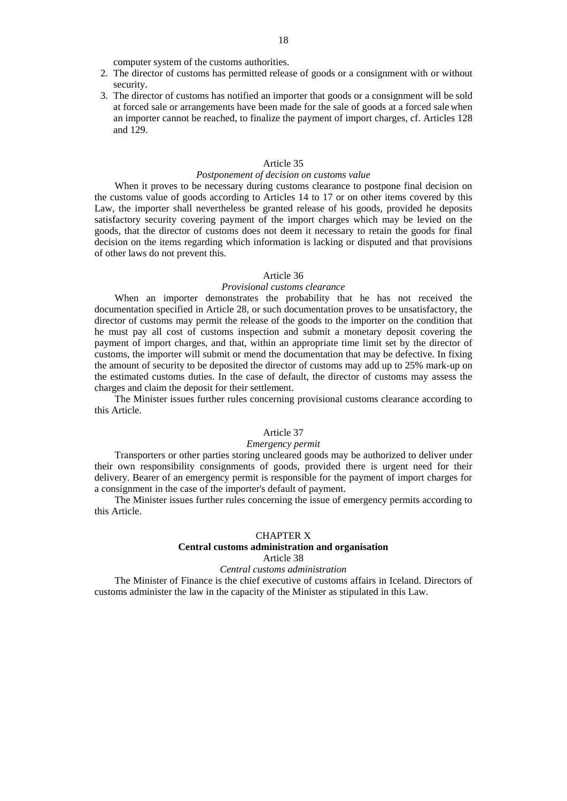computer system of the customs authorities.

- 2. The director of customs has permitted release of goods or a consignment with or without security.
- 3. The director of customs has notified an importer that goods or a consignment will be sold at forced sale or arrangements have been made for the sale of goods at a forced sale when an importer cannot be reached, to finalize the payment of import charges, cf. Articles 128 and 129.

### Article 35

# *Postponement of decision on customs value*

When it proves to be necessary during customs clearance to postpone final decision on the customs value of goods according to Articles 14 to 17 or on other items covered by this Law, the importer shall nevertheless be granted release of his goods, provided he deposits satisfactory security covering payment of the import charges which may be levied on the goods, that the director of customs does not deem it necessary to retain the goods for final decision on the items regarding which information is lacking or disputed and that provisions of other laws do not prevent this.

### Article 36

### *Provisional customs clearance*

When an importer demonstrates the probability that he has not received the documentation specified in Article 28, or such documentation proves to be unsatisfactory, the director of customs may permit the release of the goods to the importer on the condition that he must pay all cost of customs inspection and submit a monetary deposit covering the payment of import charges, and that, within an appropriate time limit set by the director of customs, the importer will submit or mend the documentation that may be defective. In fixing the amount of security to be deposited the director of customs may add up to 25% mark-up on the estimated customs duties. In the case of default, the director of customs may assess the charges and claim the deposit for their settlement.

The Minister issues further rules concerning provisional customs clearance according to this Article.

### Article 37

### *Emergency permit*

Transporters or other parties storing uncleared goods may be authorized to deliver under their own responsibility consignments of goods, provided there is urgent need for their delivery. Bearer of an emergency permit is responsible for the payment of import charges for a consignment in the case of the importer's default of payment.

The Minister issues further rules concerning the issue of emergency permits according to this Article.

### CHAPTER X

# **Central customs administration and organisation**

# Article 38

### *Central customs administration*

The Minister of Finance is the chief executive of customs affairs in Iceland. Directors of customs administer the law in the capacity of the Minister as stipulated in this Law.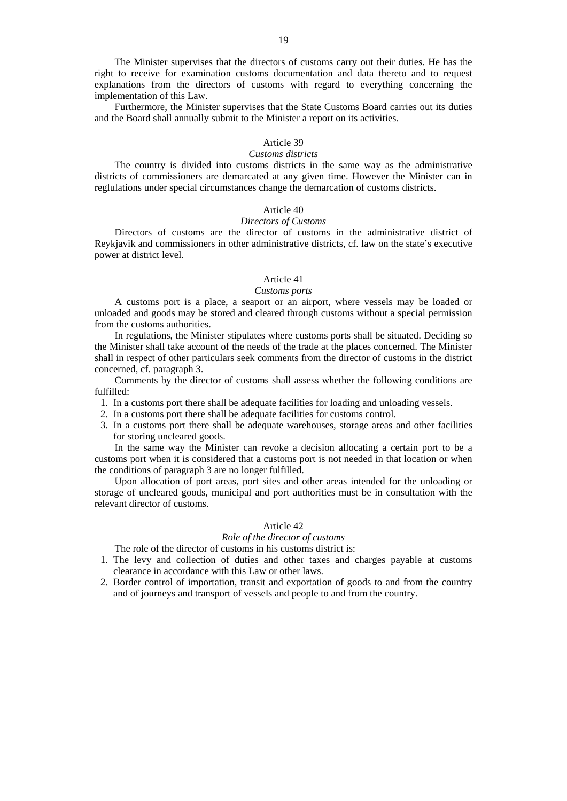The Minister supervises that the directors of customs carry out their duties. He has the right to receive for examination customs documentation and data thereto and to request explanations from the directors of customs with regard to everything concerning the implementation of this Law.

Furthermore, the Minister supervises that the State Customs Board carries out its duties and the Board shall annually submit to the Minister a report on its activities.

# Article 39

### *Customs districts*

The country is divided into customs districts in the same way as the administrative districts of commissioners are demarcated at any given time. However the Minister can in reglulations under special circumstances change the demarcation of customs districts.

### Article 40

### *Directors of Customs*

Directors of customs are the director of customs in the administrative district of Reykjavik and commissioners in other administrative districts, cf. law on the state's executive power at district level.

### Article 41

### *Customs ports*

A customs port is a place, a seaport or an airport, where vessels may be loaded or unloaded and goods may be stored and cleared through customs without a special permission from the customs authorities.

In regulations, the Minister stipulates where customs ports shall be situated. Deciding so the Minister shall take account of the needs of the trade at the places concerned. The Minister shall in respect of other particulars seek comments from the director of customs in the district concerned, cf. paragraph 3.

Comments by the director of customs shall assess whether the following conditions are fulfilled:

- 1. In a customs port there shall be adequate facilities for loading and unloading vessels.
- 2. In a customs port there shall be adequate facilities for customs control.
- 3. In a customs port there shall be adequate warehouses, storage areas and other facilities for storing uncleared goods.

In the same way the Minister can revoke a decision allocating a certain port to be a customs port when it is considered that a customs port is not needed in that location or when the conditions of paragraph 3 are no longer fulfilled.

Upon allocation of port areas, port sites and other areas intended for the unloading or storage of uncleared goods, municipal and port authorities must be in consultation with the relevant director of customs.

## Article 42

# *Role of the director of customs*

The role of the director of customs in his customs district is:

- 1. The levy and collection of duties and other taxes and charges payable at customs clearance in accordance with this Law or other laws.
- 2. Border control of importation, transit and exportation of goods to and from the country and of journeys and transport of vessels and people to and from the country.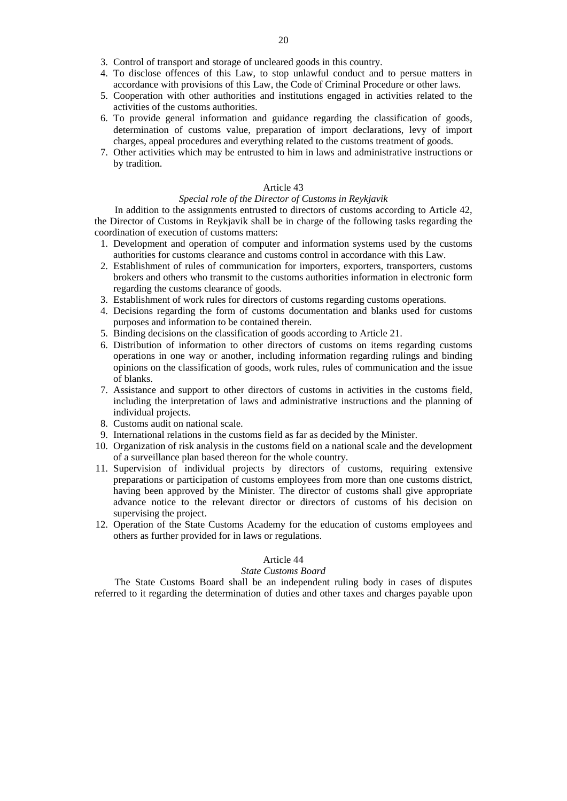- 3. Control of transport and storage of uncleared goods in this country.
- 4. To disclose offences of this Law, to stop unlawful conduct and to persue matters in accordance with provisions of this Law, the Code of Criminal Procedure or other laws.
- 5. Cooperation with other authorities and institutions engaged in activities related to the activities of the customs authorities.
- 6. To provide general information and guidance regarding the classification of goods, determination of customs value, preparation of import declarations, levy of import charges, appeal procedures and everything related to the customs treatment of goods.
- 7. Other activities which may be entrusted to him in laws and administrative instructions or by tradition.

## Article 43

### *Special role of the Director of Customs in Reykjavik*

In addition to the assignments entrusted to directors of customs according to Article 42, the Director of Customs in Reykjavik shall be in charge of the following tasks regarding the coordination of execution of customs matters:

- 1. Development and operation of computer and information systems used by the customs authorities for customs clearance and customs control in accordance with this Law.
- 2. Establishment of rules of communication for importers, exporters, transporters, customs brokers and others who transmit to the customs authorities information in electronic form regarding the customs clearance of goods.
- 3. Establishment of work rules for directors of customs regarding customs operations.
- 4. Decisions regarding the form of customs documentation and blanks used for customs purposes and information to be contained therein.
- 5. Binding decisions on the classification of goods according to Article 21.
- 6. Distribution of information to other directors of customs on items regarding customs operations in one way or another, including information regarding rulings and binding opinions on the classification of goods, work rules, rules of communication and the issue of blanks.
- 7. Assistance and support to other directors of customs in activities in the customs field, including the interpretation of laws and administrative instructions and the planning of individual projects.
- 8. Customs audit on national scale.
- 9. International relations in the customs field as far as decided by the Minister.
- 10. Organization of risk analysis in the customs field on a national scale and the development of a surveillance plan based thereon for the whole country.
- 11. Supervision of individual projects by directors of customs, requiring extensive preparations or participation of customs employees from more than one customs district, having been approved by the Minister. The director of customs shall give appropriate advance notice to the relevant director or directors of customs of his decision on supervising the project.
- 12. Operation of the State Customs Academy for the education of customs employees and others as further provided for in laws or regulations.

# Article 44

# *State Customs Board*

The State Customs Board shall be an independent ruling body in cases of disputes referred to it regarding the determination of duties and other taxes and charges payable upon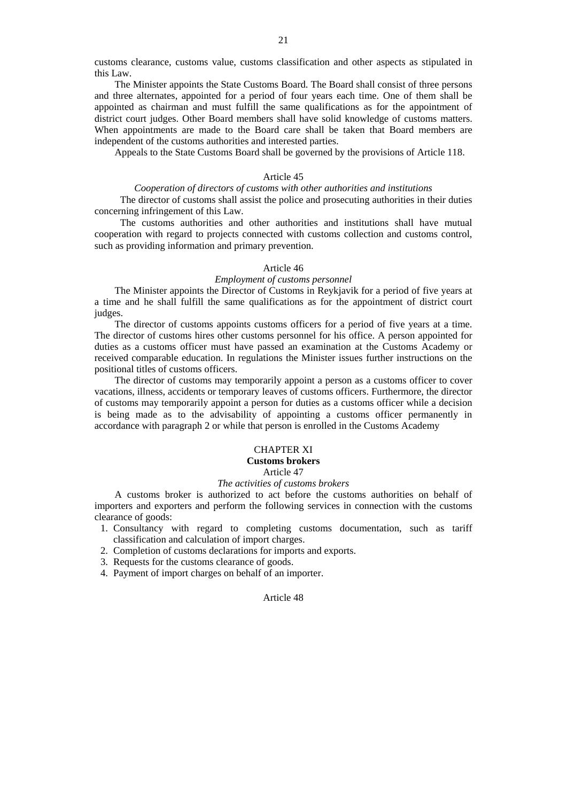customs clearance, customs value, customs classification and other aspects as stipulated in this Law.

The Minister appoints the State Customs Board. The Board shall consist of three persons and three alternates, appointed for a period of four years each time. One of them shall be appointed as chairman and must fulfill the same qualifications as for the appointment of district court judges. Other Board members shall have solid knowledge of customs matters. When appointments are made to the Board care shall be taken that Board members are independent of the customs authorities and interested parties.

Appeals to the State Customs Board shall be governed by the provisions of Article 118.

### Article 45

### *Cooperation of directors of customs with other authorities and institutions*

The director of customs shall assist the police and prosecuting authorities in their duties concerning infringement of this Law.

The customs authorities and other authorities and institutions shall have mutual cooperation with regard to projects connected with customs collection and customs control, such as providing information and primary prevention.

# Article 46

## *Employment of customs personnel*

The Minister appoints the Director of Customs in Reykjavik for a period of five years at a time and he shall fulfill the same qualifications as for the appointment of district court judges.

The director of customs appoints customs officers for a period of five years at a time. The director of customs hires other customs personnel for his office. A person appointed for duties as a customs officer must have passed an examination at the Customs Academy or received comparable education. In regulations the Minister issues further instructions on the positional titles of customs officers.

The director of customs may temporarily appoint a person as a customs officer to cover vacations, illness, accidents or temporary leaves of customs officers. Furthermore, the director of customs may temporarily appoint a person for duties as a customs officer while a decision is being made as to the advisability of appointing a customs officer permanently in accordance with paragraph 2 or while that person is enrolled in the Customs Academy

### CHAPTER XI **Customs brokers**

### Article 47

### *The activities of customs brokers*

A customs broker is authorized to act before the customs authorities on behalf of importers and exporters and perform the following services in connection with the customs clearance of goods:

- 1. Consultancy with regard to completing customs documentation, such as tariff classification and calculation of import charges.
- 2. Completion of customs declarations for imports and exports.
- 3. Requests for the customs clearance of goods.
- 4. Payment of import charges on behalf of an importer.

# Article 48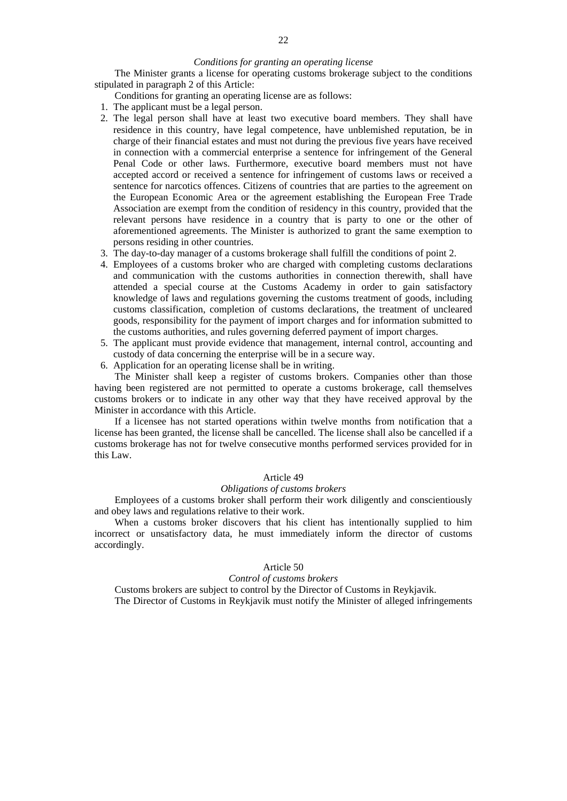### *Conditions for granting an operating license*

The Minister grants a license for operating customs brokerage subject to the conditions stipulated in paragraph 2 of this Article:

- Conditions for granting an operating license are as follows:
- 1. The applicant must be a legal person.
- 2. The legal person shall have at least two executive board members. They shall have residence in this country, have legal competence, have unblemished reputation, be in charge of their financial estates and must not during the previous five years have received in connection with a commercial enterprise a sentence for infringement of the General Penal Code or other laws. Furthermore, executive board members must not have accepted accord or received a sentence for infringement of customs laws or received a sentence for narcotics offences. Citizens of countries that are parties to the agreement on the European Economic Area or the agreement establishing the European Free Trade Association are exempt from the condition of residency in this country, provided that the relevant persons have residence in a country that is party to one or the other of aforementioned agreements. The Minister is authorized to grant the same exemption to persons residing in other countries.
- 3. The day-to-day manager of a customs brokerage shall fulfill the conditions of point 2.
- 4. Employees of a customs broker who are charged with completing customs declarations and communication with the customs authorities in connection therewith, shall have attended a special course at the Customs Academy in order to gain satisfactory knowledge of laws and regulations governing the customs treatment of goods, including customs classification, completion of customs declarations, the treatment of uncleared goods, responsibility for the payment of import charges and for information submitted to the customs authorities, and rules governing deferred payment of import charges.
- 5. The applicant must provide evidence that management, internal control, accounting and custody of data concerning the enterprise will be in a secure way.
- 6. Application for an operating license shall be in writing.

The Minister shall keep a register of customs brokers. Companies other than those having been registered are not permitted to operate a customs brokerage, call themselves customs brokers or to indicate in any other way that they have received approval by the Minister in accordance with this Article.

If a licensee has not started operations within twelve months from notification that a license has been granted, the license shall be cancelled. The license shall also be cancelled if a customs brokerage has not for twelve consecutive months performed services provided for in this Law.

### Article 49

### *Obligations of customs brokers*

Employees of a customs broker shall perform their work diligently and conscientiously and obey laws and regulations relative to their work.

When a customs broker discovers that his client has intentionally supplied to him incorrect or unsatisfactory data, he must immediately inform the director of customs accordingly.

#### Article 50

#### *Control of customs brokers*

Customs brokers are subject to control by the Director of Customs in Reykjavik. The Director of Customs in Reykjavik must notify the Minister of alleged infringements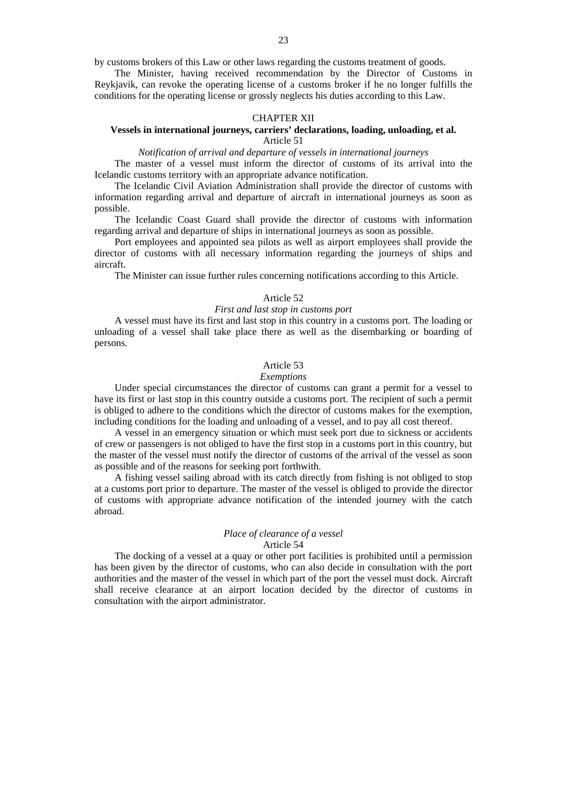by customs brokers of this Law or other laws regarding the customs treatment of goods.

The Minister, having received recommendation by the Director of Customs in Reykjavik, can revoke the operating license of a customs broker if he no longer fulfills the conditions for the operating license or grossly neglects his duties according to this Law.

### CHAPTER XII

### **Vessels in international journeys, carriers' declarations, loading, unloading, et al.**  Article 51

*Notification of arrival and departure of vessels in international journeys* 

The master of a vessel must inform the director of customs of its arrival into the Icelandic customs territory with an appropriate advance notification.

The Icelandic Civil Aviation Administration shall provide the director of customs with information regarding arrival and departure of aircraft in international journeys as soon as possible.

The Icelandic Coast Guard shall provide the director of customs with information regarding arrival and departure of ships in international journeys as soon as possible.

Port employees and appointed sea pilots as well as airport employees shall provide the director of customs with all necessary information regarding the journeys of ships and aircraft.

The Minister can issue further rules concerning notifications according to this Article.

#### Article 52

### *First and last stop in customs port*

A vessel must have its first and last stop in this country in a customs port. The loading or unloading of a vessel shall take place there as well as the disembarking or boarding of persons.

### Article 53

#### *Exemptions*

Under special circumstances the director of customs can grant a permit for a vessel to have its first or last stop in this country outside a customs port. The recipient of such a permit is obliged to adhere to the conditions which the director of customs makes for the exemption, including conditions for the loading and unloading of a vessel, and to pay all cost thereof.

A vessel in an emergency situation or which must seek port due to sickness or accidents of crew or passengers is not obliged to have the first stop in a customs port in this country, but the master of the vessel must notify the director of customs of the arrival of the vessel as soon as possible and of the reasons for seeking port forthwith.

A fishing vessel sailing abroad with its catch directly from fishing is not obliged to stop at a customs port prior to departure. The master of the vessel is obliged to provide the director of customs with appropriate advance notification of the intended journey with the catch abroad.

### *Place of clearance of a vessel*  Article 54

The docking of a vessel at a quay or other port facilities is prohibited until a permission has been given by the director of customs, who can also decide in consultation with the port authorities and the master of the vessel in which part of the port the vessel must dock. Aircraft shall receive clearance at an airport location decided by the director of customs in consultation with the airport administrator.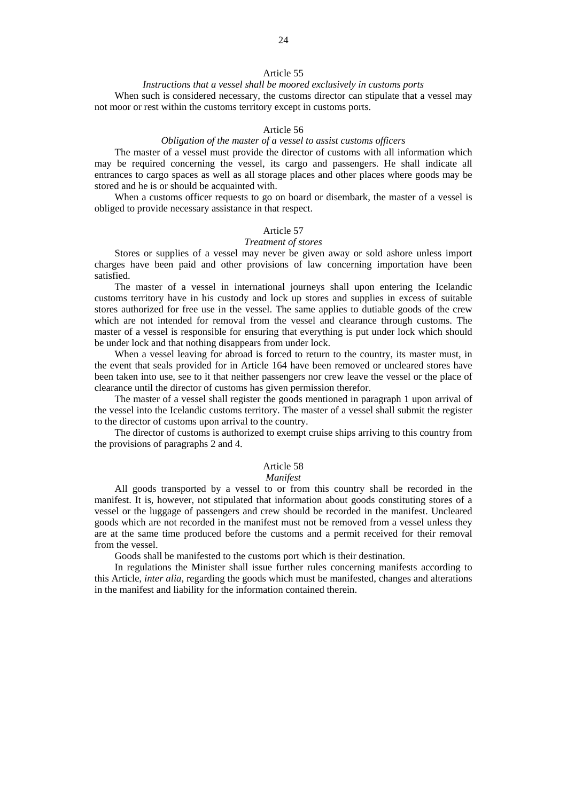# *Instructions that a vessel shall be moored exclusively in customs ports*  When such is considered necessary, the customs director can stipulate that a vessel may not moor or rest within the customs territory except in customs ports.

### Article 56

### *Obligation of the master of a vessel to assist customs officers*

The master of a vessel must provide the director of customs with all information which may be required concerning the vessel, its cargo and passengers. He shall indicate all entrances to cargo spaces as well as all storage places and other places where goods may be stored and he is or should be acquainted with.

When a customs officer requests to go on board or disembark, the master of a vessel is obliged to provide necessary assistance in that respect.

#### Article 57

#### *Treatment of stores*

Stores or supplies of a vessel may never be given away or sold ashore unless import charges have been paid and other provisions of law concerning importation have been satisfied.

The master of a vessel in international journeys shall upon entering the Icelandic customs territory have in his custody and lock up stores and supplies in excess of suitable stores authorized for free use in the vessel. The same applies to dutiable goods of the crew which are not intended for removal from the vessel and clearance through customs. The master of a vessel is responsible for ensuring that everything is put under lock which should be under lock and that nothing disappears from under lock.

When a vessel leaving for abroad is forced to return to the country, its master must, in the event that seals provided for in Article 164 have been removed or uncleared stores have been taken into use, see to it that neither passengers nor crew leave the vessel or the place of clearance until the director of customs has given permission therefor.

The master of a vessel shall register the goods mentioned in paragraph 1 upon arrival of the vessel into the Icelandic customs territory. The master of a vessel shall submit the register to the director of customs upon arrival to the country.

The director of customs is authorized to exempt cruise ships arriving to this country from the provisions of paragraphs 2 and 4.

# Article 58

# *Manifest*

All goods transported by a vessel to or from this country shall be recorded in the manifest. It is, however, not stipulated that information about goods constituting stores of a vessel or the luggage of passengers and crew should be recorded in the manifest. Uncleared goods which are not recorded in the manifest must not be removed from a vessel unless they are at the same time produced before the customs and a permit received for their removal from the vessel.

Goods shall be manifested to the customs port which is their destination.

In regulations the Minister shall issue further rules concerning manifests according to this Article, *inter alia,* regarding the goods which must be manifested, changes and alterations in the manifest and liability for the information contained therein.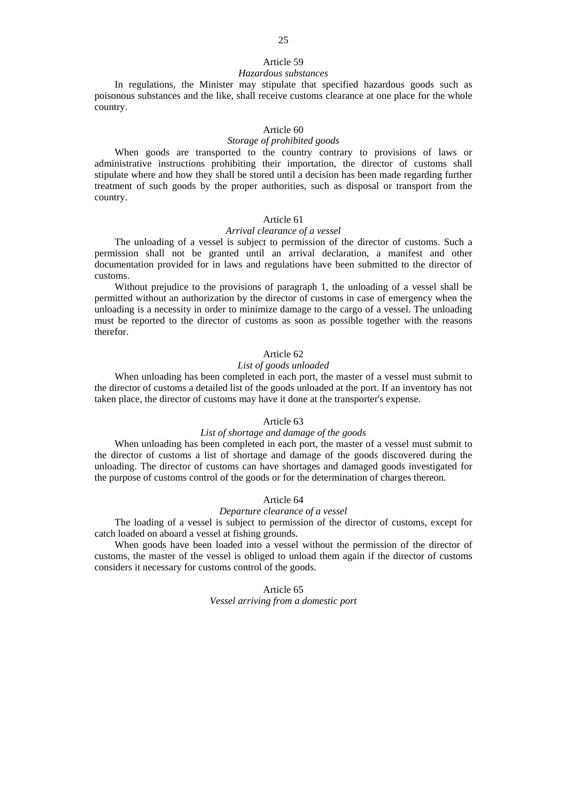### Article 59

### *Hazardous substances*

In regulations, the Minister may stipulate that specified hazardous goods such as poisonous substances and the like, shall receive customs clearance at one place for the whole country.

### Article 60

### *Storage of prohibited goods*

When goods are transported to the country contrary to provisions of laws or administrative instructions prohibiting their importation, the director of customs shall stipulate where and how they shall be stored until a decision has been made regarding further treatment of such goods by the proper authorities, such as disposal or transport from the country.

# Article 61

# *Arrival clearance of a vessel*

The unloading of a vessel is subject to permission of the director of customs. Such a permission shall not be granted until an arrival declaration, a manifest and other documentation provided for in laws and regulations have been submitted to the director of customs.

Without prejudice to the provisions of paragraph 1, the unloading of a vessel shall be permitted without an authorization by the director of customs in case of emergency when the unloading is a necessity in order to minimize damage to the cargo of a vessel. The unloading must be reported to the director of customs as soon as possible together with the reasons therefor.

# Article 62

#### *List of goods unloaded*

When unloading has been completed in each port, the master of a vessel must submit to the director of customs a detailed list of the goods unloaded at the port. If an inventory has not taken place, the director of customs may have it done at the transporter's expense.

# Article 63

### *List of shortage and damage of the goods*

When unloading has been completed in each port, the master of a vessel must submit to the director of customs a list of shortage and damage of the goods discovered during the unloading. The director of customs can have shortages and damaged goods investigated for the purpose of customs control of the goods or for the determination of charges thereon.

# Article 64

### *Departure clearance of a vessel*

The loading of a vessel is subject to permission of the director of customs, except for catch loaded on aboard a vessel at fishing grounds.

When goods have been loaded into a vessel without the permission of the director of customs, the master of the vessel is obliged to unload them again if the director of customs considers it necessary for customs control of the goods.

> Article 65 *Vessel arriving from a domestic port*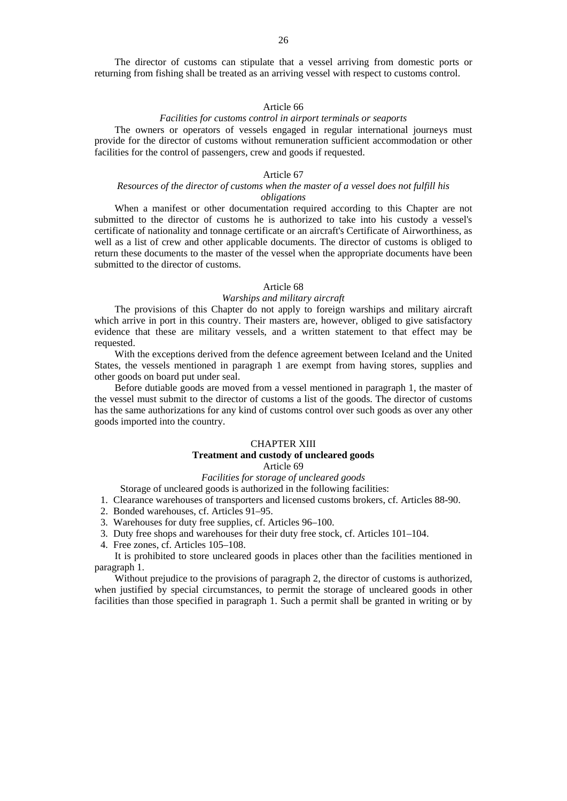The director of customs can stipulate that a vessel arriving from domestic ports or returning from fishing shall be treated as an arriving vessel with respect to customs control.

### Article 66

### *Facilities for customs control in airport terminals or seaports*

The owners or operators of vessels engaged in regular international journeys must provide for the director of customs without remuneration sufficient accommodation or other facilities for the control of passengers, crew and goods if requested.

# Article 67

### *Resources of the director of customs when the master of a vessel does not fulfill his obligations*

When a manifest or other documentation required according to this Chapter are not submitted to the director of customs he is authorized to take into his custody a vessel's certificate of nationality and tonnage certificate or an aircraft's Certificate of Airworthiness, as well as a list of crew and other applicable documents. The director of customs is obliged to return these documents to the master of the vessel when the appropriate documents have been submitted to the director of customs.

# Article 68

### *Warships and military aircraft*

The provisions of this Chapter do not apply to foreign warships and military aircraft which arrive in port in this country. Their masters are, however, obliged to give satisfactory evidence that these are military vessels, and a written statement to that effect may be requested.

With the exceptions derived from the defence agreement between Iceland and the United States, the vessels mentioned in paragraph 1 are exempt from having stores, supplies and other goods on board put under seal.

Before dutiable goods are moved from a vessel mentioned in paragraph 1, the master of the vessel must submit to the director of customs a list of the goods. The director of customs has the same authorizations for any kind of customs control over such goods as over any other goods imported into the country.

# CHAPTER XIII

# **Treatment and custody of uncleared goods**

### Article 69

# *Facilities for storage of uncleared goods*

Storage of uncleared goods is authorized in the following facilities:

- 1. Clearance warehouses of transporters and licensed customs brokers, cf. Articles 88-90.
- 2. Bonded warehouses, cf. Articles 91–95.
- 3. Warehouses for duty free supplies, cf. Articles 96–100.
- 3. Duty free shops and warehouses for their duty free stock, cf. Articles 101–104.
- 4. Free zones, cf. Articles 105–108.

It is prohibited to store uncleared goods in places other than the facilities mentioned in paragraph 1.

Without prejudice to the provisions of paragraph 2, the director of customs is authorized, when justified by special circumstances, to permit the storage of uncleared goods in other facilities than those specified in paragraph 1. Such a permit shall be granted in writing or by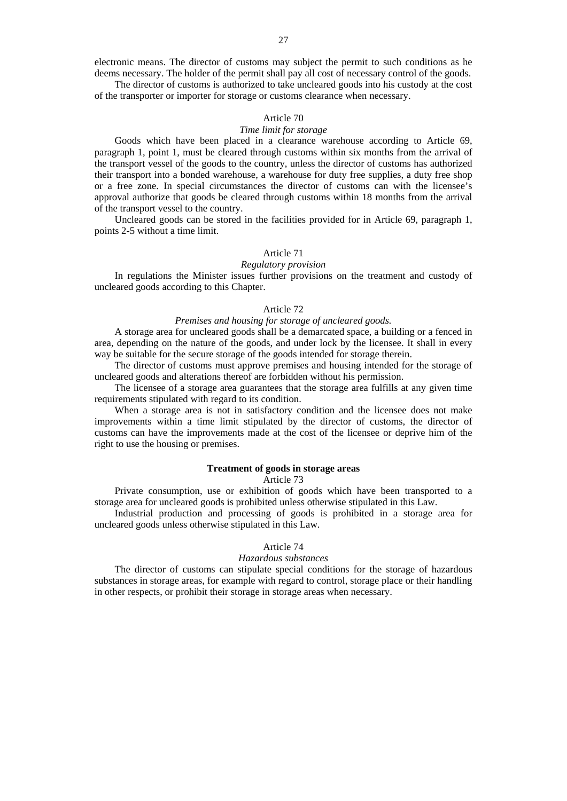electronic means. The director of customs may subject the permit to such conditions as he deems necessary. The holder of the permit shall pay all cost of necessary control of the goods.

The director of customs is authorized to take uncleared goods into his custody at the cost of the transporter or importer for storage or customs clearance when necessary.

### Article 70

# *Time limit for storage*

Goods which have been placed in a clearance warehouse according to Article 69, paragraph 1, point 1, must be cleared through customs within six months from the arrival of the transport vessel of the goods to the country, unless the director of customs has authorized their transport into a bonded warehouse, a warehouse for duty free supplies, a duty free shop or a free zone. In special circumstances the director of customs can with the licensee's approval authorize that goods be cleared through customs within 18 months from the arrival of the transport vessel to the country.

Uncleared goods can be stored in the facilities provided for in Article 69, paragraph 1, points 2-5 without a time limit.

# Article 71

### *Regulatory provision*

In regulations the Minister issues further provisions on the treatment and custody of uncleared goods according to this Chapter.

### Article 72

# *Premises and housing for storage of uncleared goods.*

A storage area for uncleared goods shall be a demarcated space, a building or a fenced in area, depending on the nature of the goods, and under lock by the licensee. It shall in every way be suitable for the secure storage of the goods intended for storage therein.

The director of customs must approve premises and housing intended for the storage of uncleared goods and alterations thereof are forbidden without his permission.

The licensee of a storage area guarantees that the storage area fulfills at any given time requirements stipulated with regard to its condition.

When a storage area is not in satisfactory condition and the licensee does not make improvements within a time limit stipulated by the director of customs, the director of customs can have the improvements made at the cost of the licensee or deprive him of the right to use the housing or premises.

# **Treatment of goods in storage areas**

#### Article 73

Private consumption, use or exhibition of goods which have been transported to a storage area for uncleared goods is prohibited unless otherwise stipulated in this Law.

Industrial production and processing of goods is prohibited in a storage area for uncleared goods unless otherwise stipulated in this Law.

### Article 74

### *Hazardous substances*

The director of customs can stipulate special conditions for the storage of hazardous substances in storage areas, for example with regard to control, storage place or their handling in other respects, or prohibit their storage in storage areas when necessary.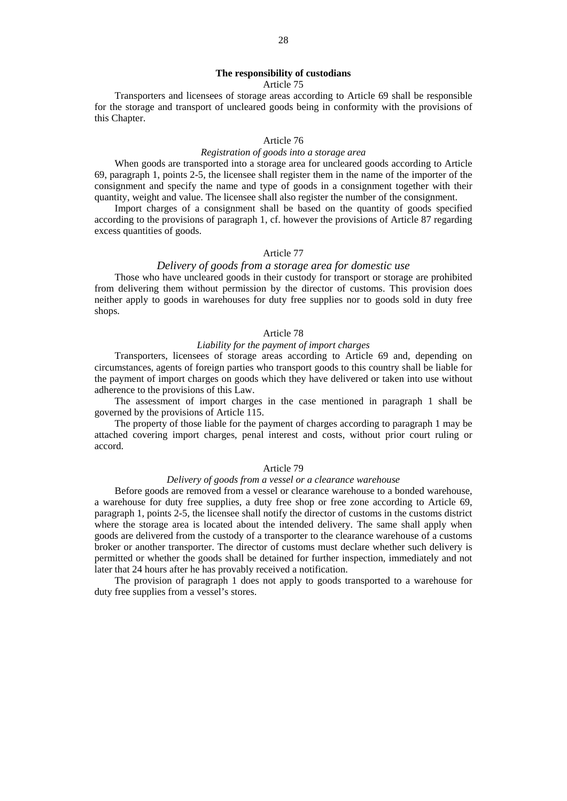Article 75

Transporters and licensees of storage areas according to Article 69 shall be responsible for the storage and transport of uncleared goods being in conformity with the provisions of this Chapter.

# Article 76

### *Registration of goods into a storage area*

When goods are transported into a storage area for uncleared goods according to Article 69, paragraph 1, points 2-5, the licensee shall register them in the name of the importer of the consignment and specify the name and type of goods in a consignment together with their quantity, weight and value. The licensee shall also register the number of the consignment.

Import charges of a consignment shall be based on the quantity of goods specified according to the provisions of paragraph 1, cf. however the provisions of Article 87 regarding excess quantities of goods.

### Article 77

# *Delivery of goods from a storage area for domestic use*

Those who have uncleared goods in their custody for transport or storage are prohibited from delivering them without permission by the director of customs. This provision does neither apply to goods in warehouses for duty free supplies nor to goods sold in duty free shops.

### Article 78

# *Liability for the payment of import charges*

Transporters, licensees of storage areas according to Article 69 and, depending on circumstances, agents of foreign parties who transport goods to this country shall be liable for the payment of import charges on goods which they have delivered or taken into use without adherence to the provisions of this Law.

The assessment of import charges in the case mentioned in paragraph 1 shall be governed by the provisions of Article 115.

The property of those liable for the payment of charges according to paragraph 1 may be attached covering import charges, penal interest and costs, without prior court ruling or accord.

### Article 79

# *Delivery of goods from a vessel or a clearance warehouse*

Before goods are removed from a vessel or clearance warehouse to a bonded warehouse, a warehouse for duty free supplies, a duty free shop or free zone according to Article 69, paragraph 1, points 2-5, the licensee shall notify the director of customs in the customs district where the storage area is located about the intended delivery. The same shall apply when goods are delivered from the custody of a transporter to the clearance warehouse of a customs broker or another transporter. The director of customs must declare whether such delivery is permitted or whether the goods shall be detained for further inspection, immediately and not later that 24 hours after he has provably received a notification.

The provision of paragraph 1 does not apply to goods transported to a warehouse for duty free supplies from a vessel's stores.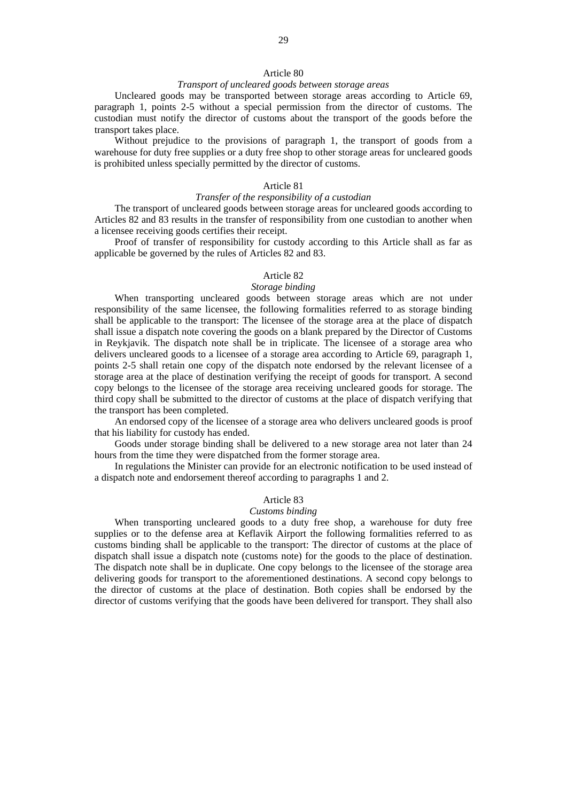### Article 80

## *Transport of uncleared goods between storage areas*

Uncleared goods may be transported between storage areas according to Article 69, paragraph 1, points 2-5 without a special permission from the director of customs. The custodian must notify the director of customs about the transport of the goods before the transport takes place.

Without prejudice to the provisions of paragraph 1, the transport of goods from a warehouse for duty free supplies or a duty free shop to other storage areas for uncleared goods is prohibited unless specially permitted by the director of customs.

### Article 81

### *Transfer of the responsibility of a custodian*

The transport of uncleared goods between storage areas for uncleared goods according to Articles 82 and 83 results in the transfer of responsibility from one custodian to another when a licensee receiving goods certifies their receipt.

Proof of transfer of responsibility for custody according to this Article shall as far as applicable be governed by the rules of Articles 82 and 83.

# Article 82

# *Storage binding*

When transporting uncleared goods between storage areas which are not under responsibility of the same licensee, the following formalities referred to as storage binding shall be applicable to the transport: The licensee of the storage area at the place of dispatch shall issue a dispatch note covering the goods on a blank prepared by the Director of Customs in Reykjavik. The dispatch note shall be in triplicate. The licensee of a storage area who delivers uncleared goods to a licensee of a storage area according to Article 69, paragraph 1, points 2-5 shall retain one copy of the dispatch note endorsed by the relevant licensee of a storage area at the place of destination verifying the receipt of goods for transport. A second copy belongs to the licensee of the storage area receiving uncleared goods for storage. The third copy shall be submitted to the director of customs at the place of dispatch verifying that the transport has been completed.

An endorsed copy of the licensee of a storage area who delivers uncleared goods is proof that his liability for custody has ended.

Goods under storage binding shall be delivered to a new storage area not later than 24 hours from the time they were dispatched from the former storage area.

In regulations the Minister can provide for an electronic notification to be used instead of a dispatch note and endorsement thereof according to paragraphs 1 and 2.

### Article 83

#### *Customs binding*

When transporting uncleared goods to a duty free shop, a warehouse for duty free supplies or to the defense area at Keflavik Airport the following formalities referred to as customs binding shall be applicable to the transport: The director of customs at the place of dispatch shall issue a dispatch note (customs note) for the goods to the place of destination. The dispatch note shall be in duplicate. One copy belongs to the licensee of the storage area delivering goods for transport to the aforementioned destinations. A second copy belongs to the director of customs at the place of destination. Both copies shall be endorsed by the director of customs verifying that the goods have been delivered for transport. They shall also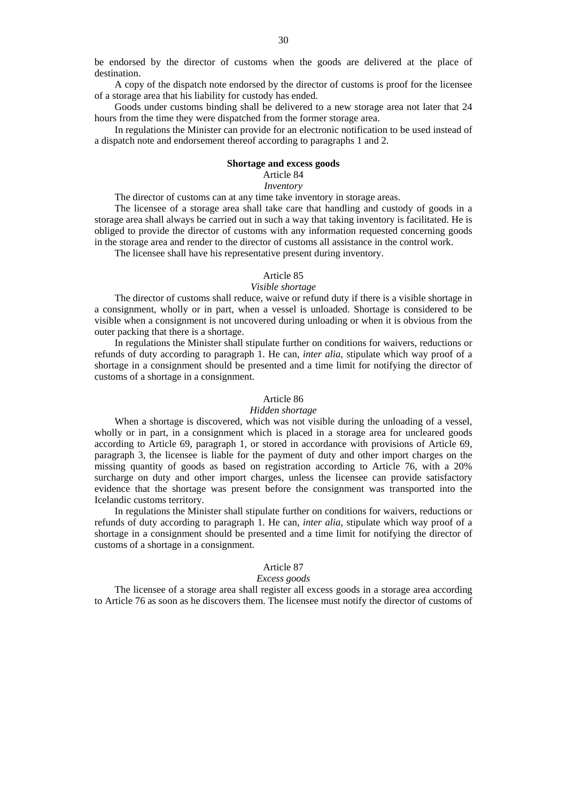be endorsed by the director of customs when the goods are delivered at the place of destination.

A copy of the dispatch note endorsed by the director of customs is proof for the licensee of a storage area that his liability for custody has ended.

Goods under customs binding shall be delivered to a new storage area not later that 24 hours from the time they were dispatched from the former storage area.

In regulations the Minister can provide for an electronic notification to be used instead of a dispatch note and endorsement thereof according to paragraphs 1 and 2.

### **Shortage and excess goods**

# Article 84

# *Inventory*

The director of customs can at any time take inventory in storage areas.

The licensee of a storage area shall take care that handling and custody of goods in a storage area shall always be carried out in such a way that taking inventory is facilitated. He is obliged to provide the director of customs with any information requested concerning goods in the storage area and render to the director of customs all assistance in the control work.

The licensee shall have his representative present during inventory.

## Article 85

# *Visible shortage*

The director of customs shall reduce, waive or refund duty if there is a visible shortage in a consignment, wholly or in part, when a vessel is unloaded. Shortage is considered to be visible when a consignment is not uncovered during unloading or when it is obvious from the outer packing that there is a shortage.

In regulations the Minister shall stipulate further on conditions for waivers, reductions or refunds of duty according to paragraph 1. He can, *inter alia*, stipulate which way proof of a shortage in a consignment should be presented and a time limit for notifying the director of customs of a shortage in a consignment.

#### Article 86

### *Hidden shortage*

When a shortage is discovered, which was not visible during the unloading of a vessel, wholly or in part, in a consignment which is placed in a storage area for uncleared goods according to Article 69, paragraph 1, or stored in accordance with provisions of Article 69, paragraph 3, the licensee is liable for the payment of duty and other import charges on the missing quantity of goods as based on registration according to Article 76, with a 20% surcharge on duty and other import charges, unless the licensee can provide satisfactory evidence that the shortage was present before the consignment was transported into the Icelandic customs territory.

In regulations the Minister shall stipulate further on conditions for waivers, reductions or refunds of duty according to paragraph 1. He can, *inter alia*, stipulate which way proof of a shortage in a consignment should be presented and a time limit for notifying the director of customs of a shortage in a consignment.

#### Article 87

#### *Excess goods*

The licensee of a storage area shall register all excess goods in a storage area according to Article 76 as soon as he discovers them. The licensee must notify the director of customs of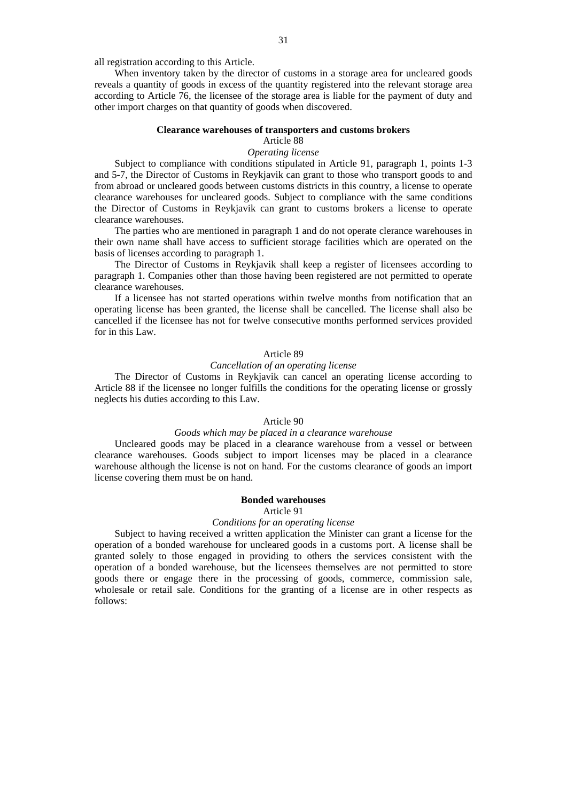all registration according to this Article.

When inventory taken by the director of customs in a storage area for uncleared goods reveals a quantity of goods in excess of the quantity registered into the relevant storage area according to Article 76, the licensee of the storage area is liable for the payment of duty and other import charges on that quantity of goods when discovered.

### **Clearance warehouses of transporters and customs brokers**

# Article 88

# *Operating license*

Subject to compliance with conditions stipulated in Article 91, paragraph 1, points 1-3 and 5-7, the Director of Customs in Reykjavik can grant to those who transport goods to and from abroad or uncleared goods between customs districts in this country, a license to operate clearance warehouses for uncleared goods. Subject to compliance with the same conditions the Director of Customs in Reykjavik can grant to customs brokers a license to operate clearance warehouses.

The parties who are mentioned in paragraph 1 and do not operate clerance warehouses in their own name shall have access to sufficient storage facilities which are operated on the basis of licenses according to paragraph 1.

The Director of Customs in Reykjavik shall keep a register of licensees according to paragraph 1. Companies other than those having been registered are not permitted to operate clearance warehouses.

If a licensee has not started operations within twelve months from notification that an operating license has been granted, the license shall be cancelled. The license shall also be cancelled if the licensee has not for twelve consecutive months performed services provided for in this Law.

### Article 89

### *Cancellation of an operating license*

The Director of Customs in Reykjavik can cancel an operating license according to Article 88 if the licensee no longer fulfills the conditions for the operating license or grossly neglects his duties according to this Law.

# Article 90

### *Goods which may be placed in a clearance warehouse*

Uncleared goods may be placed in a clearance warehouse from a vessel or between clearance warehouses. Goods subject to import licenses may be placed in a clearance warehouse although the license is not on hand. For the customs clearance of goods an import license covering them must be on hand.

### **Bonded warehouses** Article 91

#### *Conditions for an operating license*

Subject to having received a written application the Minister can grant a license for the operation of a bonded warehouse for uncleared goods in a customs port. A license shall be granted solely to those engaged in providing to others the services consistent with the operation of a bonded warehouse, but the licensees themselves are not permitted to store goods there or engage there in the processing of goods, commerce, commission sale, wholesale or retail sale. Conditions for the granting of a license are in other respects as follows: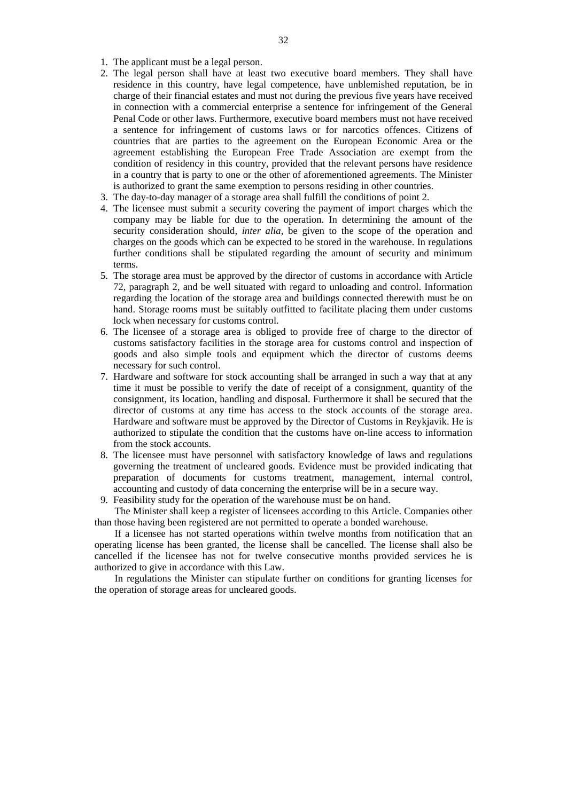- 1. The applicant must be a legal person.
- 2. The legal person shall have at least two executive board members. They shall have residence in this country, have legal competence, have unblemished reputation, be in charge of their financial estates and must not during the previous five years have received in connection with a commercial enterprise a sentence for infringement of the General Penal Code or other laws. Furthermore, executive board members must not have received a sentence for infringement of customs laws or for narcotics offences. Citizens of countries that are parties to the agreement on the European Economic Area or the agreement establishing the European Free Trade Association are exempt from the condition of residency in this country, provided that the relevant persons have residence in a country that is party to one or the other of aforementioned agreements. The Minister is authorized to grant the same exemption to persons residing in other countries.
- 3. The day-to-day manager of a storage area shall fulfill the conditions of point 2.
- 4. The licensee must submit a security covering the payment of import charges which the company may be liable for due to the operation. In determining the amount of the security consideration should, *inter alia*, be given to the scope of the operation and charges on the goods which can be expected to be stored in the warehouse. In regulations further conditions shall be stipulated regarding the amount of security and minimum terms.
- 5. The storage area must be approved by the director of customs in accordance with Article 72, paragraph 2, and be well situated with regard to unloading and control. Information regarding the location of the storage area and buildings connected therewith must be on hand. Storage rooms must be suitably outfitted to facilitate placing them under customs lock when necessary for customs control.
- 6. The licensee of a storage area is obliged to provide free of charge to the director of customs satisfactory facilities in the storage area for customs control and inspection of goods and also simple tools and equipment which the director of customs deems necessary for such control.
- 7. Hardware and software for stock accounting shall be arranged in such a way that at any time it must be possible to verify the date of receipt of a consignment, quantity of the consignment, its location, handling and disposal. Furthermore it shall be secured that the director of customs at any time has access to the stock accounts of the storage area. Hardware and software must be approved by the Director of Customs in Reykjavik. He is authorized to stipulate the condition that the customs have on-line access to information from the stock accounts.
- 8. The licensee must have personnel with satisfactory knowledge of laws and regulations governing the treatment of uncleared goods. Evidence must be provided indicating that preparation of documents for customs treatment, management, internal control, accounting and custody of data concerning the enterprise will be in a secure way.
- 9. Feasibility study for the operation of the warehouse must be on hand.

The Minister shall keep a register of licensees according to this Article. Companies other than those having been registered are not permitted to operate a bonded warehouse.

If a licensee has not started operations within twelve months from notification that an operating license has been granted, the license shall be cancelled. The license shall also be cancelled if the licensee has not for twelve consecutive months provided services he is authorized to give in accordance with this Law.

In regulations the Minister can stipulate further on conditions for granting licenses for the operation of storage areas for uncleared goods.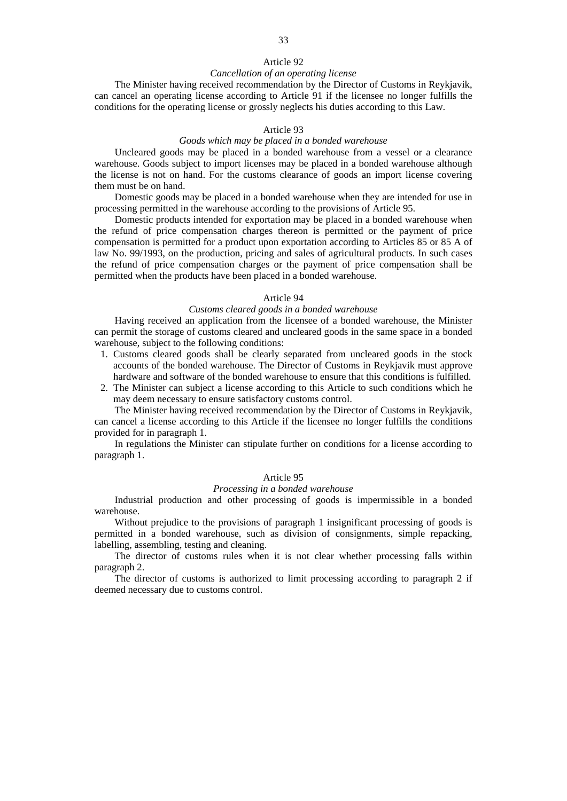# Article 92

#### *Cancellation of an operating license*

The Minister having received recommendation by the Director of Customs in Reykjavik, can cancel an operating license according to Article 91 if the licensee no longer fulfills the conditions for the operating license or grossly neglects his duties according to this Law.

# Article 93

### *Goods which may be placed in a bonded warehouse*

Uncleared goods may be placed in a bonded warehouse from a vessel or a clearance warehouse. Goods subject to import licenses may be placed in a bonded warehouse although the license is not on hand. For the customs clearance of goods an import license covering them must be on hand.

Domestic goods may be placed in a bonded warehouse when they are intended for use in processing permitted in the warehouse according to the provisions of Article 95.

Domestic products intended for exportation may be placed in a bonded warehouse when the refund of price compensation charges thereon is permitted or the payment of price compensation is permitted for a product upon exportation according to Articles 85 or 85 A of law No. 99/1993, on the production, pricing and sales of agricultural products. In such cases the refund of price compensation charges or the payment of price compensation shall be permitted when the products have been placed in a bonded warehouse.

#### Article 94

### *Customs cleared goods in a bonded warehouse*

Having received an application from the licensee of a bonded warehouse, the Minister can permit the storage of customs cleared and uncleared goods in the same space in a bonded warehouse, subject to the following conditions:

- 1. Customs cleared goods shall be clearly separated from uncleared goods in the stock accounts of the bonded warehouse. The Director of Customs in Reykjavik must approve hardware and software of the bonded warehouse to ensure that this conditions is fulfilled.
- 2. The Minister can subject a license according to this Article to such conditions which he may deem necessary to ensure satisfactory customs control.

The Minister having received recommendation by the Director of Customs in Reykjavik, can cancel a license according to this Article if the licensee no longer fulfills the conditions provided for in paragraph 1.

In regulations the Minister can stipulate further on conditions for a license according to paragraph 1.

### Article 95

### *Processing in a bonded warehouse*

Industrial production and other processing of goods is impermissible in a bonded warehouse.

Without prejudice to the provisions of paragraph 1 insignificant processing of goods is permitted in a bonded warehouse, such as division of consignments, simple repacking, labelling, assembling, testing and cleaning.

The director of customs rules when it is not clear whether processing falls within paragraph 2.

The director of customs is authorized to limit processing according to paragraph 2 if deemed necessary due to customs control.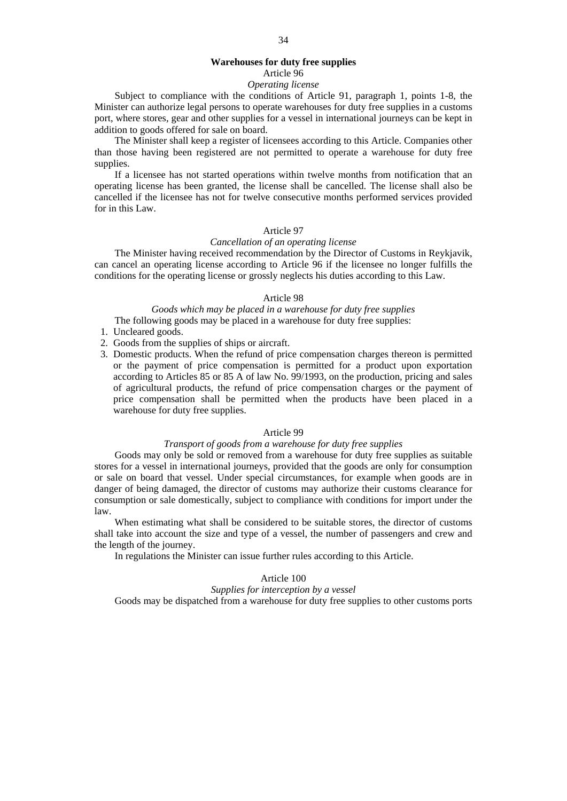# **Warehouses for duty free supplies**

# Article 96

# *Operating license*

Subject to compliance with the conditions of Article 91, paragraph 1, points 1-8, the Minister can authorize legal persons to operate warehouses for duty free supplies in a customs port, where stores, gear and other supplies for a vessel in international journeys can be kept in addition to goods offered for sale on board.

The Minister shall keep a register of licensees according to this Article. Companies other than those having been registered are not permitted to operate a warehouse for duty free supplies.

If a licensee has not started operations within twelve months from notification that an operating license has been granted, the license shall be cancelled. The license shall also be cancelled if the licensee has not for twelve consecutive months performed services provided for in this Law.

### Article 97

#### *Cancellation of an operating license*

The Minister having received recommendation by the Director of Customs in Reykjavik, can cancel an operating license according to Article 96 if the licensee no longer fulfills the conditions for the operating license or grossly neglects his duties according to this Law.

#### Article 98

### *Goods which may be placed in a warehouse for duty free supplies*  The following goods may be placed in a warehouse for duty free supplies:

- 1. Uncleared goods.
- 2. Goods from the supplies of ships or aircraft.
- 3. Domestic products. When the refund of price compensation charges thereon is permitted or the payment of price compensation is permitted for a product upon exportation according to Articles 85 or 85 A of law No. 99/1993, on the production, pricing and sales of agricultural products, the refund of price compensation charges or the payment of price compensation shall be permitted when the products have been placed in a warehouse for duty free supplies.

### Article 99

# *Transport of goods from a warehouse for duty free supplies*

Goods may only be sold or removed from a warehouse for duty free supplies as suitable stores for a vessel in international journeys, provided that the goods are only for consumption or sale on board that vessel. Under special circumstances, for example when goods are in danger of being damaged, the director of customs may authorize their customs clearance for consumption or sale domestically, subject to compliance with conditions for import under the law.

When estimating what shall be considered to be suitable stores, the director of customs shall take into account the size and type of a vessel, the number of passengers and crew and the length of the journey.

In regulations the Minister can issue further rules according to this Article.

#### Article 100

### *Supplies for interception by a vessel*

Goods may be dispatched from a warehouse for duty free supplies to other customs ports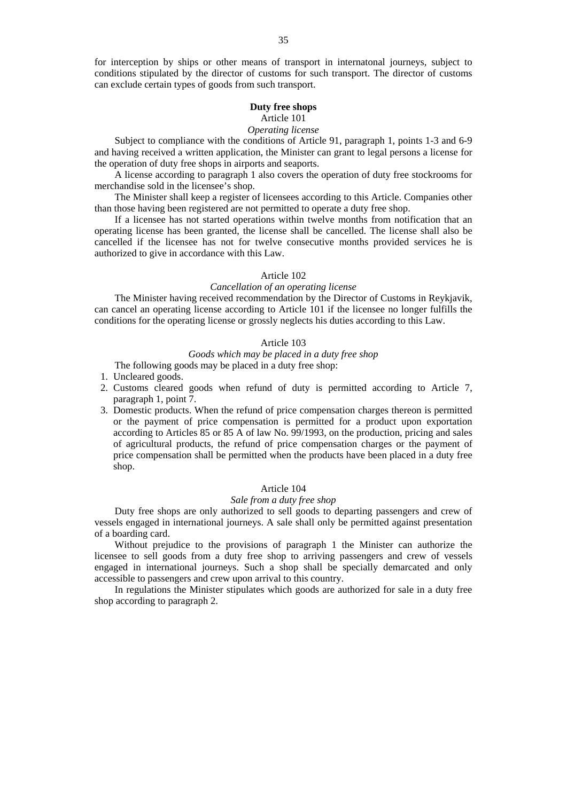for interception by ships or other means of transport in internatonal journeys, subject to conditions stipulated by the director of customs for such transport. The director of customs can exclude certain types of goods from such transport.

# **Duty free shops**

# Article 101

# *Operating license*

Subject to compliance with the conditions of Article 91, paragraph 1, points 1-3 and 6-9 and having received a written application, the Minister can grant to legal persons a license for the operation of duty free shops in airports and seaports.

A license according to paragraph 1 also covers the operation of duty free stockrooms for merchandise sold in the licensee's shop.

The Minister shall keep a register of licensees according to this Article. Companies other than those having been registered are not permitted to operate a duty free shop.

If a licensee has not started operations within twelve months from notification that an operating license has been granted, the license shall be cancelled. The license shall also be cancelled if the licensee has not for twelve consecutive months provided services he is authorized to give in accordance with this Law.

# Article 102

# *Cancellation of an operating license*

The Minister having received recommendation by the Director of Customs in Reykjavik, can cancel an operating license according to Article 101 if the licensee no longer fulfills the conditions for the operating license or grossly neglects his duties according to this Law.

# Article 103

### *Goods which may be placed in a duty free shop*

The following goods may be placed in a duty free shop:

- 1. Uncleared goods.
- 2. Customs cleared goods when refund of duty is permitted according to Article 7, paragraph 1, point 7.
- 3. Domestic products. When the refund of price compensation charges thereon is permitted or the payment of price compensation is permitted for a product upon exportation according to Articles 85 or 85 A of law No. 99/1993, on the production, pricing and sales of agricultural products, the refund of price compensation charges or the payment of price compensation shall be permitted when the products have been placed in a duty free shop.

# Article 104

### *Sale from a duty free shop*

Duty free shops are only authorized to sell goods to departing passengers and crew of vessels engaged in international journeys. A sale shall only be permitted against presentation of a boarding card.

Without prejudice to the provisions of paragraph 1 the Minister can authorize the licensee to sell goods from a duty free shop to arriving passengers and crew of vessels engaged in international journeys. Such a shop shall be specially demarcated and only accessible to passengers and crew upon arrival to this country.

In regulations the Minister stipulates which goods are authorized for sale in a duty free shop according to paragraph 2.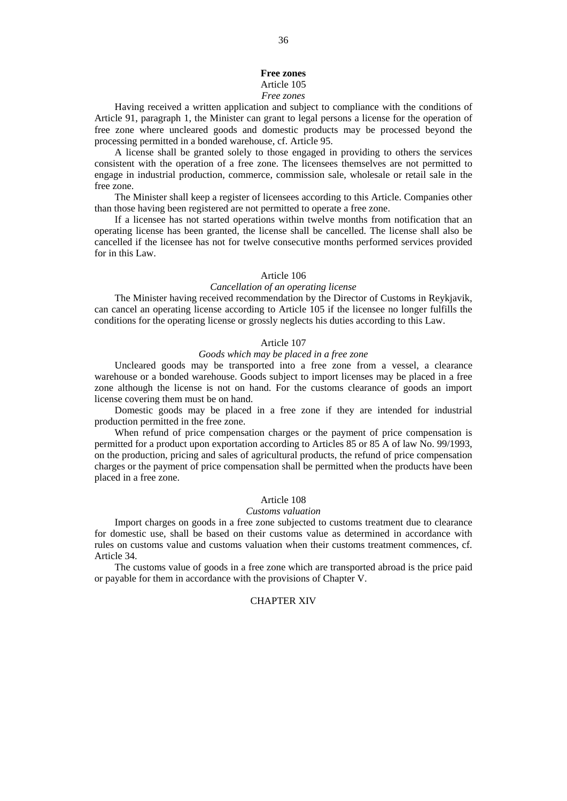# **Free zones**

# Article 105

### *Free zones*

Having received a written application and subject to compliance with the conditions of Article 91, paragraph 1, the Minister can grant to legal persons a license for the operation of free zone where uncleared goods and domestic products may be processed beyond the processing permitted in a bonded warehouse, cf. Article 95.

A license shall be granted solely to those engaged in providing to others the services consistent with the operation of a free zone. The licensees themselves are not permitted to engage in industrial production, commerce, commission sale, wholesale or retail sale in the free zone.

The Minister shall keep a register of licensees according to this Article. Companies other than those having been registered are not permitted to operate a free zone.

If a licensee has not started operations within twelve months from notification that an operating license has been granted, the license shall be cancelled. The license shall also be cancelled if the licensee has not for twelve consecutive months performed services provided for in this Law.

### Article 106

# *Cancellation of an operating license*

The Minister having received recommendation by the Director of Customs in Reykjavik, can cancel an operating license according to Article 105 if the licensee no longer fulfills the conditions for the operating license or grossly neglects his duties according to this Law.

## Article 107

# *Goods which may be placed in a free zone*

Uncleared goods may be transported into a free zone from a vessel, a clearance warehouse or a bonded warehouse. Goods subject to import licenses may be placed in a free zone although the license is not on hand. For the customs clearance of goods an import license covering them must be on hand.

Domestic goods may be placed in a free zone if they are intended for industrial production permitted in the free zone.

When refund of price compensation charges or the payment of price compensation is permitted for a product upon exportation according to Articles 85 or 85 A of law No. 99/1993, on the production, pricing and sales of agricultural products, the refund of price compensation charges or the payment of price compensation shall be permitted when the products have been placed in a free zone.

### Article 108

#### *Customs valuation*

Import charges on goods in a free zone subjected to customs treatment due to clearance for domestic use, shall be based on their customs value as determined in accordance with rules on customs value and customs valuation when their customs treatment commences, cf. Article 34.

The customs value of goods in a free zone which are transported abroad is the price paid or payable for them in accordance with the provisions of Chapter V.

# CHAPTER XIV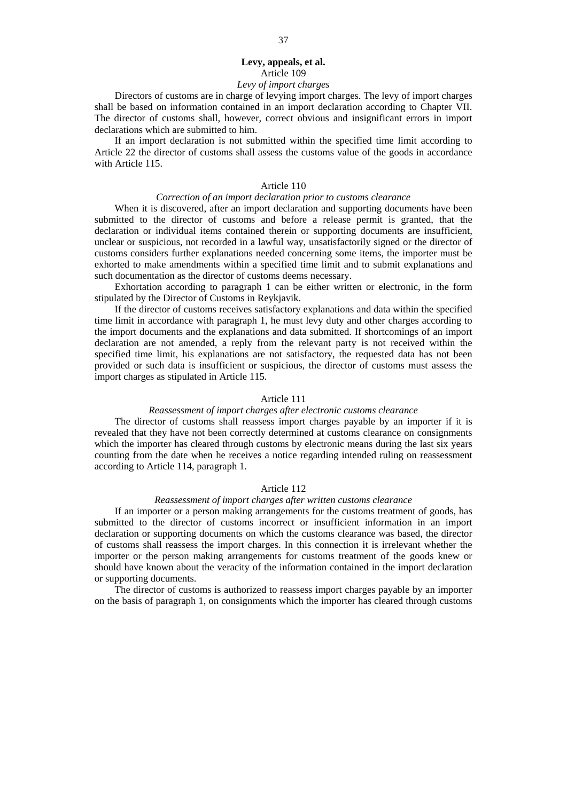# **Levy, appeals, et al.**  Article 109 *Levy of import charges*

Directors of customs are in charge of levying import charges. The levy of import charges shall be based on information contained in an import declaration according to Chapter VII. The director of customs shall, however, correct obvious and insignificant errors in import declarations which are submitted to him.

If an import declaration is not submitted within the specified time limit according to Article 22 the director of customs shall assess the customs value of the goods in accordance with Article 115.

# Article 110

# *Correction of an import declaration prior to customs clearance*

When it is discovered, after an import declaration and supporting documents have been submitted to the director of customs and before a release permit is granted, that the declaration or individual items contained therein or supporting documents are insufficient, unclear or suspicious, not recorded in a lawful way, unsatisfactorily signed or the director of customs considers further explanations needed concerning some items, the importer must be exhorted to make amendments within a specified time limit and to submit explanations and such documentation as the director of customs deems necessary.

Exhortation according to paragraph 1 can be either written or electronic, in the form stipulated by the Director of Customs in Reykjavik.

If the director of customs receives satisfactory explanations and data within the specified time limit in accordance with paragraph 1, he must levy duty and other charges according to the import documents and the explanations and data submitted. If shortcomings of an import declaration are not amended, a reply from the relevant party is not received within the specified time limit, his explanations are not satisfactory, the requested data has not been provided or such data is insufficient or suspicious, the director of customs must assess the import charges as stipulated in Article 115.

### Article 111

### *Reassessment of import charges after electronic customs clearance*

The director of customs shall reassess import charges payable by an importer if it is revealed that they have not been correctly determined at customs clearance on consignments which the importer has cleared through customs by electronic means during the last six years counting from the date when he receives a notice regarding intended ruling on reassessment according to Article 114, paragraph 1.

# Article 112

### *Reassessment of import charges after written customs clearance*

If an importer or a person making arrangements for the customs treatment of goods, has submitted to the director of customs incorrect or insufficient information in an import declaration or supporting documents on which the customs clearance was based, the director of customs shall reassess the import charges. In this connection it is irrelevant whether the importer or the person making arrangements for customs treatment of the goods knew or should have known about the veracity of the information contained in the import declaration or supporting documents.

The director of customs is authorized to reassess import charges payable by an importer on the basis of paragraph 1, on consignments which the importer has cleared through customs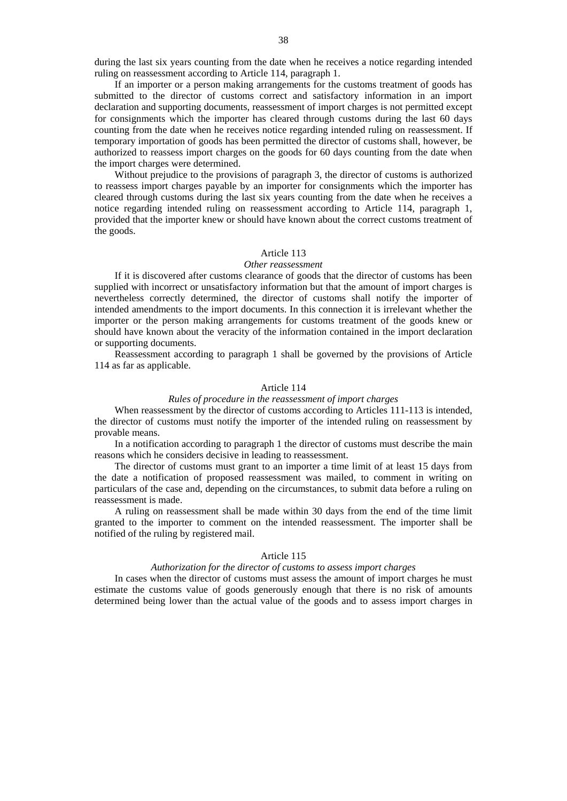during the last six years counting from the date when he receives a notice regarding intended ruling on reassessment according to Article 114, paragraph 1.

If an importer or a person making arrangements for the customs treatment of goods has submitted to the director of customs correct and satisfactory information in an import declaration and supporting documents, reassessment of import charges is not permitted except for consignments which the importer has cleared through customs during the last 60 days counting from the date when he receives notice regarding intended ruling on reassessment. If temporary importation of goods has been permitted the director of customs shall, however, be authorized to reassess import charges on the goods for 60 days counting from the date when the import charges were determined.

Without prejudice to the provisions of paragraph 3, the director of customs is authorized to reassess import charges payable by an importer for consignments which the importer has cleared through customs during the last six years counting from the date when he receives a notice regarding intended ruling on reassessment according to Article 114, paragraph 1, provided that the importer knew or should have known about the correct customs treatment of the goods.

### Article 113

### *Other reassessment*

If it is discovered after customs clearance of goods that the director of customs has been supplied with incorrect or unsatisfactory information but that the amount of import charges is nevertheless correctly determined, the director of customs shall notify the importer of intended amendments to the import documents. In this connection it is irrelevant whether the importer or the person making arrangements for customs treatment of the goods knew or should have known about the veracity of the information contained in the import declaration or supporting documents.

Reassessment according to paragraph 1 shall be governed by the provisions of Article 114 as far as applicable.

# Article 114

### *Rules of procedure in the reassessment of import charges*

When reassessment by the director of customs according to Articles 111-113 is intended, the director of customs must notify the importer of the intended ruling on reassessment by provable means.

In a notification according to paragraph 1 the director of customs must describe the main reasons which he considers decisive in leading to reassessment.

The director of customs must grant to an importer a time limit of at least 15 days from the date a notification of proposed reassessment was mailed, to comment in writing on particulars of the case and, depending on the circumstances, to submit data before a ruling on reassessment is made.

A ruling on reassessment shall be made within 30 days from the end of the time limit granted to the importer to comment on the intended reassessment. The importer shall be notified of the ruling by registered mail.

### Article 115

### *Authorization for the director of customs to assess import charges*

In cases when the director of customs must assess the amount of import charges he must estimate the customs value of goods generously enough that there is no risk of amounts determined being lower than the actual value of the goods and to assess import charges in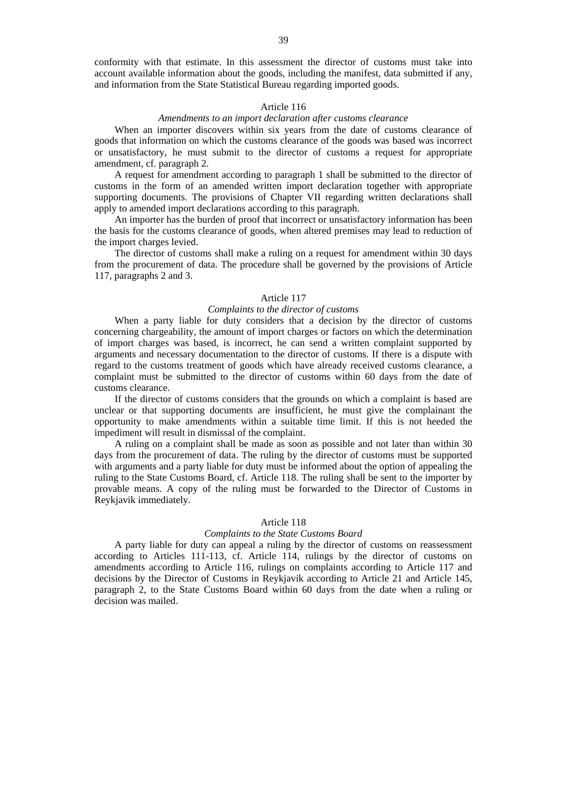conformity with that estimate. In this assessment the director of customs must take into account available information about the goods, including the manifest, data submitted if any, and information from the State Statistical Bureau regarding imported goods.

### Article 116

# *Amendments to an import declaration after customs clearance*

When an importer discovers within six years from the date of customs clearance of goods that information on which the customs clearance of the goods was based was incorrect or unsatisfactory, he must submit to the director of customs a request for appropriate amendment, cf. paragraph 2.

A request for amendment according to paragraph 1 shall be submitted to the director of customs in the form of an amended written import declaration together with appropriate supporting documents. The provisions of Chapter VII regarding written declarations shall apply to amended import declarations according to this paragraph.

An importer has the burden of proof that incorrect or unsatisfactory information has been the basis for the customs clearance of goods, when altered premises may lead to reduction of the import charges levied.

The director of customs shall make a ruling on a request for amendment within 30 days from the procurement of data. The procedure shall be governed by the provisions of Article 117, paragraphs 2 and 3.

#### Article 117

### *Complaints to the director of customs*

When a party liable for duty considers that a decision by the director of customs concerning chargeability, the amount of import charges or factors on which the determination of import charges was based, is incorrect, he can send a written complaint supported by arguments and necessary documentation to the director of customs. If there is a dispute with regard to the customs treatment of goods which have already received customs clearance, a complaint must be submitted to the director of customs within 60 days from the date of customs clearance.

If the director of customs considers that the grounds on which a complaint is based are unclear or that supporting documents are insufficient, he must give the complainant the opportunity to make amendments within a suitable time limit. If this is not heeded the impediment will result in dismissal of the complaint.

A ruling on a complaint shall be made as soon as possible and not later than within 30 days from the procurement of data. The ruling by the director of customs must be supported with arguments and a party liable for duty must be informed about the option of appealing the ruling to the State Customs Board, cf. Article 118. The ruling shall be sent to the importer by provable means. A copy of the ruling must be forwarded to the Director of Customs in Reykjavik immediately.

#### Article 118

### *Complaints to the State Customs Board*

A party liable for duty can appeal a ruling by the director of customs on reassessment according to Articles 111-113, cf. Article 114, rulings by the director of customs on amendments according to Article 116, rulings on complaints according to Article 117 and decisions by the Director of Customs in Reykjavik according to Article 21 and Article 145, paragraph 2, to the State Customs Board within 60 days from the date when a ruling or decision was mailed.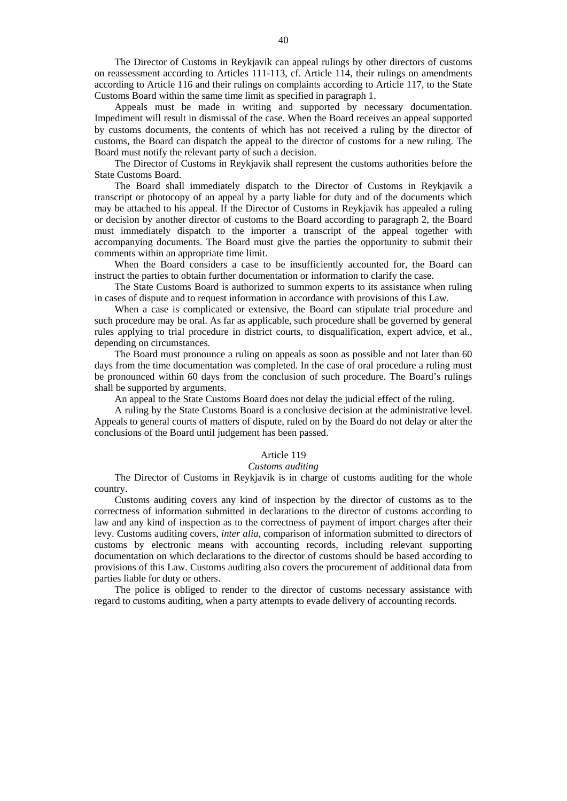The Director of Customs in Reykjavik can appeal rulings by other directors of customs on reassessment according to Articles 111-113, cf. Article 114, their rulings on amendments according to Article 116 and their rulings on complaints according to Article 117, to the State Customs Board within the same time limit as specified in paragraph 1.

Appeals must be made in writing and supported by necessary documentation. Impediment will result in dismissal of the case. When the Board receives an appeal supported by customs documents, the contents of which has not received a ruling by the director of customs, the Board can dispatch the appeal to the director of customs for a new ruling. The Board must notify the relevant party of such a decision.

The Director of Customs in Reykjavik shall represent the customs authorities before the State Customs Board.

The Board shall immediately dispatch to the Director of Customs in Reykjavik a transcript or photocopy of an appeal by a party liable for duty and of the documents which may be attached to his appeal. If the Director of Customs in Reykjavik has appealed a ruling or decision by another director of customs to the Board according to paragraph 2, the Board must immediately dispatch to the importer a transcript of the appeal together with accompanying documents. The Board must give the parties the opportunity to submit their comments within an appropriate time limit.

When the Board considers a case to be insufficiently accounted for, the Board can instruct the parties to obtain further documentation or information to clarify the case.

The State Customs Board is authorized to summon experts to its assistance when ruling in cases of dispute and to request information in accordance with provisions of this Law.

When a case is complicated or extensive, the Board can stipulate trial procedure and such procedure may be oral. As far as applicable, such procedure shall be governed by general rules applying to trial procedure in district courts, to disqualification, expert advice, et al., depending on circumstances.

The Board must pronounce a ruling on appeals as soon as possible and not later than 60 days from the time documentation was completed. In the case of oral procedure a ruling must be pronounced within 60 days from the conclusion of such procedure. The Board's rulings shall be supported by arguments.

An appeal to the State Customs Board does not delay the judicial effect of the ruling.

A ruling by the State Customs Board is a conclusive decision at the administrative level. Appeals to general courts of matters of dispute, ruled on by the Board do not delay or alter the conclusions of the Board until judgement has been passed.

### Article 119

#### *Customs auditing*

The Director of Customs in Reykjavik is in charge of customs auditing for the whole country.

Customs auditing covers any kind of inspection by the director of customs as to the correctness of information submitted in declarations to the director of customs according to law and any kind of inspection as to the correctness of payment of import charges after their levy. Customs auditing covers, *inter alia*, comparison of information submitted to directors of customs by electronic means with accounting records, including relevant supporting documentation on which declarations to the director of customs should be based according to provisions of this Law. Customs auditing also covers the procurement of additional data from parties liable for duty or others.

The police is obliged to render to the director of customs necessary assistance with regard to customs auditing, when a party attempts to evade delivery of accounting records.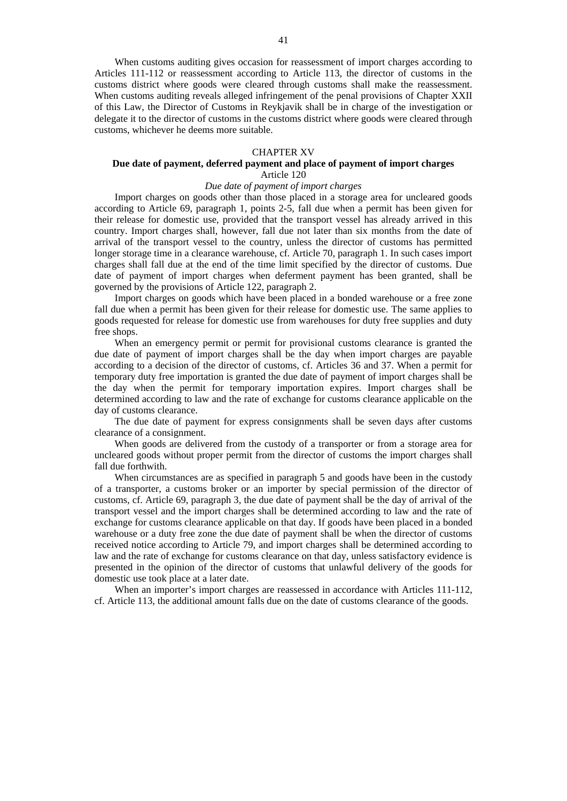When customs auditing gives occasion for reassessment of import charges according to Articles 111-112 or reassessment according to Article 113, the director of customs in the customs district where goods were cleared through customs shall make the reassessment. When customs auditing reveals alleged infringement of the penal provisions of Chapter XXII of this Law, the Director of Customs in Reykjavik shall be in charge of the investigation or delegate it to the director of customs in the customs district where goods were cleared through customs, whichever he deems more suitable.

### CHAPTER XV

### **Due date of payment, deferred payment and place of payment of import charges**  Article 120

# *Due date of payment of import charges*

Import charges on goods other than those placed in a storage area for uncleared goods according to Article 69, paragraph 1, points 2-5, fall due when a permit has been given for their release for domestic use, provided that the transport vessel has already arrived in this country. Import charges shall, however, fall due not later than six months from the date of arrival of the transport vessel to the country, unless the director of customs has permitted longer storage time in a clearance warehouse, cf. Article 70, paragraph 1. In such cases import charges shall fall due at the end of the time limit specified by the director of customs. Due date of payment of import charges when deferment payment has been granted, shall be governed by the provisions of Article 122, paragraph 2.

Import charges on goods which have been placed in a bonded warehouse or a free zone fall due when a permit has been given for their release for domestic use. The same applies to goods requested for release for domestic use from warehouses for duty free supplies and duty free shops.

When an emergency permit or permit for provisional customs clearance is granted the due date of payment of import charges shall be the day when import charges are payable according to a decision of the director of customs, cf. Articles 36 and 37. When a permit for temporary duty free importation is granted the due date of payment of import charges shall be the day when the permit for temporary importation expires. Import charges shall be determined according to law and the rate of exchange for customs clearance applicable on the day of customs clearance.

The due date of payment for express consignments shall be seven days after customs clearance of a consignment.

When goods are delivered from the custody of a transporter or from a storage area for uncleared goods without proper permit from the director of customs the import charges shall fall due forthwith.

When circumstances are as specified in paragraph 5 and goods have been in the custody of a transporter, a customs broker or an importer by special permission of the director of customs, cf. Article 69, paragraph 3, the due date of payment shall be the day of arrival of the transport vessel and the import charges shall be determined according to law and the rate of exchange for customs clearance applicable on that day. If goods have been placed in a bonded warehouse or a duty free zone the due date of payment shall be when the director of customs received notice according to Article 79, and import charges shall be determined according to law and the rate of exchange for customs clearance on that day, unless satisfactory evidence is presented in the opinion of the director of customs that unlawful delivery of the goods for domestic use took place at a later date.

When an importer's import charges are reassessed in accordance with Articles 111-112. cf. Article 113, the additional amount falls due on the date of customs clearance of the goods.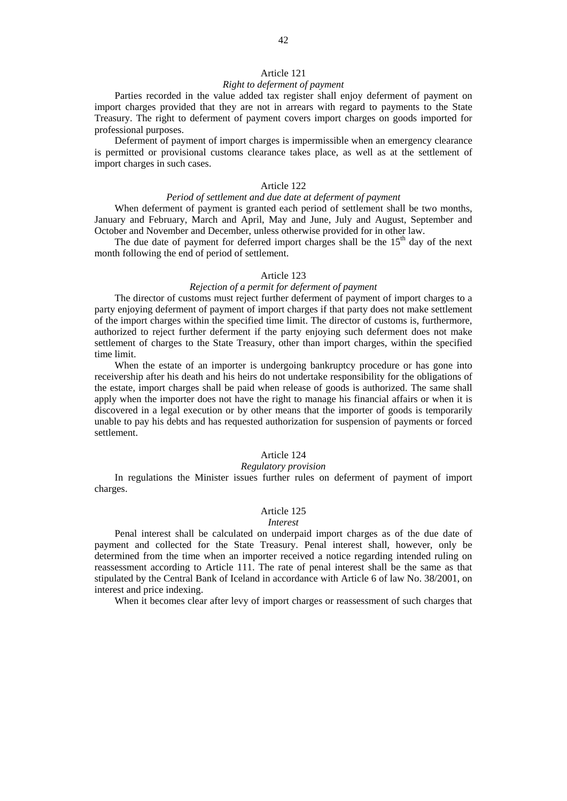### Article 121

### *Right to deferment of payment*

Parties recorded in the value added tax register shall enjoy deferment of payment on import charges provided that they are not in arrears with regard to payments to the State Treasury. The right to deferment of payment covers import charges on goods imported for professional purposes.

Deferment of payment of import charges is impermissible when an emergency clearance is permitted or provisional customs clearance takes place, as well as at the settlement of import charges in such cases.

# Article 122

### *Period of settlement and due date at deferment of payment*

When deferment of payment is granted each period of settlement shall be two months, January and February, March and April, May and June, July and August, September and October and November and December, unless otherwise provided for in other law.

The due date of payment for deferred import charges shall be the  $15<sup>th</sup>$  day of the next month following the end of period of settlement.

### Article 123

# *Rejection of a permit for deferment of payment*

The director of customs must reject further deferment of payment of import charges to a party enjoying deferment of payment of import charges if that party does not make settlement of the import charges within the specified time limit. The director of customs is, furthermore, authorized to reject further deferment if the party enjoying such deferment does not make settlement of charges to the State Treasury, other than import charges, within the specified time limit.

When the estate of an importer is undergoing bankruptcy procedure or has gone into receivership after his death and his heirs do not undertake responsibility for the obligations of the estate, import charges shall be paid when release of goods is authorized. The same shall apply when the importer does not have the right to manage his financial affairs or when it is discovered in a legal execution or by other means that the importer of goods is temporarily unable to pay his debts and has requested authorization for suspension of payments or forced settlement.

# Article 124

#### *Regulatory provision*

In regulations the Minister issues further rules on deferment of payment of import charges.

# Article 125

#### *Interest*

Penal interest shall be calculated on underpaid import charges as of the due date of payment and collected for the State Treasury. Penal interest shall, however, only be determined from the time when an importer received a notice regarding intended ruling on reassessment according to Article 111. The rate of penal interest shall be the same as that stipulated by the Central Bank of Iceland in accordance with Article 6 of law No. 38/2001, on interest and price indexing.

When it becomes clear after levy of import charges or reassessment of such charges that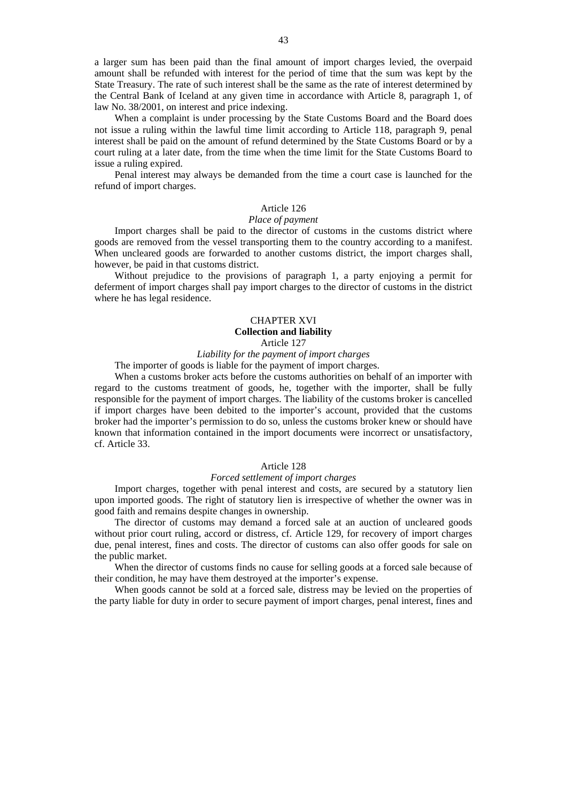a larger sum has been paid than the final amount of import charges levied, the overpaid amount shall be refunded with interest for the period of time that the sum was kept by the State Treasury. The rate of such interest shall be the same as the rate of interest determined by the Central Bank of Iceland at any given time in accordance with Article 8, paragraph 1, of law No. 38/2001, on interest and price indexing.

When a complaint is under processing by the State Customs Board and the Board does not issue a ruling within the lawful time limit according to Article 118, paragraph 9, penal interest shall be paid on the amount of refund determined by the State Customs Board or by a court ruling at a later date, from the time when the time limit for the State Customs Board to issue a ruling expired.

Penal interest may always be demanded from the time a court case is launched for the refund of import charges.

### Article 126

#### *Place of payment*

Import charges shall be paid to the director of customs in the customs district where goods are removed from the vessel transporting them to the country according to a manifest. When uncleared goods are forwarded to another customs district, the import charges shall, however, be paid in that customs district.

Without prejudice to the provisions of paragraph 1, a party enjoying a permit for deferment of import charges shall pay import charges to the director of customs in the district where he has legal residence.

# CHAPTER XVI **Collection and liability**  Article 127

# *Liability for the payment of import charges*

The importer of goods is liable for the payment of import charges.

When a customs broker acts before the customs authorities on behalf of an importer with regard to the customs treatment of goods, he, together with the importer, shall be fully responsible for the payment of import charges. The liability of the customs broker is cancelled if import charges have been debited to the importer's account, provided that the customs broker had the importer's permission to do so, unless the customs broker knew or should have known that information contained in the import documents were incorrect or unsatisfactory, cf. Article 33.

#### Article 128

### *Forced settlement of import charges*

Import charges, together with penal interest and costs, are secured by a statutory lien upon imported goods. The right of statutory lien is irrespective of whether the owner was in good faith and remains despite changes in ownership.

The director of customs may demand a forced sale at an auction of uncleared goods without prior court ruling, accord or distress, cf. Article 129, for recovery of import charges due, penal interest, fines and costs. The director of customs can also offer goods for sale on the public market.

When the director of customs finds no cause for selling goods at a forced sale because of their condition, he may have them destroyed at the importer's expense.

When goods cannot be sold at a forced sale, distress may be levied on the properties of the party liable for duty in order to secure payment of import charges, penal interest, fines and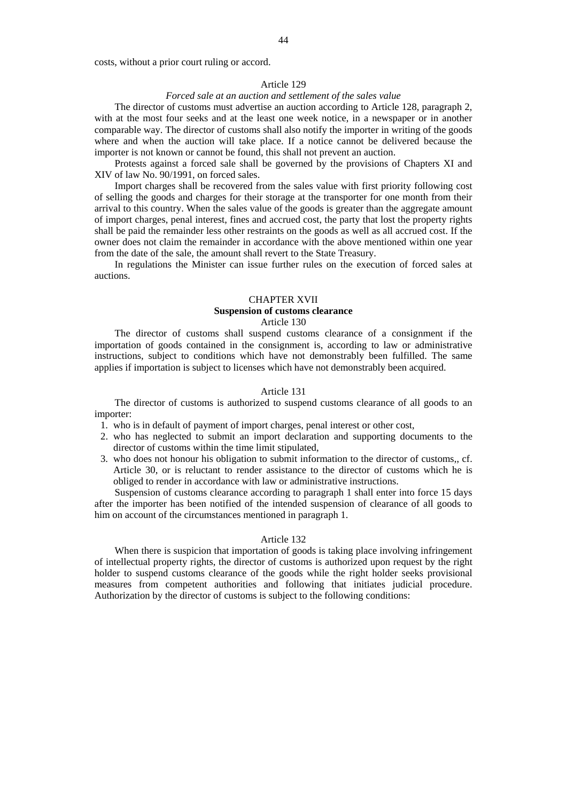costs, without a prior court ruling or accord.

#### Article 129

### *Forced sale at an auction and settlement of the sales value*

The director of customs must advertise an auction according to Article 128, paragraph 2, with at the most four seeks and at the least one week notice, in a newspaper or in another comparable way. The director of customs shall also notify the importer in writing of the goods where and when the auction will take place. If a notice cannot be delivered because the importer is not known or cannot be found, this shall not prevent an auction.

Protests against a forced sale shall be governed by the provisions of Chapters XI and XIV of law No. 90/1991, on forced sales.

Import charges shall be recovered from the sales value with first priority following cost of selling the goods and charges for their storage at the transporter for one month from their arrival to this country. When the sales value of the goods is greater than the aggregate amount of import charges, penal interest, fines and accrued cost, the party that lost the property rights shall be paid the remainder less other restraints on the goods as well as all accrued cost. If the owner does not claim the remainder in accordance with the above mentioned within one year from the date of the sale, the amount shall revert to the State Treasury.

In regulations the Minister can issue further rules on the execution of forced sales at auctions.

#### CHAPTER XVII

# **Suspension of customs clearance**

Article 130

The director of customs shall suspend customs clearance of a consignment if the importation of goods contained in the consignment is, according to law or administrative instructions, subject to conditions which have not demonstrably been fulfilled. The same applies if importation is subject to licenses which have not demonstrably been acquired.

### Article 131

The director of customs is authorized to suspend customs clearance of all goods to an importer:

- 1. who is in default of payment of import charges, penal interest or other cost,
- 2. who has neglected to submit an import declaration and supporting documents to the director of customs within the time limit stipulated,
- 3. who does not honour his obligation to submit information to the director of customs,, cf. Article 30, or is reluctant to render assistance to the director of customs which he is obliged to render in accordance with law or administrative instructions.

Suspension of customs clearance according to paragraph 1 shall enter into force 15 days after the importer has been notified of the intended suspension of clearance of all goods to him on account of the circumstances mentioned in paragraph 1.

# Article 132

When there is suspicion that importation of goods is taking place involving infringement of intellectual property rights, the director of customs is authorized upon request by the right holder to suspend customs clearance of the goods while the right holder seeks provisional measures from competent authorities and following that initiates judicial procedure. Authorization by the director of customs is subject to the following conditions: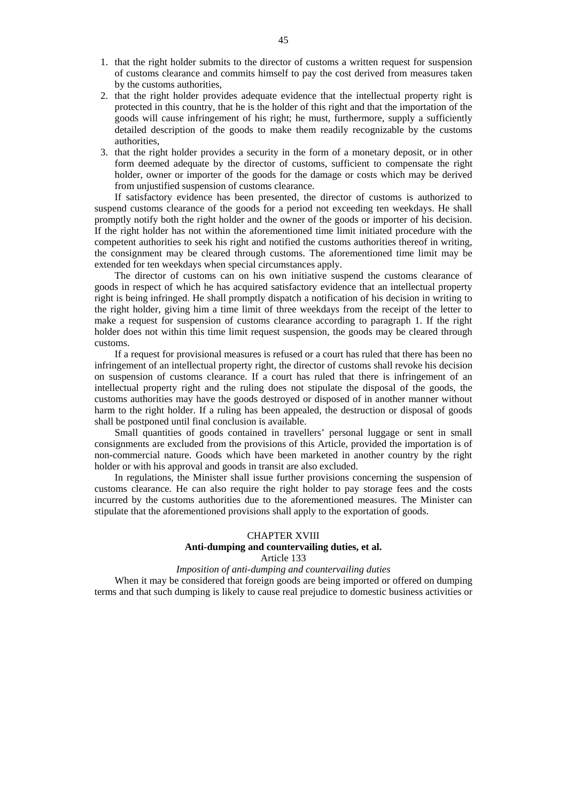- 1. that the right holder submits to the director of customs a written request for suspension of customs clearance and commits himself to pay the cost derived from measures taken by the customs authorities,
- 2. that the right holder provides adequate evidence that the intellectual property right is protected in this country, that he is the holder of this right and that the importation of the goods will cause infringement of his right; he must, furthermore, supply a sufficiently detailed description of the goods to make them readily recognizable by the customs authorities,
- 3. that the right holder provides a security in the form of a monetary deposit, or in other form deemed adequate by the director of customs, sufficient to compensate the right holder, owner or importer of the goods for the damage or costs which may be derived from unjustified suspension of customs clearance.

If satisfactory evidence has been presented, the director of customs is authorized to suspend customs clearance of the goods for a period not exceeding ten weekdays. He shall promptly notify both the right holder and the owner of the goods or importer of his decision. If the right holder has not within the aforementioned time limit initiated procedure with the competent authorities to seek his right and notified the customs authorities thereof in writing, the consignment may be cleared through customs. The aforementioned time limit may be extended for ten weekdays when special circumstances apply.

The director of customs can on his own initiative suspend the customs clearance of goods in respect of which he has acquired satisfactory evidence that an intellectual property right is being infringed. He shall promptly dispatch a notification of his decision in writing to the right holder, giving him a time limit of three weekdays from the receipt of the letter to make a request for suspension of customs clearance according to paragraph 1. If the right holder does not within this time limit request suspension, the goods may be cleared through customs.

If a request for provisional measures is refused or a court has ruled that there has been no infringement of an intellectual property right, the director of customs shall revoke his decision on suspension of customs clearance. If a court has ruled that there is infringement of an intellectual property right and the ruling does not stipulate the disposal of the goods, the customs authorities may have the goods destroyed or disposed of in another manner without harm to the right holder. If a ruling has been appealed, the destruction or disposal of goods shall be postponed until final conclusion is available.

Small quantities of goods contained in travellers' personal luggage or sent in small consignments are excluded from the provisions of this Article, provided the importation is of non-commercial nature. Goods which have been marketed in another country by the right holder or with his approval and goods in transit are also excluded.

In regulations, the Minister shall issue further provisions concerning the suspension of customs clearance. He can also require the right holder to pay storage fees and the costs incurred by the customs authorities due to the aforementioned measures. The Minister can stipulate that the aforementioned provisions shall apply to the exportation of goods.

# CHAPTER XVIII **Anti-dumping and countervailing duties, et al.**  Article 133

### *Imposition of anti-dumping and countervailing duties*

When it may be considered that foreign goods are being imported or offered on dumping terms and that such dumping is likely to cause real prejudice to domestic business activities or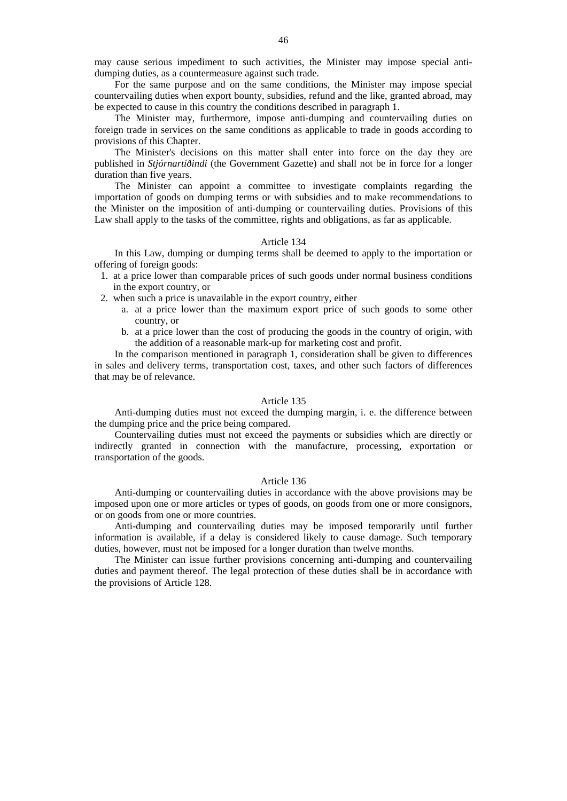may cause serious impediment to such activities, the Minister may impose special antidumping duties, as a countermeasure against such trade.

For the same purpose and on the same conditions, the Minister may impose special countervailing duties when export bounty, subsidies, refund and the like, granted abroad, may be expected to cause in this country the conditions described in paragraph 1.

The Minister may, furthermore, impose anti-dumping and countervailing duties on foreign trade in services on the same conditions as applicable to trade in goods according to provisions of this Chapter.

The Minister's decisions on this matter shall enter into force on the day they are published in *Stjórnartíðindi* (the Government Gazette) and shall not be in force for a longer duration than five years.

The Minister can appoint a committee to investigate complaints regarding the importation of goods on dumping terms or with subsidies and to make recommendations to the Minister on the imposition of anti-dumping or countervailing duties. Provisions of this Law shall apply to the tasks of the committee, rights and obligations, as far as applicable.

### Article 134

In this Law, dumping or dumping terms shall be deemed to apply to the importation or offering of foreign goods:

- 1. at a price lower than comparable prices of such goods under normal business conditions in the export country, or
- 2. when such a price is unavailable in the export country, either
	- a. at a price lower than the maximum export price of such goods to some other country, or
	- b. at a price lower than the cost of producing the goods in the country of origin, with the addition of a reasonable mark-up for marketing cost and profit.

In the comparison mentioned in paragraph 1, consideration shall be given to differences in sales and delivery terms, transportation cost, taxes, and other such factors of differences that may be of relevance.

## Article 135

Anti-dumping duties must not exceed the dumping margin, i. e. the difference between the dumping price and the price being compared.

Countervailing duties must not exceed the payments or subsidies which are directly or indirectly granted in connection with the manufacture, processing, exportation or transportation of the goods.

### Article 136

Anti-dumping or countervailing duties in accordance with the above provisions may be imposed upon one or more articles or types of goods, on goods from one or more consignors, or on goods from one or more countries.

Anti-dumping and countervailing duties may be imposed temporarily until further information is available, if a delay is considered likely to cause damage. Such temporary duties, however, must not be imposed for a longer duration than twelve months.

The Minister can issue further provisions concerning anti-dumping and countervailing duties and payment thereof. The legal protection of these duties shall be in accordance with the provisions of Article 128.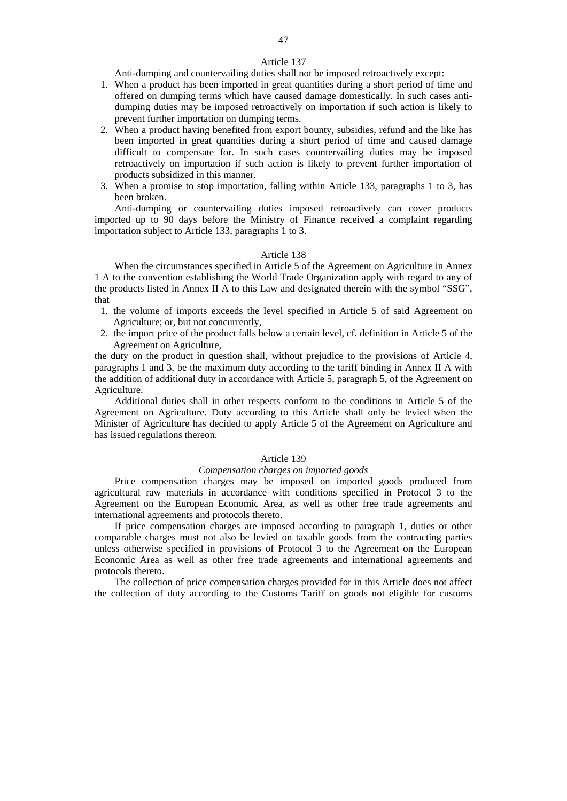47

Anti-dumping and countervailing duties shall not be imposed retroactively except:

- 1. When a product has been imported in great quantities during a short period of time and offered on dumping terms which have caused damage domestically. In such cases antidumping duties may be imposed retroactively on importation if such action is likely to prevent further importation on dumping terms.
- 2. When a product having benefited from export bounty, subsidies, refund and the like has been imported in great quantities during a short period of time and caused damage difficult to compensate for. In such cases countervailing duties may be imposed retroactively on importation if such action is likely to prevent further importation of products subsidized in this manner.
- 3. When a promise to stop importation, falling within Article 133, paragraphs 1 to 3, has been broken.

Anti-dumping or countervailing duties imposed retroactively can cover products imported up to 90 days before the Ministry of Finance received a complaint regarding importation subject to Article 133, paragraphs 1 to 3.

### Article 138

When the circumstances specified in Article 5 of the Agreement on Agriculture in Annex 1 A to the convention establishing the World Trade Organization apply with regard to any of the products listed in Annex II A to this Law and designated therein with the symbol "SSG", that

- 1. the volume of imports exceeds the level specified in Article 5 of said Agreement on Agriculture; or, but not concurrently,
- 2. the import price of the product falls below a certain level, cf. definition in Article 5 of the Agreement on Agriculture,

the duty on the product in question shall, without prejudice to the provisions of Article 4, paragraphs 1 and 3, be the maximum duty according to the tariff binding in Annex II A with the addition of additional duty in accordance with Article 5, paragraph 5, of the Agreement on Agriculture.

Additional duties shall in other respects conform to the conditions in Article 5 of the Agreement on Agriculture. Duty according to this Article shall only be levied when the Minister of Agriculture has decided to apply Article 5 of the Agreement on Agriculture and has issued regulations thereon.

### Article 139

### *Compensation charges on imported goods*

Price compensation charges may be imposed on imported goods produced from agricultural raw materials in accordance with conditions specified in Protocol 3 to the Agreement on the European Economic Area, as well as other free trade agreements and international agreements and protocols thereto.

If price compensation charges are imposed according to paragraph 1, duties or other comparable charges must not also be levied on taxable goods from the contracting parties unless otherwise specified in provisions of Protocol 3 to the Agreement on the European Economic Area as well as other free trade agreements and international agreements and protocols thereto.

The collection of price compensation charges provided for in this Article does not affect the collection of duty according to the Customs Tariff on goods not eligible for customs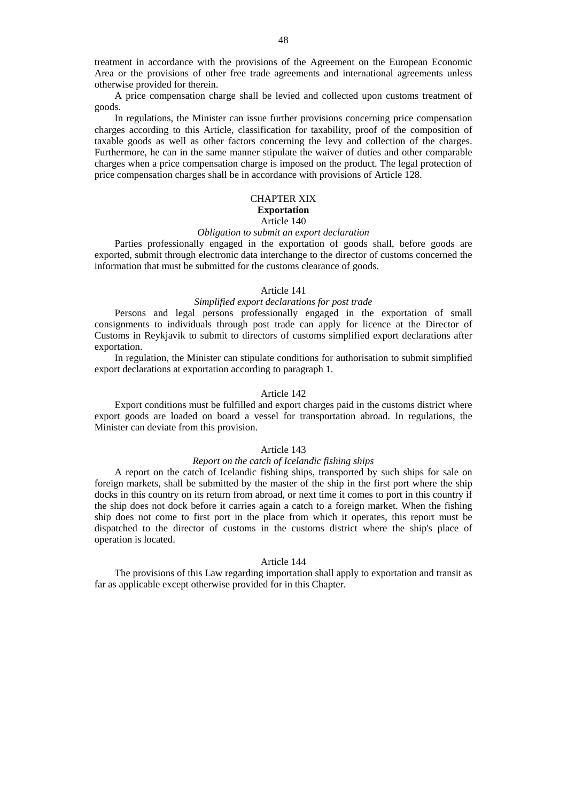treatment in accordance with the provisions of the Agreement on the European Economic Area or the provisions of other free trade agreements and international agreements unless otherwise provided for therein.

A price compensation charge shall be levied and collected upon customs treatment of goods.

In regulations, the Minister can issue further provisions concerning price compensation charges according to this Article, classification for taxability, proof of the composition of taxable goods as well as other factors concerning the levy and collection of the charges. Furthermore, he can in the same manner stipulate the waiver of duties and other comparable charges when a price compensation charge is imposed on the product. The legal protection of price compensation charges shall be in accordance with provisions of Article 128.

### CHAPTER XIX **Exportation**  Article 140

# *Obligation to submit an export declaration*

Parties professionally engaged in the exportation of goods shall, before goods are exported, submit through electronic data interchange to the director of customs concerned the information that must be submitted for the customs clearance of goods.

### Article 141

# *Simplified export declarations for post trade*

Persons and legal persons professionally engaged in the exportation of small consignments to individuals through post trade can apply for licence at the Director of Customs in Reykjavik to submit to directors of customs simplified export declarations after exportation.

In regulation, the Minister can stipulate conditions for authorisation to submit simplified export declarations at exportation according to paragraph 1.

# Article 142

Export conditions must be fulfilled and export charges paid in the customs district where export goods are loaded on board a vessel for transportation abroad. In regulations, the Minister can deviate from this provision.

### Article 143

#### *Report on the catch of Icelandic fishing ships*

A report on the catch of Icelandic fishing ships, transported by such ships for sale on foreign markets, shall be submitted by the master of the ship in the first port where the ship docks in this country on its return from abroad, or next time it comes to port in this country if the ship does not dock before it carries again a catch to a foreign market. When the fishing ship does not come to first port in the place from which it operates, this report must be dispatched to the director of customs in the customs district where the ship's place of operation is located.

### Article 144

The provisions of this Law regarding importation shall apply to exportation and transit as far as applicable except otherwise provided for in this Chapter.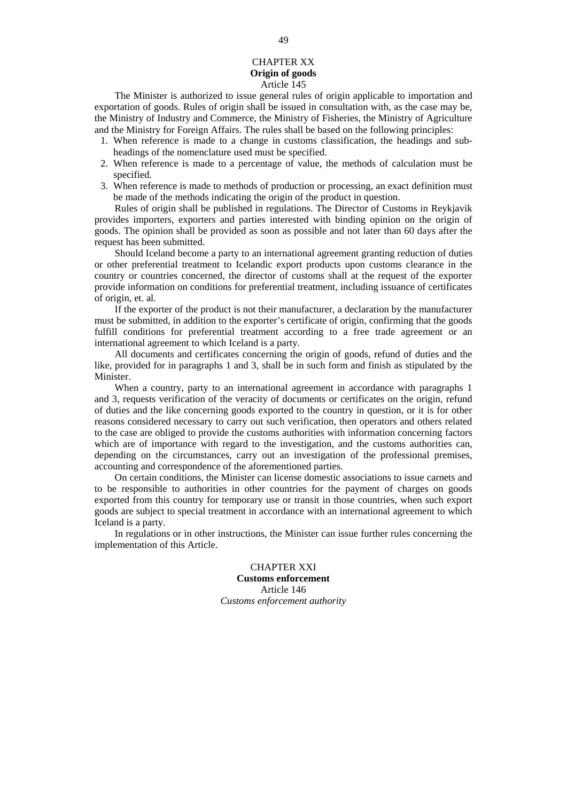### CHAPTER XX **Origin of goods**  Article 145

The Minister is authorized to issue general rules of origin applicable to importation and exportation of goods. Rules of origin shall be issued in consultation with, as the case may be, the Ministry of Industry and Commerce, the Ministry of Fisheries, the Ministry of Agriculture and the Ministry for Foreign Affairs. The rules shall be based on the following principles:

- 1. When reference is made to a change in customs classification, the headings and subheadings of the nomenclature used must be specified.
- 2. When reference is made to a percentage of value, the methods of calculation must be specified.
- 3. When reference is made to methods of production or processing, an exact definition must be made of the methods indicating the origin of the product in question.

Rules of origin shall be published in regulations. The Director of Customs in Reykjavik provides importers, exporters and parties interested with binding opinion on the origin of goods. The opinion shall be provided as soon as possible and not later than 60 days after the request has been submitted.

Should Iceland become a party to an international agreement granting reduction of duties or other preferential treatment to Icelandic export products upon customs clearance in the country or countries concerned, the director of customs shall at the request of the exporter provide information on conditions for preferential treatment, including issuance of certificates of origin, et. al.

If the exporter of the product is not their manufacturer, a declaration by the manufacturer must be submitted, in addition to the exporter's certificate of origin, confirming that the goods fulfill conditions for preferential treatment according to a free trade agreement or an international agreement to which Iceland is a party.

All documents and certificates concerning the origin of goods, refund of duties and the like, provided for in paragraphs 1 and 3, shall be in such form and finish as stipulated by the Minister.

When a country, party to an international agreement in accordance with paragraphs 1 and 3, requests verification of the veracity of documents or certificates on the origin, refund of duties and the like concerning goods exported to the country in question, or it is for other reasons considered necessary to carry out such verification, then operators and others related to the case are obliged to provide the customs authorities with information concerning factors which are of importance with regard to the investigation, and the customs authorities can, depending on the circumstances, carry out an investigation of the professional premises, accounting and correspondence of the aforementioned parties.

On certain conditions, the Minister can license domestic associations to issue carnets and to be responsible to authorities in other countries for the payment of charges on goods exported from this country for temporary use or transit in those countries, when such export goods are subject to special treatment in accordance with an international agreement to which Iceland is a party.

In regulations or in other instructions, the Minister can issue further rules concerning the implementation of this Article.

> CHAPTER XXI **Customs enforcement**  Article 146 *Customs enforcement authority*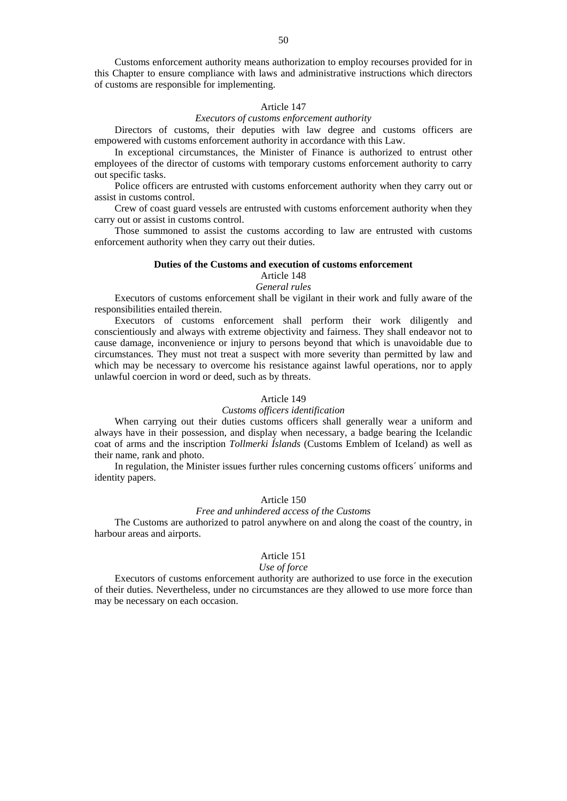Customs enforcement authority means authorization to employ recourses provided for in this Chapter to ensure compliance with laws and administrative instructions which directors of customs are responsible for implementing.

### Article 147

### *Executors of customs enforcement authority*

Directors of customs, their deputies with law degree and customs officers are empowered with customs enforcement authority in accordance with this Law.

In exceptional circumstances, the Minister of Finance is authorized to entrust other employees of the director of customs with temporary customs enforcement authority to carry out specific tasks.

Police officers are entrusted with customs enforcement authority when they carry out or assist in customs control.

Crew of coast guard vessels are entrusted with customs enforcement authority when they carry out or assist in customs control.

Those summoned to assist the customs according to law are entrusted with customs enforcement authority when they carry out their duties.

### **Duties of the Customs and execution of customs enforcement**

# Article 148

# *General rules*

Executors of customs enforcement shall be vigilant in their work and fully aware of the responsibilities entailed therein.

Executors of customs enforcement shall perform their work diligently and conscientiously and always with extreme objectivity and fairness. They shall endeavor not to cause damage, inconvenience or injury to persons beyond that which is unavoidable due to circumstances. They must not treat a suspect with more severity than permitted by law and which may be necessary to overcome his resistance against lawful operations, nor to apply unlawful coercion in word or deed, such as by threats.

#### Article 149

### *Customs officers identification*

When carrying out their duties customs officers shall generally wear a uniform and always have in their possession, and display when necessary, a badge bearing the Icelandic coat of arms and the inscription *Tollmerki Íslands* (Customs Emblem of Iceland) as well as their name, rank and photo.

In regulation, the Minister issues further rules concerning customs officers´ uniforms and identity papers.

### Article 150

# *Free and unhindered access of the Customs*

The Customs are authorized to patrol anywhere on and along the coast of the country, in harbour areas and airports.

### Article 151

### *Use of force*

Executors of customs enforcement authority are authorized to use force in the execution of their duties. Nevertheless, under no circumstances are they allowed to use more force than may be necessary on each occasion.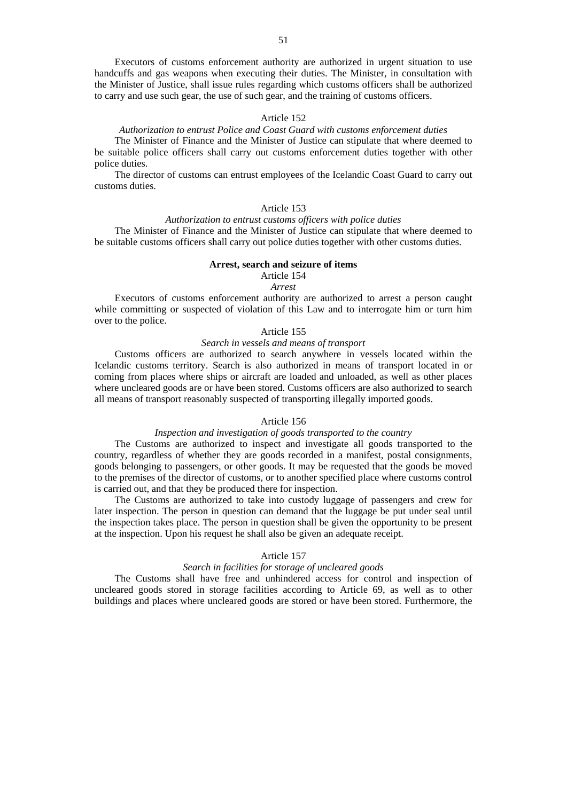Executors of customs enforcement authority are authorized in urgent situation to use handcuffs and gas weapons when executing their duties. The Minister, in consultation with the Minister of Justice, shall issue rules regarding which customs officers shall be authorized to carry and use such gear, the use of such gear, and the training of customs officers.

# Article 152

# *Authorization to entrust Police and Coast Guard with customs enforcement duties*

The Minister of Finance and the Minister of Justice can stipulate that where deemed to be suitable police officers shall carry out customs enforcement duties together with other police duties.

The director of customs can entrust employees of the Icelandic Coast Guard to carry out customs duties.

# Article 153

# *Authorization to entrust customs officers with police duties*

The Minister of Finance and the Minister of Justice can stipulate that where deemed to be suitable customs officers shall carry out police duties together with other customs duties.

### **Arrest, search and seizure of items**

#### Article 154 *Arrest*

Executors of customs enforcement authority are authorized to arrest a person caught while committing or suspected of violation of this Law and to interrogate him or turn him over to the police.

### Article 155

### *Search in vessels and means of transport*

Customs officers are authorized to search anywhere in vessels located within the Icelandic customs territory. Search is also authorized in means of transport located in or coming from places where ships or aircraft are loaded and unloaded, as well as other places where uncleared goods are or have been stored. Customs officers are also authorized to search all means of transport reasonably suspected of transporting illegally imported goods.

# Article 156

### *Inspection and investigation of goods transported to the country*

The Customs are authorized to inspect and investigate all goods transported to the country, regardless of whether they are goods recorded in a manifest, postal consignments, goods belonging to passengers, or other goods. It may be requested that the goods be moved to the premises of the director of customs, or to another specified place where customs control is carried out, and that they be produced there for inspection.

The Customs are authorized to take into custody luggage of passengers and crew for later inspection. The person in question can demand that the luggage be put under seal until the inspection takes place. The person in question shall be given the opportunity to be present at the inspection. Upon his request he shall also be given an adequate receipt.

### Article 157

# *Search in facilities for storage of uncleared goods*

The Customs shall have free and unhindered access for control and inspection of uncleared goods stored in storage facilities according to Article 69, as well as to other buildings and places where uncleared goods are stored or have been stored. Furthermore, the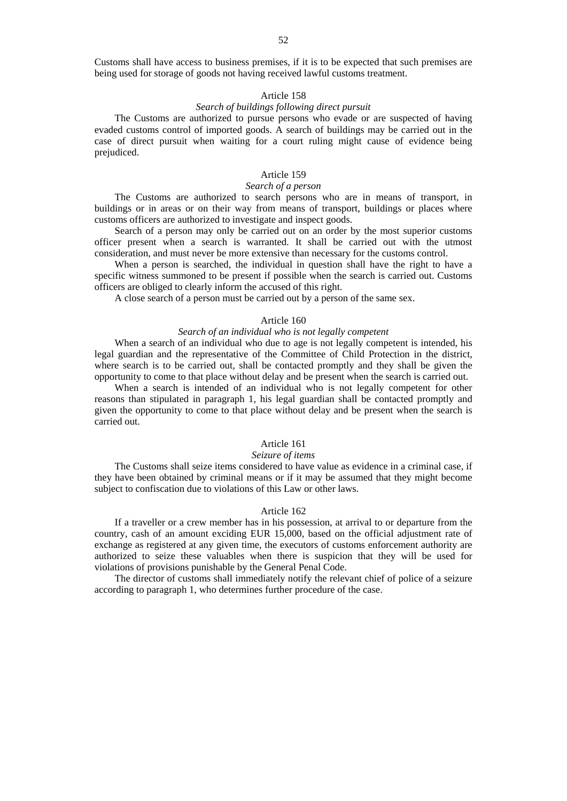Customs shall have access to business premises, if it is to be expected that such premises are being used for storage of goods not having received lawful customs treatment.

### Article 158

# *Search of buildings following direct pursuit*

The Customs are authorized to pursue persons who evade or are suspected of having evaded customs control of imported goods. A search of buildings may be carried out in the case of direct pursuit when waiting for a court ruling might cause of evidence being prejudiced.

# Article 159

# *Search of a person*

The Customs are authorized to search persons who are in means of transport, in buildings or in areas or on their way from means of transport, buildings or places where customs officers are authorized to investigate and inspect goods.

Search of a person may only be carried out on an order by the most superior customs officer present when a search is warranted. It shall be carried out with the utmost consideration, and must never be more extensive than necessary for the customs control.

When a person is searched, the individual in question shall have the right to have a specific witness summoned to be present if possible when the search is carried out. Customs officers are obliged to clearly inform the accused of this right.

A close search of a person must be carried out by a person of the same sex.

# Article 160

# *Search of an individual who is not legally competent*

When a search of an individual who due to age is not legally competent is intended, his legal guardian and the representative of the Committee of Child Protection in the district, where search is to be carried out, shall be contacted promptly and they shall be given the opportunity to come to that place without delay and be present when the search is carried out.

When a search is intended of an individual who is not legally competent for other reasons than stipulated in paragraph 1, his legal guardian shall be contacted promptly and given the opportunity to come to that place without delay and be present when the search is carried out.

# Article 161

# *Seizure of items*

The Customs shall seize items considered to have value as evidence in a criminal case, if they have been obtained by criminal means or if it may be assumed that they might become subject to confiscation due to violations of this Law or other laws.

### Article 162

If a traveller or a crew member has in his possession, at arrival to or departure from the country, cash of an amount exciding EUR 15,000, based on the official adjustment rate of exchange as registered at any given time, the executors of customs enforcement authority are authorized to seize these valuables when there is suspicion that they will be used for violations of provisions punishable by the General Penal Code.

The director of customs shall immediately notify the relevant chief of police of a seizure according to paragraph 1, who determines further procedure of the case.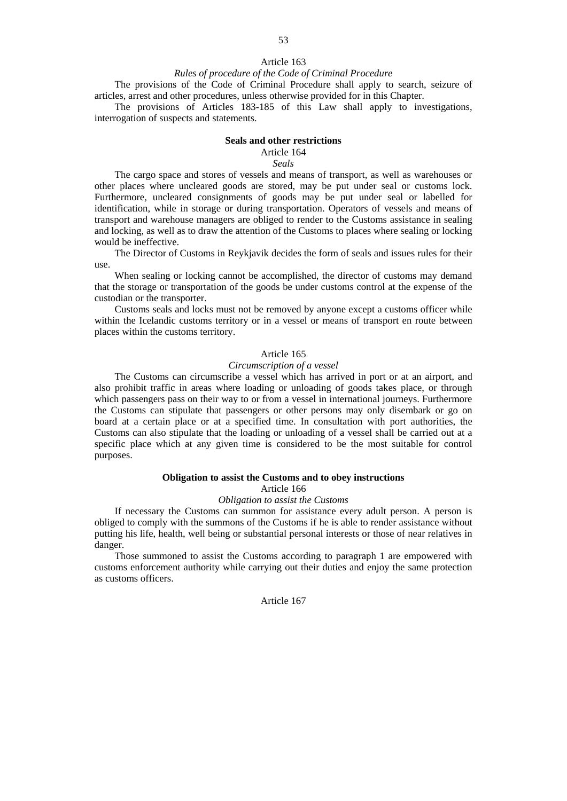# Article 163 *Rules of procedure of the Code of Criminal Procedure*

The provisions of the Code of Criminal Procedure shall apply to search, seizure of

articles, arrest and other procedures, unless otherwise provided for in this Chapter.

The provisions of Articles 183-185 of this Law shall apply to investigations, interrogation of suspects and statements.

### **Seals and other restrictions**

# Article 164

*Seals* 

The cargo space and stores of vessels and means of transport, as well as warehouses or other places where uncleared goods are stored, may be put under seal or customs lock. Furthermore, uncleared consignments of goods may be put under seal or labelled for identification, while in storage or during transportation. Operators of vessels and means of transport and warehouse managers are obliged to render to the Customs assistance in sealing and locking, as well as to draw the attention of the Customs to places where sealing or locking would be ineffective.

The Director of Customs in Reykjavik decides the form of seals and issues rules for their use.

When sealing or locking cannot be accomplished, the director of customs may demand that the storage or transportation of the goods be under customs control at the expense of the custodian or the transporter.

Customs seals and locks must not be removed by anyone except a customs officer while within the Icelandic customs territory or in a vessel or means of transport en route between places within the customs territory.

### Article 165

### *Circumscription of a vessel*

The Customs can circumscribe a vessel which has arrived in port or at an airport, and also prohibit traffic in areas where loading or unloading of goods takes place, or through which passengers pass on their way to or from a vessel in international journeys. Furthermore the Customs can stipulate that passengers or other persons may only disembark or go on board at a certain place or at a specified time. In consultation with port authorities, the Customs can also stipulate that the loading or unloading of a vessel shall be carried out at a specific place which at any given time is considered to be the most suitable for control purposes.

### **Obligation to assist the Customs and to obey instructions**

### Article 166

### *Obligation to assist the Customs*

If necessary the Customs can summon for assistance every adult person. A person is obliged to comply with the summons of the Customs if he is able to render assistance without putting his life, health, well being or substantial personal interests or those of near relatives in danger.

Those summoned to assist the Customs according to paragraph 1 are empowered with customs enforcement authority while carrying out their duties and enjoy the same protection as customs officers.

Article 167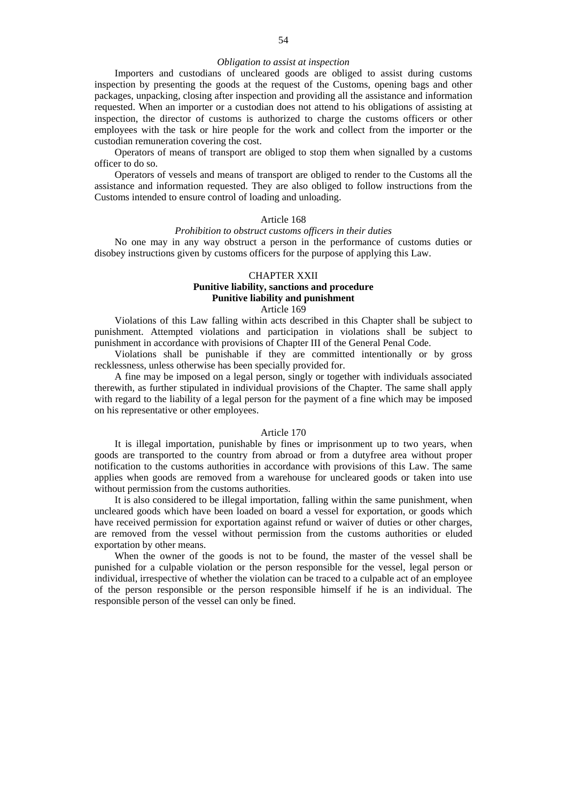## *Obligation to assist at inspection*

Importers and custodians of uncleared goods are obliged to assist during customs inspection by presenting the goods at the request of the Customs, opening bags and other packages, unpacking, closing after inspection and providing all the assistance and information requested. When an importer or a custodian does not attend to his obligations of assisting at inspection, the director of customs is authorized to charge the customs officers or other employees with the task or hire people for the work and collect from the importer or the custodian remuneration covering the cost.

Operators of means of transport are obliged to stop them when signalled by a customs officer to do so.

Operators of vessels and means of transport are obliged to render to the Customs all the assistance and information requested. They are also obliged to follow instructions from the Customs intended to ensure control of loading and unloading.

# Article 168

# *Prohibition to obstruct customs officers in their duties*

No one may in any way obstruct a person in the performance of customs duties or disobey instructions given by customs officers for the purpose of applying this Law.

# CHAPTER XXII **Punitive liability, sanctions and procedure Punitive liability and punishment**

Article 169

Violations of this Law falling within acts described in this Chapter shall be subject to punishment. Attempted violations and participation in violations shall be subject to punishment in accordance with provisions of Chapter III of the General Penal Code.

Violations shall be punishable if they are committed intentionally or by gross recklessness, unless otherwise has been specially provided for.

A fine may be imposed on a legal person, singly or together with individuals associated therewith, as further stipulated in individual provisions of the Chapter. The same shall apply with regard to the liability of a legal person for the payment of a fine which may be imposed on his representative or other employees.

### Article 170

It is illegal importation, punishable by fines or imprisonment up to two years, when goods are transported to the country from abroad or from a dutyfree area without proper notification to the customs authorities in accordance with provisions of this Law. The same applies when goods are removed from a warehouse for uncleared goods or taken into use without permission from the customs authorities.

It is also considered to be illegal importation, falling within the same punishment, when uncleared goods which have been loaded on board a vessel for exportation, or goods which have received permission for exportation against refund or waiver of duties or other charges, are removed from the vessel without permission from the customs authorities or eluded exportation by other means.

When the owner of the goods is not to be found, the master of the vessel shall be punished for a culpable violation or the person responsible for the vessel, legal person or individual, irrespective of whether the violation can be traced to a culpable act of an employee of the person responsible or the person responsible himself if he is an individual. The responsible person of the vessel can only be fined.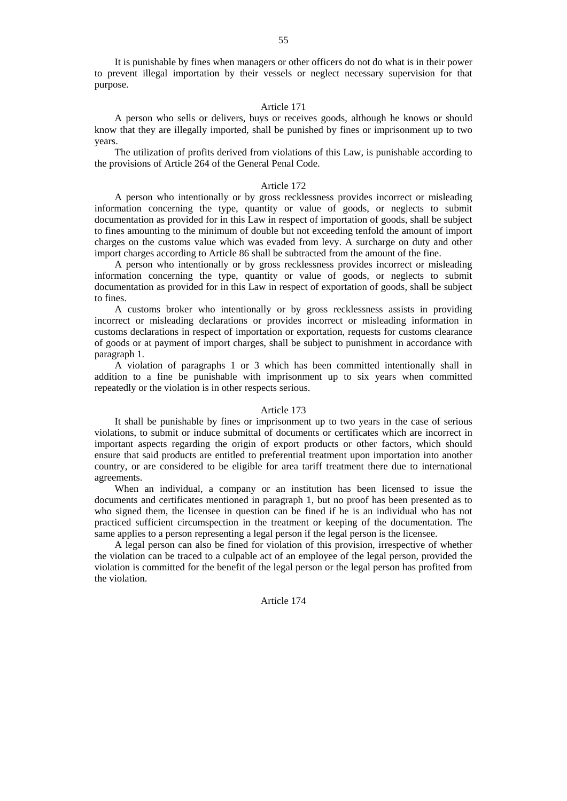It is punishable by fines when managers or other officers do not do what is in their power to prevent illegal importation by their vessels or neglect necessary supervision for that purpose.

### Article 171

A person who sells or delivers, buys or receives goods, although he knows or should know that they are illegally imported, shall be punished by fines or imprisonment up to two years.

The utilization of profits derived from violations of this Law, is punishable according to the provisions of Article 264 of the General Penal Code.

### Article 172

A person who intentionally or by gross recklessness provides incorrect or misleading information concerning the type, quantity or value of goods, or neglects to submit documentation as provided for in this Law in respect of importation of goods, shall be subject to fines amounting to the minimum of double but not exceeding tenfold the amount of import charges on the customs value which was evaded from levy. A surcharge on duty and other import charges according to Article 86 shall be subtracted from the amount of the fine.

A person who intentionally or by gross recklessness provides incorrect or misleading information concerning the type, quantity or value of goods, or neglects to submit documentation as provided for in this Law in respect of exportation of goods, shall be subject to fines.

A customs broker who intentionally or by gross recklessness assists in providing incorrect or misleading declarations or provides incorrect or misleading information in customs declarations in respect of importation or exportation, requests for customs clearance of goods or at payment of import charges, shall be subject to punishment in accordance with paragraph 1.

A violation of paragraphs 1 or 3 which has been committed intentionally shall in addition to a fine be punishable with imprisonment up to six years when committed repeatedly or the violation is in other respects serious.

### Article 173

It shall be punishable by fines or imprisonment up to two years in the case of serious violations, to submit or induce submittal of documents or certificates which are incorrect in important aspects regarding the origin of export products or other factors, which should ensure that said products are entitled to preferential treatment upon importation into another country, or are considered to be eligible for area tariff treatment there due to international agreements.

When an individual, a company or an institution has been licensed to issue the documents and certificates mentioned in paragraph 1, but no proof has been presented as to who signed them, the licensee in question can be fined if he is an individual who has not practiced sufficient circumspection in the treatment or keeping of the documentation. The same applies to a person representing a legal person if the legal person is the licensee.

A legal person can also be fined for violation of this provision, irrespective of whether the violation can be traced to a culpable act of an employee of the legal person, provided the violation is committed for the benefit of the legal person or the legal person has profited from the violation.

### Article 174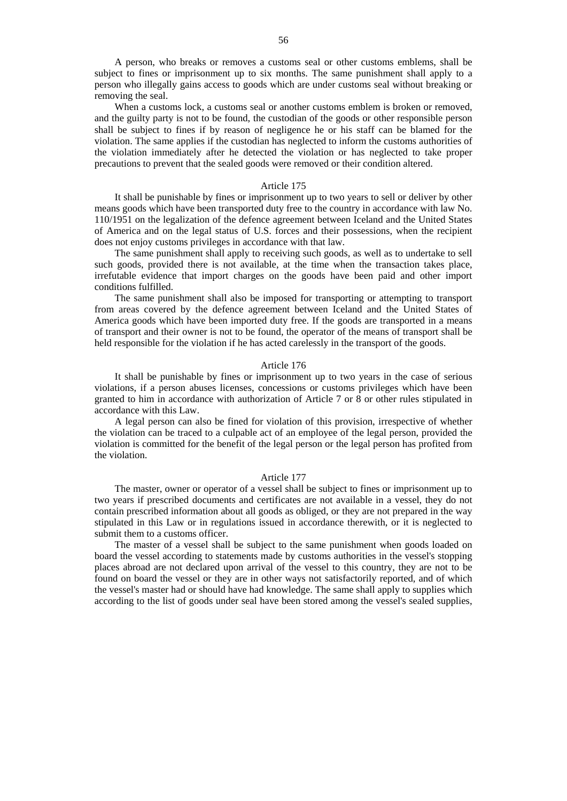A person, who breaks or removes a customs seal or other customs emblems, shall be subject to fines or imprisonment up to six months. The same punishment shall apply to a person who illegally gains access to goods which are under customs seal without breaking or removing the seal.

When a customs lock, a customs seal or another customs emblem is broken or removed, and the guilty party is not to be found, the custodian of the goods or other responsible person shall be subject to fines if by reason of negligence he or his staff can be blamed for the violation. The same applies if the custodian has neglected to inform the customs authorities of the violation immediately after he detected the violation or has neglected to take proper precautions to prevent that the sealed goods were removed or their condition altered.

### Article 175

It shall be punishable by fines or imprisonment up to two years to sell or deliver by other means goods which have been transported duty free to the country in accordance with law No. 110/1951 on the legalization of the defence agreement between Iceland and the United States of America and on the legal status of U.S. forces and their possessions, when the recipient does not enjoy customs privileges in accordance with that law.

The same punishment shall apply to receiving such goods, as well as to undertake to sell such goods, provided there is not available, at the time when the transaction takes place, irrefutable evidence that import charges on the goods have been paid and other import conditions fulfilled.

The same punishment shall also be imposed for transporting or attempting to transport from areas covered by the defence agreement between Iceland and the United States of America goods which have been imported duty free. If the goods are transported in a means of transport and their owner is not to be found, the operator of the means of transport shall be held responsible for the violation if he has acted carelessly in the transport of the goods.

### Article 176

It shall be punishable by fines or imprisonment up to two years in the case of serious violations, if a person abuses licenses, concessions or customs privileges which have been granted to him in accordance with authorization of Article 7 or 8 or other rules stipulated in accordance with this Law.

A legal person can also be fined for violation of this provision, irrespective of whether the violation can be traced to a culpable act of an employee of the legal person, provided the violation is committed for the benefit of the legal person or the legal person has profited from the violation.

#### Article 177

The master, owner or operator of a vessel shall be subject to fines or imprisonment up to two years if prescribed documents and certificates are not available in a vessel, they do not contain prescribed information about all goods as obliged, or they are not prepared in the way stipulated in this Law or in regulations issued in accordance therewith, or it is neglected to submit them to a customs officer.

The master of a vessel shall be subject to the same punishment when goods loaded on board the vessel according to statements made by customs authorities in the vessel's stopping places abroad are not declared upon arrival of the vessel to this country, they are not to be found on board the vessel or they are in other ways not satisfactorily reported, and of which the vessel's master had or should have had knowledge. The same shall apply to supplies which according to the list of goods under seal have been stored among the vessel's sealed supplies,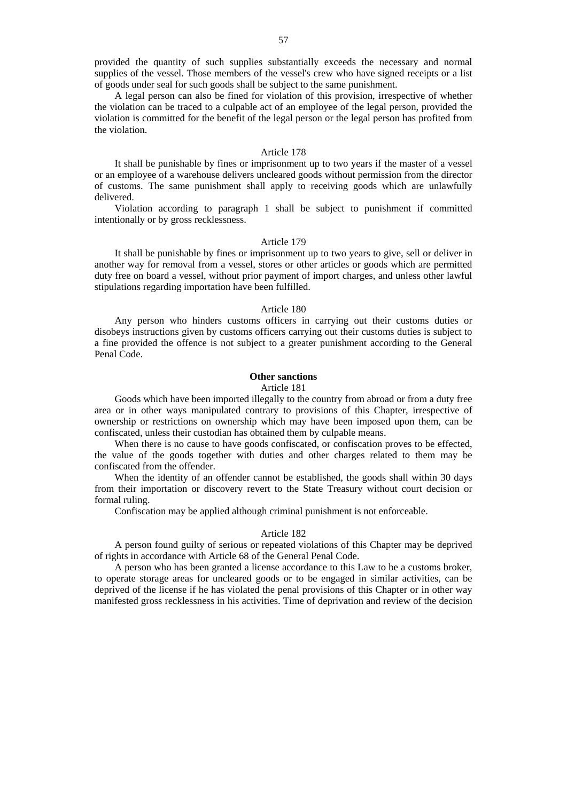provided the quantity of such supplies substantially exceeds the necessary and normal supplies of the vessel. Those members of the vessel's crew who have signed receipts or a list of goods under seal for such goods shall be subject to the same punishment.

A legal person can also be fined for violation of this provision, irrespective of whether the violation can be traced to a culpable act of an employee of the legal person, provided the violation is committed for the benefit of the legal person or the legal person has profited from the violation.

### Article 178

It shall be punishable by fines or imprisonment up to two years if the master of a vessel or an employee of a warehouse delivers uncleared goods without permission from the director of customs. The same punishment shall apply to receiving goods which are unlawfully delivered.

Violation according to paragraph 1 shall be subject to punishment if committed intentionally or by gross recklessness.

### Article 179

It shall be punishable by fines or imprisonment up to two years to give, sell or deliver in another way for removal from a vessel, stores or other articles or goods which are permitted duty free on board a vessel, without prior payment of import charges, and unless other lawful stipulations regarding importation have been fulfilled.

### Article 180

Any person who hinders customs officers in carrying out their customs duties or disobeys instructions given by customs officers carrying out their customs duties is subject to a fine provided the offence is not subject to a greater punishment according to the General Penal Code.

# **Other sanctions**

#### Article 181

Goods which have been imported illegally to the country from abroad or from a duty free area or in other ways manipulated contrary to provisions of this Chapter, irrespective of ownership or restrictions on ownership which may have been imposed upon them, can be confiscated, unless their custodian has obtained them by culpable means.

When there is no cause to have goods confiscated, or confiscation proves to be effected, the value of the goods together with duties and other charges related to them may be confiscated from the offender.

When the identity of an offender cannot be established, the goods shall within 30 days from their importation or discovery revert to the State Treasury without court decision or formal ruling.

Confiscation may be applied although criminal punishment is not enforceable.

#### Article 182

A person found guilty of serious or repeated violations of this Chapter may be deprived of rights in accordance with Article 68 of the General Penal Code.

A person who has been granted a license accordance to this Law to be a customs broker, to operate storage areas for uncleared goods or to be engaged in similar activities, can be deprived of the license if he has violated the penal provisions of this Chapter or in other way manifested gross recklessness in his activities. Time of deprivation and review of the decision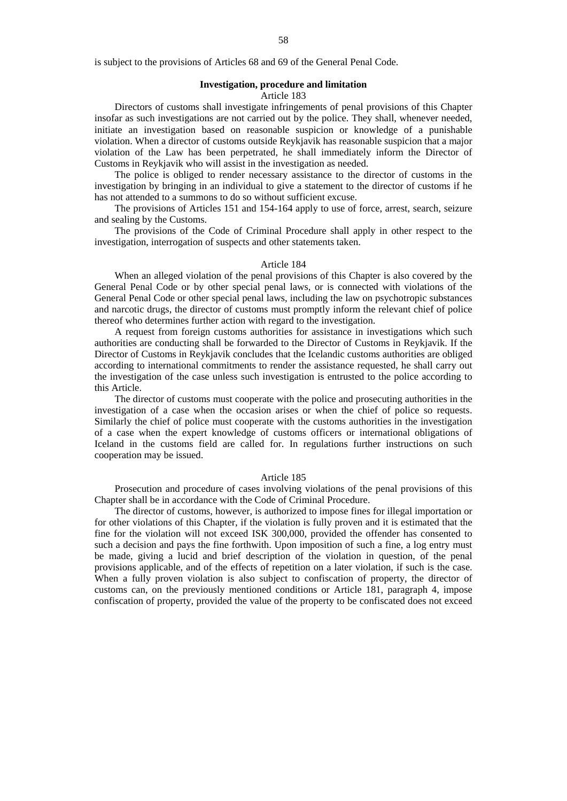is subject to the provisions of Articles 68 and 69 of the General Penal Code.

# **Investigation, procedure and limitation**

### Article 183

Directors of customs shall investigate infringements of penal provisions of this Chapter insofar as such investigations are not carried out by the police. They shall, whenever needed, initiate an investigation based on reasonable suspicion or knowledge of a punishable violation. When a director of customs outside Reykjavik has reasonable suspicion that a major violation of the Law has been perpetrated, he shall immediately inform the Director of Customs in Reykjavik who will assist in the investigation as needed.

The police is obliged to render necessary assistance to the director of customs in the investigation by bringing in an individual to give a statement to the director of customs if he has not attended to a summons to do so without sufficient excuse.

The provisions of Articles 151 and 154-164 apply to use of force, arrest, search, seizure and sealing by the Customs.

The provisions of the Code of Criminal Procedure shall apply in other respect to the investigation, interrogation of suspects and other statements taken.

### Article 184

When an alleged violation of the penal provisions of this Chapter is also covered by the General Penal Code or by other special penal laws, or is connected with violations of the General Penal Code or other special penal laws, including the law on psychotropic substances and narcotic drugs, the director of customs must promptly inform the relevant chief of police thereof who determines further action with regard to the investigation.

A request from foreign customs authorities for assistance in investigations which such authorities are conducting shall be forwarded to the Director of Customs in Reykjavik. If the Director of Customs in Reykjavik concludes that the Icelandic customs authorities are obliged according to international commitments to render the assistance requested, he shall carry out the investigation of the case unless such investigation is entrusted to the police according to this Article.

The director of customs must cooperate with the police and prosecuting authorities in the investigation of a case when the occasion arises or when the chief of police so requests. Similarly the chief of police must cooperate with the customs authorities in the investigation of a case when the expert knowledge of customs officers or international obligations of Iceland in the customs field are called for. In regulations further instructions on such cooperation may be issued.

### Article 185

Prosecution and procedure of cases involving violations of the penal provisions of this Chapter shall be in accordance with the Code of Criminal Procedure.

The director of customs, however, is authorized to impose fines for illegal importation or for other violations of this Chapter, if the violation is fully proven and it is estimated that the fine for the violation will not exceed ISK 300,000, provided the offender has consented to such a decision and pays the fine forthwith. Upon imposition of such a fine, a log entry must be made, giving a lucid and brief description of the violation in question, of the penal provisions applicable, and of the effects of repetition on a later violation, if such is the case. When a fully proven violation is also subject to confiscation of property, the director of customs can, on the previously mentioned conditions or Article 181, paragraph 4, impose confiscation of property, provided the value of the property to be confiscated does not exceed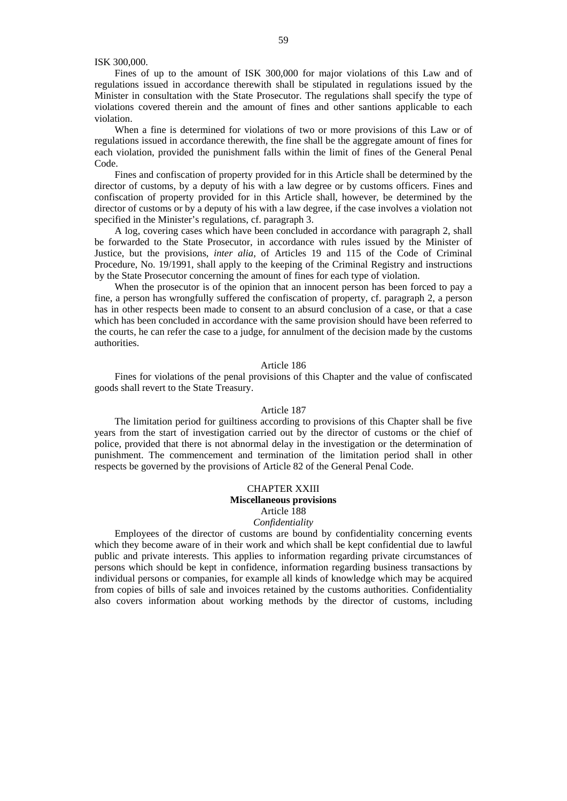### ISK 300,000.

Fines of up to the amount of ISK 300,000 for major violations of this Law and of regulations issued in accordance therewith shall be stipulated in regulations issued by the Minister in consultation with the State Prosecutor. The regulations shall specify the type of violations covered therein and the amount of fines and other santions applicable to each violation.

When a fine is determined for violations of two or more provisions of this Law or of regulations issued in accordance therewith, the fine shall be the aggregate amount of fines for each violation, provided the punishment falls within the limit of fines of the General Penal Code.

Fines and confiscation of property provided for in this Article shall be determined by the director of customs, by a deputy of his with a law degree or by customs officers. Fines and confiscation of property provided for in this Article shall, however, be determined by the director of customs or by a deputy of his with a law degree, if the case involves a violation not specified in the Minister's regulations, cf. paragraph 3.

A log, covering cases which have been concluded in accordance with paragraph 2, shall be forwarded to the State Prosecutor, in accordance with rules issued by the Minister of Justice, but the provisions, *inter alia*, of Articles 19 and 115 of the Code of Criminal Procedure, No. 19/1991, shall apply to the keeping of the Criminal Registry and instructions by the State Prosecutor concerning the amount of fines for each type of violation.

When the prosecutor is of the opinion that an innocent person has been forced to pay a fine, a person has wrongfully suffered the confiscation of property, cf. paragraph 2, a person has in other respects been made to consent to an absurd conclusion of a case, or that a case which has been concluded in accordance with the same provision should have been referred to the courts, he can refer the case to a judge, for annulment of the decision made by the customs authorities.

#### Article 186

Fines for violations of the penal provisions of this Chapter and the value of confiscated goods shall revert to the State Treasury.

### Article 187

The limitation period for guiltiness according to provisions of this Chapter shall be five years from the start of investigation carried out by the director of customs or the chief of police, provided that there is not abnormal delay in the investigation or the determination of punishment. The commencement and termination of the limitation period shall in other respects be governed by the provisions of Article 82 of the General Penal Code.

# CHAPTER XXIII **Miscellaneous provisions**  Article 188

# *Confidentiality*

Employees of the director of customs are bound by confidentiality concerning events which they become aware of in their work and which shall be kept confidential due to lawful public and private interests. This applies to information regarding private circumstances of persons which should be kept in confidence, information regarding business transactions by individual persons or companies, for example all kinds of knowledge which may be acquired from copies of bills of sale and invoices retained by the customs authorities. Confidentiality also covers information about working methods by the director of customs, including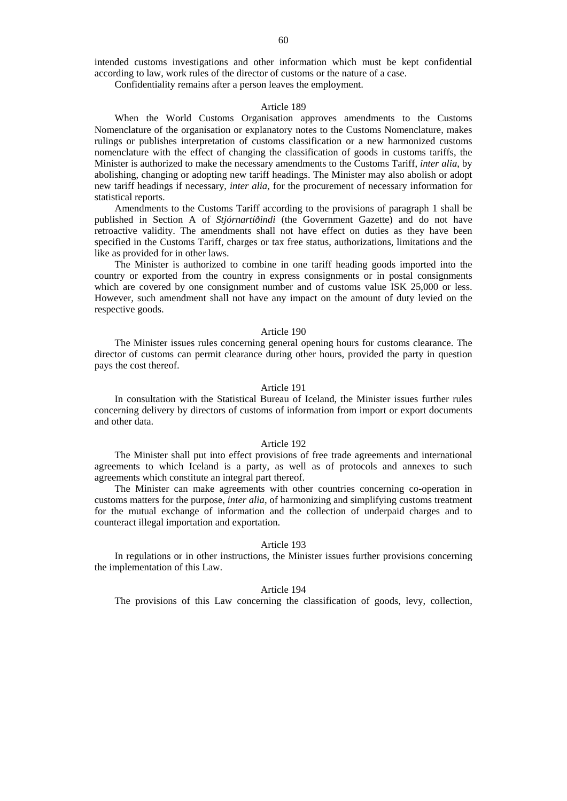intended customs investigations and other information which must be kept confidential according to law, work rules of the director of customs or the nature of a case.

Confidentiality remains after a person leaves the employment.

#### Article 189

When the World Customs Organisation approves amendments to the Customs Nomenclature of the organisation or explanatory notes to the Customs Nomenclature, makes rulings or publishes interpretation of customs classification or a new harmonized customs nomenclature with the effect of changing the classification of goods in customs tariffs, the Minister is authorized to make the necessary amendments to the Customs Tariff, *inter alia*, by abolishing, changing or adopting new tariff headings. The Minister may also abolish or adopt new tariff headings if necessary, *inter alia,* for the procurement of necessary information for statistical reports.

Amendments to the Customs Tariff according to the provisions of paragraph 1 shall be published in Section A of *Stjórnartíðindi* (the Government Gazette) and do not have retroactive validity. The amendments shall not have effect on duties as they have been specified in the Customs Tariff, charges or tax free status, authorizations, limitations and the like as provided for in other laws.

The Minister is authorized to combine in one tariff heading goods imported into the country or exported from the country in express consignments or in postal consignments which are covered by one consignment number and of customs value ISK 25,000 or less. However, such amendment shall not have any impact on the amount of duty levied on the respective goods.

### Article 190

The Minister issues rules concerning general opening hours for customs clearance. The director of customs can permit clearance during other hours, provided the party in question pays the cost thereof.

### Article 191

In consultation with the Statistical Bureau of Iceland, the Minister issues further rules concerning delivery by directors of customs of information from import or export documents and other data.

### Article 192

The Minister shall put into effect provisions of free trade agreements and international agreements to which Iceland is a party, as well as of protocols and annexes to such agreements which constitute an integral part thereof.

The Minister can make agreements with other countries concerning co-operation in customs matters for the purpose, *inter alia*, of harmonizing and simplifying customs treatment for the mutual exchange of information and the collection of underpaid charges and to counteract illegal importation and exportation.

### Article 193

In regulations or in other instructions, the Minister issues further provisions concerning the implementation of this Law.

### Article 194

The provisions of this Law concerning the classification of goods, levy, collection,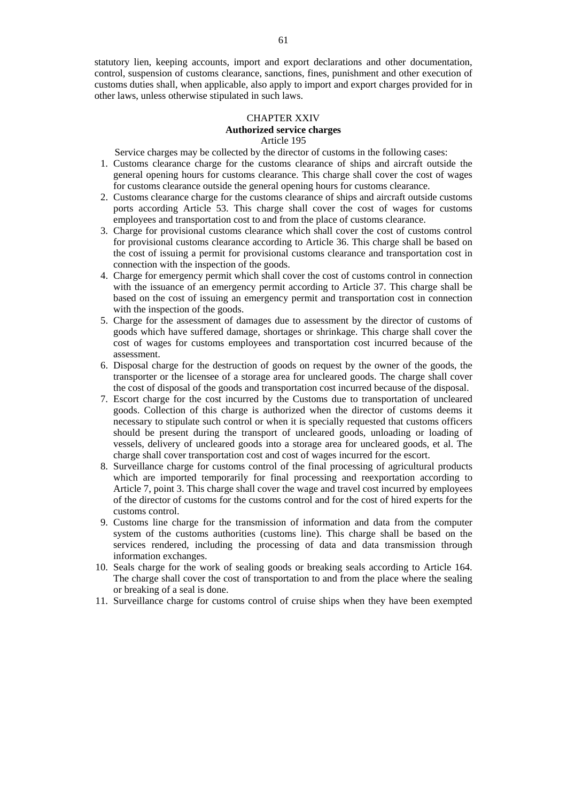statutory lien, keeping accounts, import and export declarations and other documentation, control, suspension of customs clearance, sanctions, fines, punishment and other execution of customs duties shall, when applicable, also apply to import and export charges provided for in other laws, unless otherwise stipulated in such laws.

### CHAPTER XXIV **Authorized service charges**  Article 195

Service charges may be collected by the director of customs in the following cases:

- 1. Customs clearance charge for the customs clearance of ships and aircraft outside the general opening hours for customs clearance. This charge shall cover the cost of wages for customs clearance outside the general opening hours for customs clearance.
- 2. Customs clearance charge for the customs clearance of ships and aircraft outside customs ports according Article 53. This charge shall cover the cost of wages for customs employees and transportation cost to and from the place of customs clearance.
- 3. Charge for provisional customs clearance which shall cover the cost of customs control for provisional customs clearance according to Article 36. This charge shall be based on the cost of issuing a permit for provisional customs clearance and transportation cost in connection with the inspection of the goods.
- 4. Charge for emergency permit which shall cover the cost of customs control in connection with the issuance of an emergency permit according to Article 37. This charge shall be based on the cost of issuing an emergency permit and transportation cost in connection with the inspection of the goods.
- 5. Charge for the assessment of damages due to assessment by the director of customs of goods which have suffered damage, shortages or shrinkage. This charge shall cover the cost of wages for customs employees and transportation cost incurred because of the assessment.
- 6. Disposal charge for the destruction of goods on request by the owner of the goods, the transporter or the licensee of a storage area for uncleared goods. The charge shall cover the cost of disposal of the goods and transportation cost incurred because of the disposal.
- 7. Escort charge for the cost incurred by the Customs due to transportation of uncleared goods. Collection of this charge is authorized when the director of customs deems it necessary to stipulate such control or when it is specially requested that customs officers should be present during the transport of uncleared goods, unloading or loading of vessels, delivery of uncleared goods into a storage area for uncleared goods, et al. The charge shall cover transportation cost and cost of wages incurred for the escort.
- 8. Surveillance charge for customs control of the final processing of agricultural products which are imported temporarily for final processing and reexportation according to Article 7, point 3. This charge shall cover the wage and travel cost incurred by employees of the director of customs for the customs control and for the cost of hired experts for the customs control.
- 9. Customs line charge for the transmission of information and data from the computer system of the customs authorities (customs line). This charge shall be based on the services rendered, including the processing of data and data transmission through information exchanges.
- 10. Seals charge for the work of sealing goods or breaking seals according to Article 164. The charge shall cover the cost of transportation to and from the place where the sealing or breaking of a seal is done.
- 11. Surveillance charge for customs control of cruise ships when they have been exempted